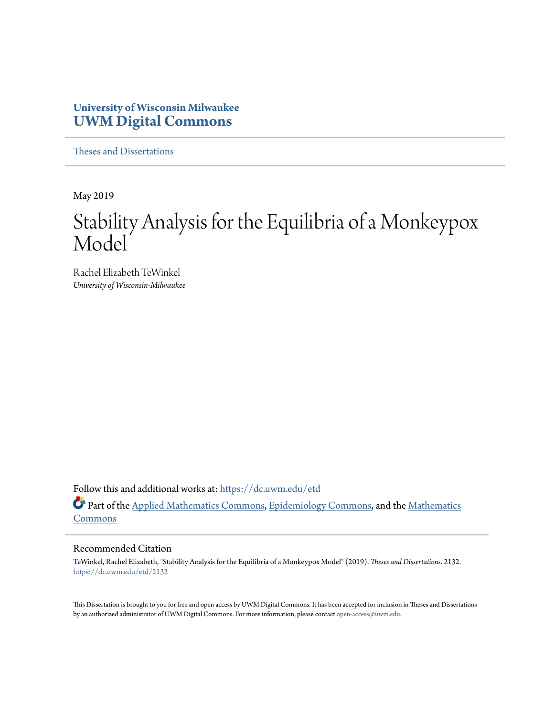## **University of Wisconsin Milwaukee [UWM Digital Commons](https://dc.uwm.edu/?utm_source=dc.uwm.edu%2Fetd%2F2132&utm_medium=PDF&utm_campaign=PDFCoverPages)**

[Theses and Dissertations](https://dc.uwm.edu/etd?utm_source=dc.uwm.edu%2Fetd%2F2132&utm_medium=PDF&utm_campaign=PDFCoverPages)

May 2019

# Stability Analysis for the Equilibria of a Monkeypox Model

Rachel Elizabeth TeWinkel *University of Wisconsin-Milwaukee*

Follow this and additional works at: [https://dc.uwm.edu/etd](https://dc.uwm.edu/etd?utm_source=dc.uwm.edu%2Fetd%2F2132&utm_medium=PDF&utm_campaign=PDFCoverPages) Part of the [Applied Mathematics Commons](http://network.bepress.com/hgg/discipline/115?utm_source=dc.uwm.edu%2Fetd%2F2132&utm_medium=PDF&utm_campaign=PDFCoverPages), [Epidemiology Commons,](http://network.bepress.com/hgg/discipline/740?utm_source=dc.uwm.edu%2Fetd%2F2132&utm_medium=PDF&utm_campaign=PDFCoverPages) and the [Mathematics](http://network.bepress.com/hgg/discipline/174?utm_source=dc.uwm.edu%2Fetd%2F2132&utm_medium=PDF&utm_campaign=PDFCoverPages) [Commons](http://network.bepress.com/hgg/discipline/174?utm_source=dc.uwm.edu%2Fetd%2F2132&utm_medium=PDF&utm_campaign=PDFCoverPages)

#### Recommended Citation

TeWinkel, Rachel Elizabeth, "Stability Analysis for the Equilibria of a Monkeypox Model" (2019). *Theses and Dissertations*. 2132. [https://dc.uwm.edu/etd/2132](https://dc.uwm.edu/etd/2132?utm_source=dc.uwm.edu%2Fetd%2F2132&utm_medium=PDF&utm_campaign=PDFCoverPages)

This Dissertation is brought to you for free and open access by UWM Digital Commons. It has been accepted for inclusion in Theses and Dissertations by an authorized administrator of UWM Digital Commons. For more information, please contact [open-access@uwm.edu](mailto:open-access@uwm.edu).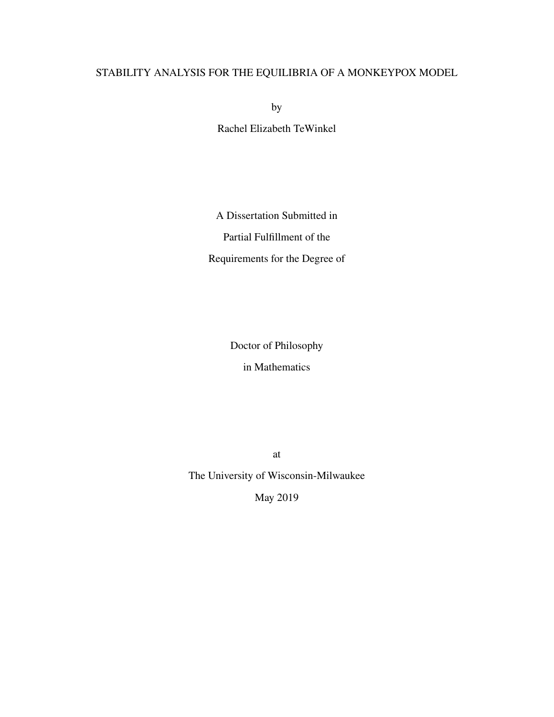## STABILITY ANALYSIS FOR THE EQUILIBRIA OF A MONKEYPOX MODEL

by

Rachel Elizabeth TeWinkel

A Dissertation Submitted in Partial Fulfillment of the Requirements for the Degree of

Doctor of Philosophy

in Mathematics

at

The University of Wisconsin-Milwaukee

May 2019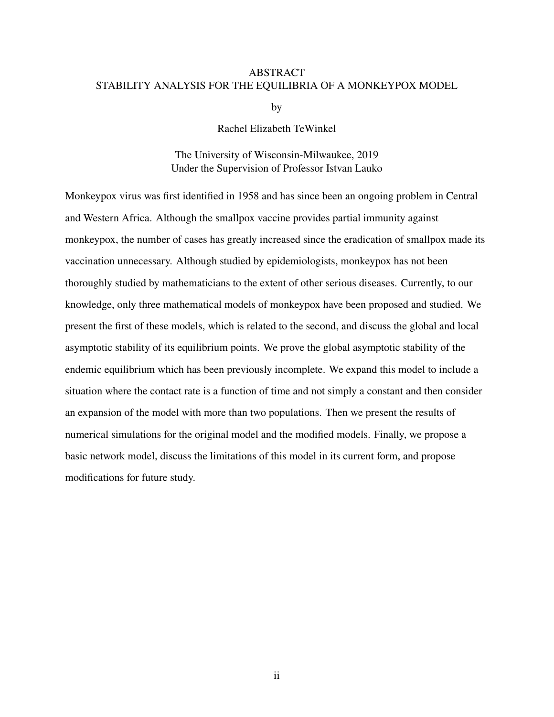#### ABSTRACT STABILITY ANALYSIS FOR THE EQUILIBRIA OF A MONKEYPOX MODEL

by

#### Rachel Elizabeth TeWinkel

#### The University of Wisconsin-Milwaukee, 2019 Under the Supervision of Professor Istvan Lauko

Monkeypox virus was first identified in 1958 and has since been an ongoing problem in Central and Western Africa. Although the smallpox vaccine provides partial immunity against monkeypox, the number of cases has greatly increased since the eradication of smallpox made its vaccination unnecessary. Although studied by epidemiologists, monkeypox has not been thoroughly studied by mathematicians to the extent of other serious diseases. Currently, to our knowledge, only three mathematical models of monkeypox have been proposed and studied. We present the first of these models, which is related to the second, and discuss the global and local asymptotic stability of its equilibrium points. We prove the global asymptotic stability of the endemic equilibrium which has been previously incomplete. We expand this model to include a situation where the contact rate is a function of time and not simply a constant and then consider an expansion of the model with more than two populations. Then we present the results of numerical simulations for the original model and the modified models. Finally, we propose a basic network model, discuss the limitations of this model in its current form, and propose modifications for future study.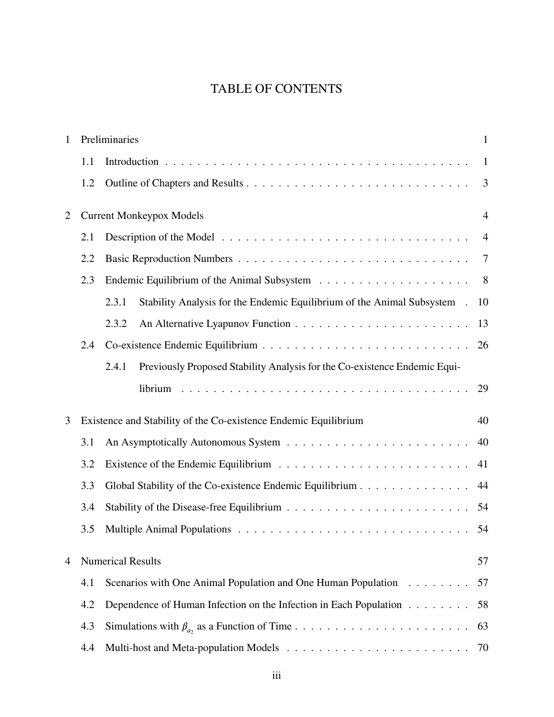# TABLE OF CONTENTS

| $\mathbf{1}$   | Preliminaries |                                                                                    | $\mathbf{1}$   |
|----------------|---------------|------------------------------------------------------------------------------------|----------------|
|                | 1.1           |                                                                                    | $\mathbf{1}$   |
|                | 1.2           |                                                                                    | $\overline{3}$ |
| $\overline{2}$ |               | <b>Current Monkeypox Models</b>                                                    | $\overline{4}$ |
|                | 2.1           |                                                                                    | $\overline{4}$ |
|                | 2.2           |                                                                                    | 7              |
|                | 2.3           |                                                                                    | 8              |
|                |               | Stability Analysis for the Endemic Equilibrium of the Animal Subsystem .<br>2.3.1  | 10             |
|                |               | 2.3.2                                                                              | 13             |
|                | 2.4           |                                                                                    | 26             |
|                |               | Previously Proposed Stability Analysis for the Co-existence Endemic Equi-<br>2.4.1 |                |
|                |               |                                                                                    | 29             |
| 3              |               | Existence and Stability of the Co-existence Endemic Equilibrium                    | 40             |
|                | 3.1           |                                                                                    | 40             |
|                | 3.2           |                                                                                    | 41             |
|                | 3.3           | Global Stability of the Co-existence Endemic Equilibrium                           | 44             |
|                | 3.4           |                                                                                    | 54             |
|                | 3.5           |                                                                                    | 54             |
| 4              |               | <b>Numerical Results</b>                                                           | 57             |
|                | 4.1           | Scenarios with One Animal Population and One Human Population                      | 57             |
|                | 4.2           | Dependence of Human Infection on the Infection in Each Population                  | 58             |
|                | 4.3           |                                                                                    | 63             |
|                | 4.4           |                                                                                    | 70             |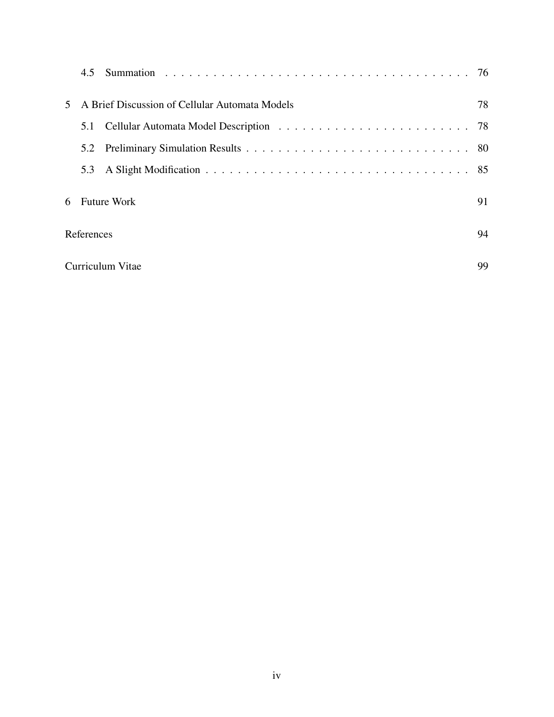|   | 4.5                                            |    |
|---|------------------------------------------------|----|
|   | A Brief Discussion of Cellular Automata Models | 78 |
|   | 5.1                                            |    |
|   | 5.2                                            |    |
|   | 5.3                                            |    |
| 6 | <b>Future Work</b>                             | 91 |
|   | References                                     |    |
|   | 99<br>Curriculum Vitae                         |    |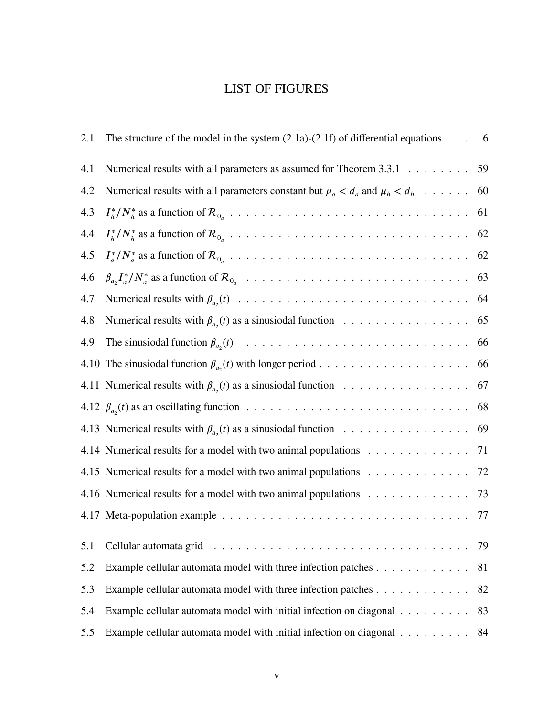## LIST OF FIGURES

| 2.1 | The structure of the model in the system $(2.1a)-(2.1f)$ of differential equations $\dots$ 6 |    |
|-----|----------------------------------------------------------------------------------------------|----|
| 4.1 | Numerical results with all parameters as assumed for Theorem 3.3.1                           | 59 |
| 4.2 | Numerical results with all parameters constant but $\mu_a < d_a$ and $\mu_h < d_h$           | 60 |
| 4.3 |                                                                                              | 61 |
| 4.4 |                                                                                              | 62 |
| 4.5 |                                                                                              | 62 |
| 4.6 |                                                                                              | 63 |
| 4.7 |                                                                                              | 64 |
| 4.8 | Numerical results with $\beta_{a_2}(t)$ as a sinusiodal function                             | 65 |
| 4.9 |                                                                                              | 66 |
|     |                                                                                              | 66 |
|     | 4.11 Numerical results with $\beta_{a_2}(t)$ as a sinusiodal function                        | 67 |
|     |                                                                                              | 68 |
|     | 4.13 Numerical results with $\beta_{a_2}(t)$ as a sinusiodal function                        | 69 |
|     | 4.14 Numerical results for a model with two animal populations                               | 71 |
|     | 4.15 Numerical results for a model with two animal populations                               | 72 |
|     | 4.16 Numerical results for a model with two animal populations 73                            |    |
|     |                                                                                              | 77 |
| 5.1 |                                                                                              | 79 |
| 5.2 | Example cellular automata model with three infection patches                                 | 81 |
| 5.3 | Example cellular automata model with three infection patches                                 | 82 |
| 5.4 | Example cellular automata model with initial infection on diagonal                           | 83 |
| 5.5 | Example cellular automata model with initial infection on diagonal                           | 84 |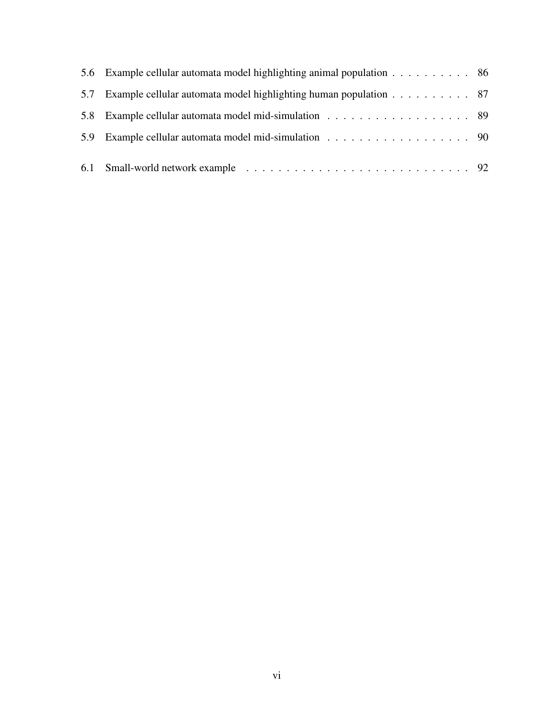| 5.6 Example cellular automata model highlighting animal population 86 |  |
|-----------------------------------------------------------------------|--|
| 5.7 Example cellular automata model highlighting human population 87  |  |
| 5.8 Example cellular automata model mid-simulation 89                 |  |
| 5.9 Example cellular automata model mid-simulation 90                 |  |
|                                                                       |  |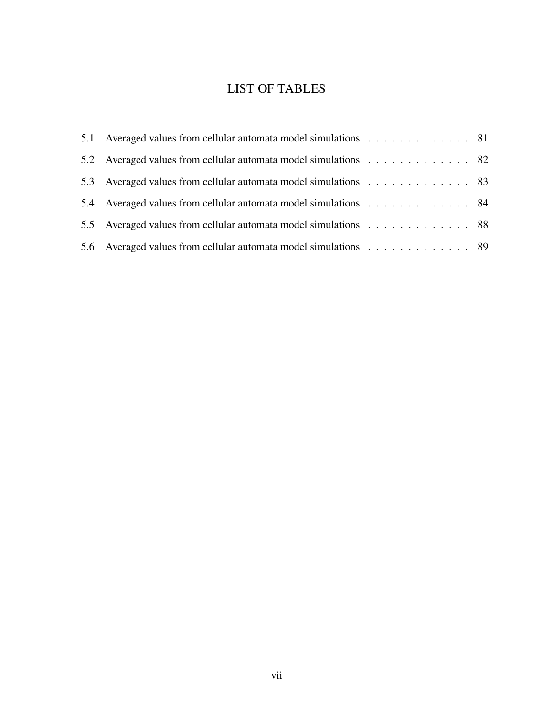# LIST OF TABLES

| 5.1 Averaged values from cellular automata model simulations 81 |  |
|-----------------------------------------------------------------|--|
| 5.2 Averaged values from cellular automata model simulations 82 |  |
| 5.3 Averaged values from cellular automata model simulations 83 |  |
| 5.4 Averaged values from cellular automata model simulations 84 |  |
| 5.5 Averaged values from cellular automata model simulations 88 |  |
| 5.6 Averaged values from cellular automata model simulations 89 |  |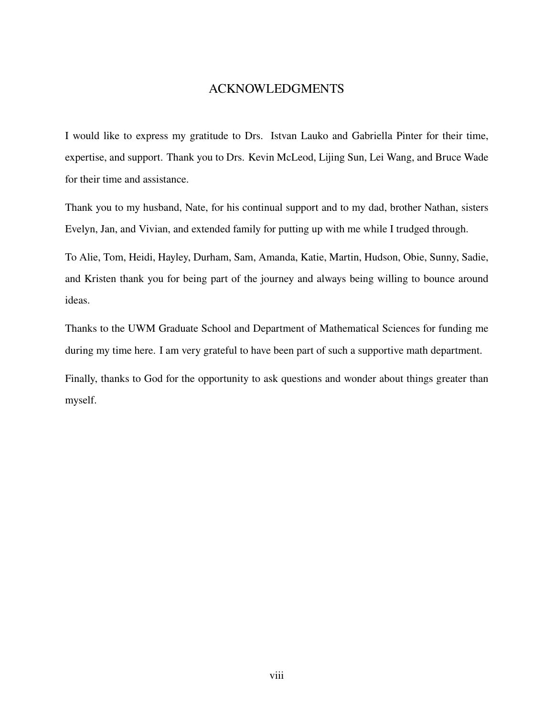#### ACKNOWLEDGMENTS

I would like to express my gratitude to Drs. Istvan Lauko and Gabriella Pinter for their time, expertise, and support. Thank you to Drs. Kevin McLeod, Lijing Sun, Lei Wang, and Bruce Wade for their time and assistance.

Thank you to my husband, Nate, for his continual support and to my dad, brother Nathan, sisters Evelyn, Jan, and Vivian, and extended family for putting up with me while I trudged through.

To Alie, Tom, Heidi, Hayley, Durham, Sam, Amanda, Katie, Martin, Hudson, Obie, Sunny, Sadie, and Kristen thank you for being part of the journey and always being willing to bounce around ideas.

Thanks to the UWM Graduate School and Department of Mathematical Sciences for funding me during my time here. I am very grateful to have been part of such a supportive math department.

Finally, thanks to God for the opportunity to ask questions and wonder about things greater than myself.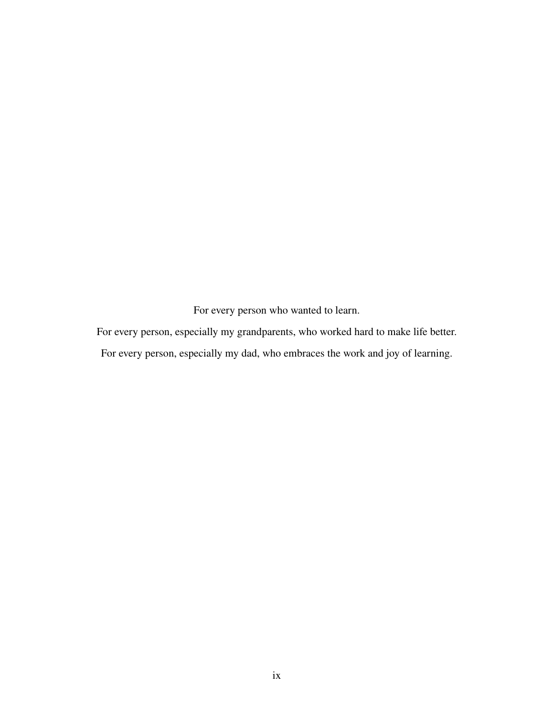For every person who wanted to learn.

For every person, especially my grandparents, who worked hard to make life better.

For every person, especially my dad, who embraces the work and joy of learning.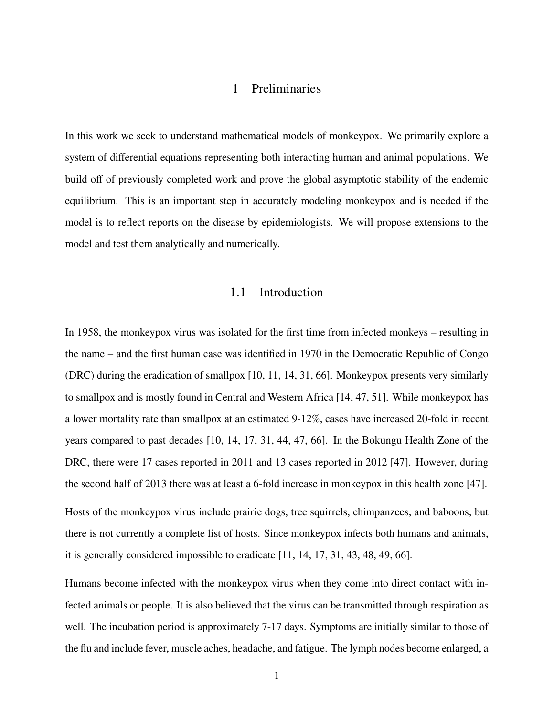### 1 Preliminaries

<span id="page-10-0"></span>In this work we seek to understand mathematical models of monkeypox. We primarily explore a system of differential equations representing both interacting human and animal populations. We build off of previously completed work and prove the global asymptotic stability of the endemic equilibrium. This is an important step in accurately modeling monkeypox and is needed if the model is to reflect reports on the disease by epidemiologists. We will propose extensions to the model and test them analytically and numerically.

#### 1.1 Introduction

<span id="page-10-1"></span>In 1958, the monkeypox virus was isolated for the first time from infected monkeys – resulting in the name – and the first human case was identified in 1970 in the Democratic Republic of Congo (DRC) during the eradication of smallpox [\[10,](#page-103-1) [11,](#page-103-2) [14,](#page-103-3) [31,](#page-105-0) [66\]](#page-107-0). Monkeypox presents very similarly to smallpox and is mostly found in Central and Western Africa [\[14,](#page-103-3) [47,](#page-106-0) [51\]](#page-106-1). While monkeypox has a lower mortality rate than smallpox at an estimated 9-12%, cases have increased 20-fold in recent years compared to past decades [\[10,](#page-103-1) [14,](#page-103-3) [17,](#page-104-0) [31,](#page-105-0) [44,](#page-105-1) [47,](#page-106-0) [66\]](#page-107-0). In the Bokungu Health Zone of the DRC, there were 17 cases reported in 2011 and 13 cases reported in 2012 [\[47\]](#page-106-0). However, during the second half of 2013 there was at least a 6-fold increase in monkeypox in this health zone [\[47\]](#page-106-0).

Hosts of the monkeypox virus include prairie dogs, tree squirrels, chimpanzees, and baboons, but there is not currently a complete list of hosts. Since monkeypox infects both humans and animals, it is generally considered impossible to eradicate [\[11,](#page-103-2) [14,](#page-103-3) [17,](#page-104-0) [31,](#page-105-0) [43,](#page-105-2) [48,](#page-106-2) [49,](#page-106-3) [66\]](#page-107-0).

Humans become infected with the monkeypox virus when they come into direct contact with infected animals or people. It is also believed that the virus can be transmitted through respiration as well. The incubation period is approximately 7-17 days. Symptoms are initially similar to those of the flu and include fever, muscle aches, headache, and fatigue. The lymph nodes become enlarged, a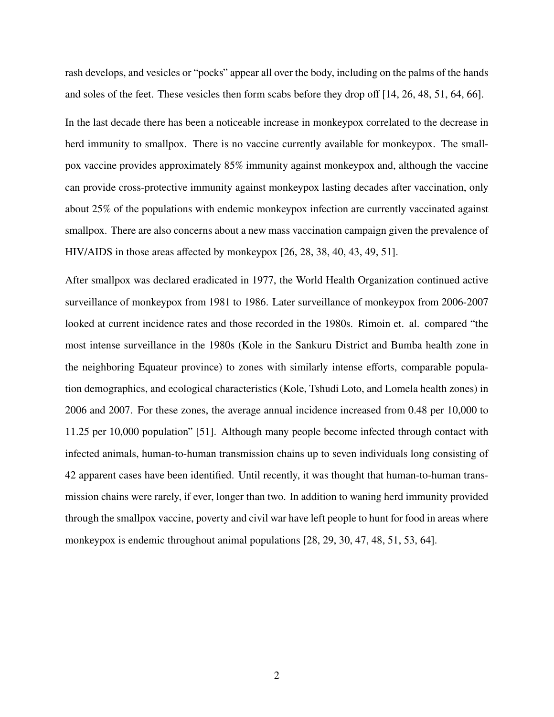rash develops, and vesicles or "pocks" appear all over the body, including on the palms of the hands and soles of the feet. These vesicles then form scabs before they drop off [\[14,](#page-103-3) [26,](#page-104-1) [48,](#page-106-2) [51,](#page-106-1) [64,](#page-107-1) [66\]](#page-107-0). In the last decade there has been a noticeable increase in monkeypox correlated to the decrease in herd immunity to smallpox. There is no vaccine currently available for monkeypox. The smallpox vaccine provides approximately 85% immunity against monkeypox and, although the vaccine can provide cross-protective immunity against monkeypox lasting decades after vaccination, only about 25% of the populations with endemic monkeypox infection are currently vaccinated against smallpox. There are also concerns about a new mass vaccination campaign given the prevalence of HIV/AIDS in those areas affected by monkeypox [\[26,](#page-104-1) [28,](#page-104-2) [38,](#page-105-3) [40,](#page-105-4) [43,](#page-105-2) [49,](#page-106-3) [51\]](#page-106-1).

After smallpox was declared eradicated in 1977, the World Health Organization continued active surveillance of monkeypox from 1981 to 1986. Later surveillance of monkeypox from 2006-2007 looked at current incidence rates and those recorded in the 1980s. Rimoin et. al. compared "the most intense surveillance in the 1980s (Kole in the Sankuru District and Bumba health zone in the neighboring Equateur province) to zones with similarly intense efforts, comparable population demographics, and ecological characteristics (Kole, Tshudi Loto, and Lomela health zones) in 2006 and 2007. For these zones, the average annual incidence increased from 0.48 per 10,000 to 11.25 per 10,000 population" [\[51\]](#page-106-1). Although many people become infected through contact with infected animals, human-to-human transmission chains up to seven individuals long consisting of 42 apparent cases have been identified. Until recently, it was thought that human-to-human transmission chains were rarely, if ever, longer than two. In addition to waning herd immunity provided through the smallpox vaccine, poverty and civil war have left people to hunt for food in areas where monkeypox is endemic throughout animal populations [\[28,](#page-104-2) [29,](#page-104-3) [30,](#page-105-5) [47,](#page-106-0) [48,](#page-106-2) [51,](#page-106-1) [53,](#page-106-4) [64\]](#page-107-1).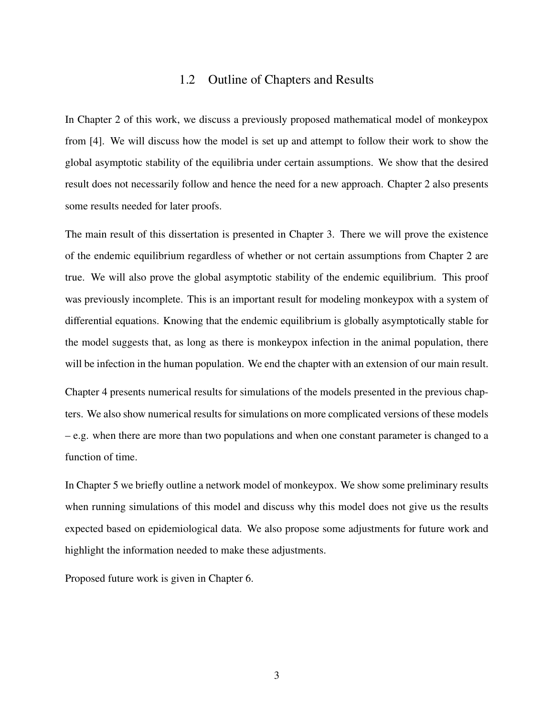### 1.2 Outline of Chapters and Results

<span id="page-12-0"></span>In Chapter 2 of this work, we discuss a previously proposed mathematical model of monkeypox from [\[4\]](#page-103-4). We will discuss how the model is set up and attempt to follow their work to show the global asymptotic stability of the equilibria under certain assumptions. We show that the desired result does not necessarily follow and hence the need for a new approach. Chapter 2 also presents some results needed for later proofs.

The main result of this dissertation is presented in Chapter 3. There we will prove the existence of the endemic equilibrium regardless of whether or not certain assumptions from Chapter 2 are true. We will also prove the global asymptotic stability of the endemic equilibrium. This proof was previously incomplete. This is an important result for modeling monkeypox with a system of differential equations. Knowing that the endemic equilibrium is globally asymptotically stable for the model suggests that, as long as there is monkeypox infection in the animal population, there will be infection in the human population. We end the chapter with an extension of our main result.

Chapter 4 presents numerical results for simulations of the models presented in the previous chapters. We also show numerical results for simulations on more complicated versions of these models – e.g. when there are more than two populations and when one constant parameter is changed to a function of time.

In Chapter 5 we briefly outline a network model of monkeypox. We show some preliminary results when running simulations of this model and discuss why this model does not give us the results expected based on epidemiological data. We also propose some adjustments for future work and highlight the information needed to make these adjustments.

Proposed future work is given in Chapter 6.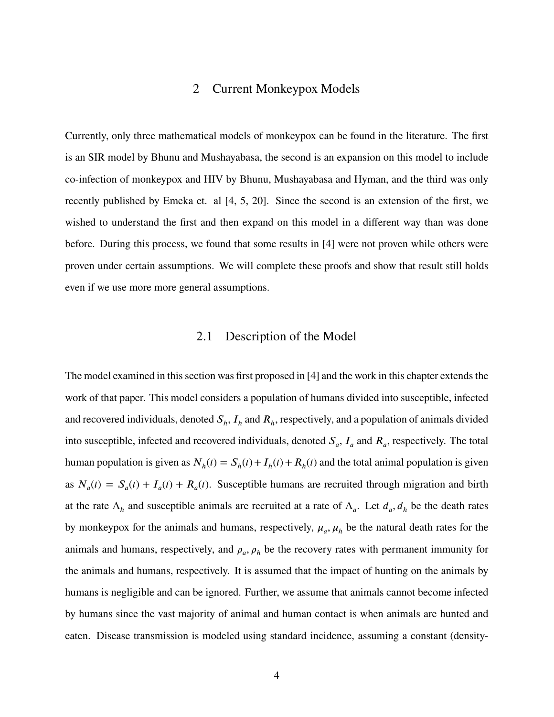#### 2 Current Monkeypox Models

<span id="page-13-0"></span>Currently, only three mathematical models of monkeypox can be found in the literature. The first is an SIR model by Bhunu and Mushayabasa, the second is an expansion on this model to include co-infection of monkeypox and HIV by Bhunu, Mushayabasa and Hyman, and the third was only recently published by Emeka et. al [\[4,](#page-103-4) [5,](#page-103-5) [20\]](#page-104-4). Since the second is an extension of the first, we wished to understand the first and then expand on this model in a different way than was done before. During this process, we found that some results in [\[4\]](#page-103-4) were not proven while others were proven under certain assumptions. We will complete these proofs and show that result still holds even if we use more more general assumptions.

#### 2.1 Description of the Model

<span id="page-13-1"></span>The model examined in this section was first proposed in [\[4\]](#page-103-4) and the work in this chapter extends the work of that paper. This model considers a population of humans divided into susceptible, infected and recovered individuals, denoted  $S_h$ ,  $I_h$  and  $R_h$ , respectively, and a population of animals divided into susceptible, infected and recovered individuals, denoted  $S_a$ ,  $I_a$  and  $R_a$ , respectively. The total human population is given as  $N_h(t) = S_h(t) + I_h(t) + R_h(t)$  and the total animal population is given as  $N_a(t) = S_a(t) + I_a(t) + R_a(t)$ . Susceptible humans are recruited through migration and birth at the rate  $\Lambda_h$  and susceptible animals are recruited at a rate of  $\Lambda_a$ . Let  $d_a$ ,  $d_h$  be the death rates by monkeypox for the animals and humans, respectively,  $\mu_a$ ,  $\mu_h$  be the natural death rates for the animals and humans, respectively, and  $\rho_a$ ,  $\rho_h$  be the recovery rates with permanent immunity for the animals and humans, respectively. It is assumed that the impact of hunting on the animals by humans is negligible and can be ignored. Further, we assume that animals cannot become infected by humans since the vast majority of animal and human contact is when animals are hunted and eaten. Disease transmission is modeled using standard incidence, assuming a constant (density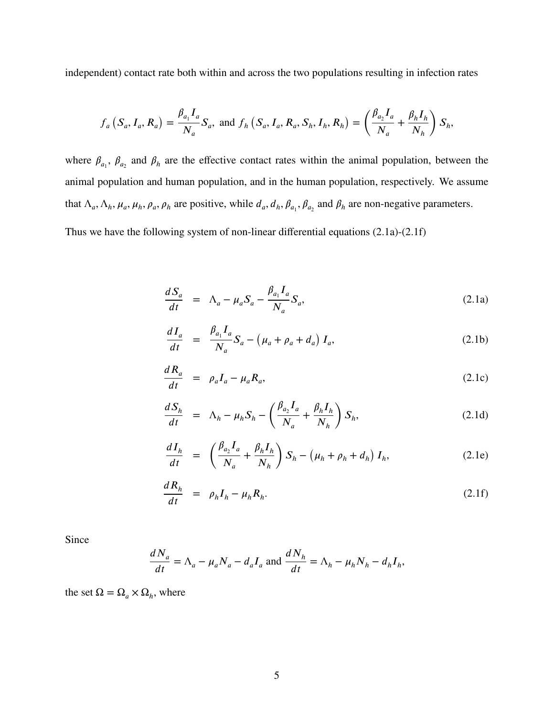independent) contact rate both within and across the two populations resulting in infection rates

$$
f_a\left(S_a, I_a, R_a\right) = \frac{\beta_{a_1} I_a}{N_a} S_a, \text{ and } f_h\left(S_a, I_a, R_a, S_h, I_h, R_h\right) = \left(\frac{\beta_{a_2} I_a}{N_a} + \frac{\beta_h I_h}{N_h}\right) S_h,
$$

where  $\beta_{a_1}$ ,  $\beta_{a_2}$  and  $\beta_h$  are the effective contact rates within the animal population, between the animal population and human population, and in the human population, respectively. We assume that  $\Lambda_a$ ,  $\Lambda_h$ ,  $\mu_a$ ,  $\mu_h$ ,  $\rho_a$ ,  $\rho_h$  are positive, while  $d_a$ ,  $d_h$ ,  $\beta_{a_1}$ ,  $\beta_{a_2}$  and  $\beta_h$  are non-negative parameters.

Thus we have the following system of non-linear differential equations [\(2.1a\)](#page-14-0)-[\(2.1f\)](#page-14-0)

<span id="page-14-0"></span>
$$
\frac{dS_a}{dt} = \Lambda_a - \mu_a S_a - \frac{\beta_{a_1} I_a}{N_a} S_a, \qquad (2.1a)
$$

$$
\frac{dI_a}{dt} = \frac{\beta_{a_1}I_a}{N_a}S_a - (\mu_a + \rho_a + d_a)I_a,
$$
\n(2.1b)

$$
\frac{dR_a}{dt} = \rho_a I_a - \mu_a R_a, \qquad (2.1c)
$$

$$
\frac{dS_h}{dt} = \Lambda_h - \mu_h S_h - \left(\frac{\beta_{a_2} I_a}{N_a} + \frac{\beta_h I_h}{N_h}\right) S_h, \tag{2.1d}
$$

$$
\frac{dI_h}{dt} = \left(\frac{\beta_{a_2}I_a}{N_a} + \frac{\beta_h I_h}{N_h}\right)S_h - \left(\mu_h + \rho_h + d_h\right)I_h,\tag{2.1e}
$$

$$
\frac{dR_h}{dt} = \rho_h I_h - \mu_h R_h. \tag{2.1f}
$$

Since

$$
\frac{dN_a}{dt} = \Lambda_a - \mu_a N_a - d_a I_a \text{ and } \frac{dN_h}{dt} = \Lambda_h - \mu_h N_h - d_h I_h,
$$

the set  $\Omega = \Omega_a \times \Omega_h$ , where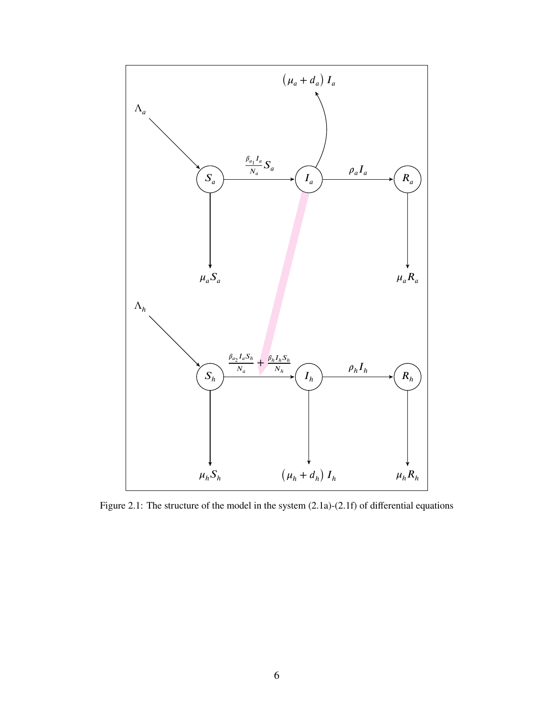<span id="page-15-0"></span>

Figure 2.1: The structure of the model in the system [\(2.1a\)](#page-14-0)-[\(2.1f\)](#page-14-0) of differential equations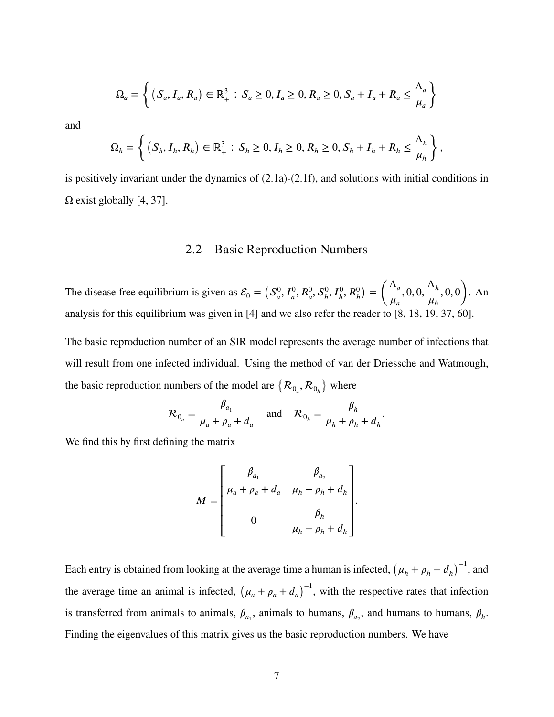$$
\Omega_a = \left\{ (S_a, I_a, R_a) \in \mathbb{R}_+^3 : S_a \ge 0, I_a \ge 0, R_a \ge 0, S_a + I_a + R_a \le \frac{\Lambda_a}{\mu_a} \right\}
$$

and

$$
\Omega_h = \left\{ (S_h, I_h, R_h) \in \mathbb{R}_+^3 : S_h \ge 0, I_h \ge 0, R_h \ge 0, S_h + I_h + R_h \le \frac{\Lambda_h}{\mu_h} \right\},\
$$

<span id="page-16-0"></span>is positively invariant under the dynamics of [\(2.1a\)](#page-14-0)-[\(2.1f\)](#page-14-0), and solutions with initial conditions in  $\Omega$  exist globally [\[4,](#page-103-4) [37\]](#page-105-6).

#### 2.2 Basic Reproduction Numbers

The disease free equilibrium is given as  $\mathcal{E}_0 = (S_a^0)$  $_{a}^{0}, I_{a}^{0}, R_{a}^{0}, S_{h}^{0}, I_{h}^{0}, R_{h}^{0}$  $\lambda$ =  $\bigwedge^{n}$  $\mu_a$  $, 0, 0, \frac{\Lambda_h}{\Lambda}$  $\mu_h$ *,* 0*,* 0  $\mathbf{v}$ . An analysis for this equilibrium was given in [\[4\]](#page-103-4) and we also refer the reader to [\[8,](#page-103-6) [18,](#page-104-5) [19,](#page-104-6) [37,](#page-105-6) [60\]](#page-106-5).

The basic reproduction number of an SIR model represents the average number of infections that will result from one infected individual. Using the method of van der Driessche and Watmough, the basic reproduction numbers of the model are  $\{R_{0_a}, R_{0_b}\}$ where

$$
\mathcal{R}_{0_a} = \frac{\beta_{a_1}}{\mu_a + \rho_a + d_a} \quad \text{and} \quad \mathcal{R}_{0_h} = \frac{\beta_h}{\mu_h + \rho_h + d_h}.
$$

We find this by first defining the matrix

$$
M = \begin{bmatrix} \frac{\beta_{a_1}}{\mu_a + \rho_a + d_a} & \frac{\beta_{a_2}}{\mu_h + \rho_h + d_h} \\ 0 & \frac{\beta_h}{\mu_h + \rho_h + d_h} \end{bmatrix}.
$$

Each entry is obtained from looking at the average time a human is infected,  $(\mu_h + \rho_h + d_h)^{-1}$ , and the average time an animal is infected,  $(\mu_a + \rho_a + d_a)^{-1}$ , with the respective rates that infection is transferred from animals to animals,  $\beta_{a_1}$ , animals to humans,  $\beta_{a_2}$ , and humans to humans,  $\beta_h$ . Finding the eigenvalues of this matrix gives us the basic reproduction numbers. We have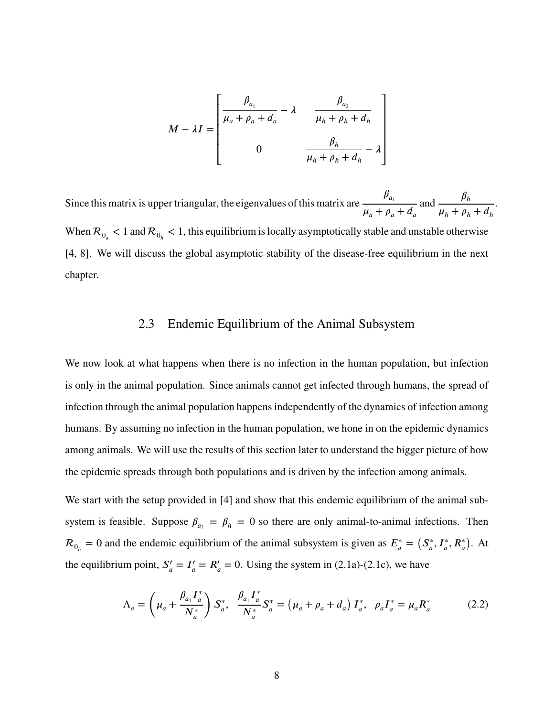$$
M - \lambda I = \begin{bmatrix} \frac{\beta_{a_1}}{\mu_a + \rho_a + d_a} - \lambda & \frac{\beta_{a_2}}{\mu_h + \rho_h + d_h} \\ 0 & \frac{\beta_h}{\mu_h + \rho_h + d_h} - \lambda \end{bmatrix}
$$

Since this matrix is upper triangular, the eigenvalues of this matrix are  $\frac{\beta_{a_1}}{\beta_{a_2}}$  $\mu_a + \rho_a + d_a$ and  $\frac{\beta_h}{\cdot}$  $\mu_h + \rho_h + d_h$ When  $R_{0}$  < 1 and  $R_{0_h}$  < 1, this equilibrium is locally asymptotically stable and unstable otherwise [\[4,](#page-103-4) [8\]](#page-103-6). We will discuss the global asymptotic stability of the disease-free equilibrium in the next chapter.

.

#### 2.3 Endemic Equilibrium of the Animal Subsystem

<span id="page-17-0"></span>We now look at what happens when there is no infection in the human population, but infection is only in the animal population. Since animals cannot get infected through humans, the spread of infection through the animal population happens independently of the dynamics of infection among humans. By assuming no infection in the human population, we hone in on the epidemic dynamics among animals. We will use the results of this section later to understand the bigger picture of how the epidemic spreads through both populations and is driven by the infection among animals.

We start with the setup provided in [\[4\]](#page-103-4) and show that this endemic equilibrium of the animal subsystem is feasible. Suppose  $\beta_{a_2} = \beta_h = 0$  so there are only animal-to-animal infections. Then  $\mathcal{R}_{0_h} = 0$  and the endemic equilibrium of the animal subsystem is given as  $E_a^* =$  $(S^*_a)$  $J_{a}^{*}, I_{a}^{*}, R_{a}^{*}$  $\lambda$ . At the equilibrium point,  $S'_a$  $'_{a}=I'_{a}$  $J'_a = R'_a = 0$ . Using the system in [\(2.1a\)](#page-14-0)-[\(2.1c\)](#page-14-0), we have

<span id="page-17-1"></span>
$$
\Lambda_a = \left(\mu_a + \frac{\beta_{a_1} I_a^*}{N_a^*}\right) S_a^*, \quad \frac{\beta_{a_1} I_a^*}{N_a^*} S_a^* = \left(\mu_a + \rho_a + d_a\right) I_a^*, \quad \rho_a I_a^* = \mu_a R_a^* \tag{2.2}
$$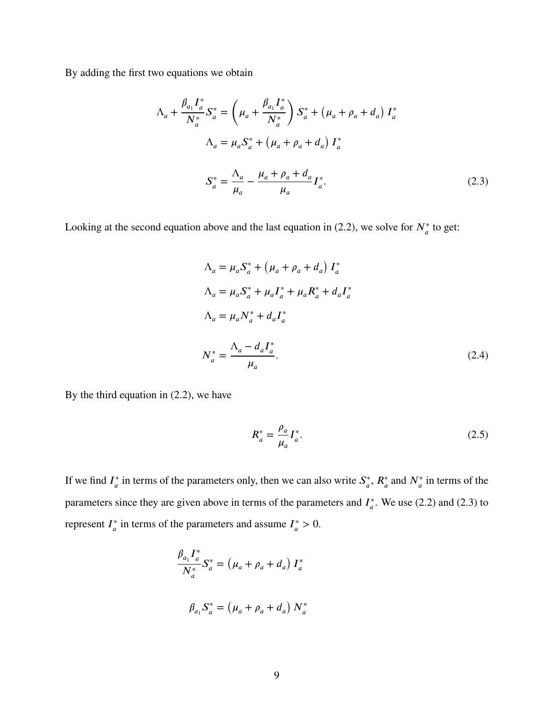By adding the first two equations we obtain

$$
\Lambda_{a} + \frac{\beta_{a_{1}} I_{a}^{*}}{N_{a}^{*}} S_{a}^{*} = \left(\mu_{a} + \frac{\beta_{a_{1}} I_{a}^{*}}{N_{a}^{*}}\right) S_{a}^{*} + \left(\mu_{a} + \rho_{a} + d_{a}\right) I_{a}^{*}
$$
\n
$$
\Lambda_{a} = \mu_{a} S_{a}^{*} + \left(\mu_{a} + \rho_{a} + d_{a}\right) I_{a}^{*}
$$
\n
$$
S_{a}^{*} = \frac{\Lambda_{a}}{\mu_{a}} - \frac{\mu_{a} + \rho_{a} + d_{a}}{\mu_{a}} I_{a}^{*}.
$$
\n(2.3)

Looking at the second equation above and the last equation in [\(2.2\)](#page-17-1), we solve for  $N_a^*$  to get:

<span id="page-18-0"></span>
$$
\Lambda_a = \mu_a S_a^* + (\mu_a + \rho_a + d_a) I_a^*
$$
  
\n
$$
\Lambda_a = \mu_a S_a^* + \mu_a I_a^* + \mu_a R_a^* + d_a I_a^*
$$
  
\n
$$
\Lambda_a = \mu_a N_a^* + d_a I_a^*
$$
  
\n
$$
N_a^* = \frac{\Lambda_a - d_a I_a^*}{\mu_a}.
$$
\n(2.4)

By the third equation in [\(2.2\)](#page-17-1), we have

<span id="page-18-1"></span>
$$
R_a^* = \frac{\rho_a}{\mu_a} I_a^*.
$$
\n
$$
(2.5)
$$

If we find  $I^*_{\alpha}$  $\frac{a}{a}$  in terms of the parameters only, then we can also write  $S_a^*$  $\mathcal{L}_a^*$ ,  $R_a^*$  and  $N_a^*$  in terms of the parameters since they are given above in terms of the parameters and  $I_a^*$ *𝑎* . We use [\(2.2\)](#page-17-1) and [\(2.3\)](#page-18-0) to represent *I*<sup>\*</sup><sub>*a*</sub> <sup>\*</sup>/<sub>a</sub> in terms of the parameters and assume  $I_a^*$  $_{a}^{*} > 0.$ 

$$
\frac{\beta_{a_1} I_a^*}{N_a^*} S_a^* = (\mu_a + \rho_a + d_a) I_a^*
$$
  

$$
\beta_{a_1} S_a^* = (\mu_a + \rho_a + d_a) N_a^*
$$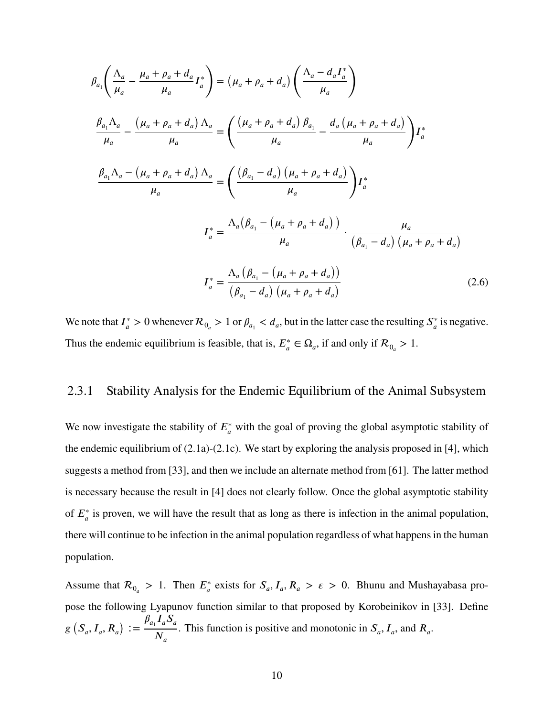$$
\beta_{a_{1}}\left(\frac{\Lambda_{a}}{\mu_{a}} - \frac{\mu_{a} + \rho_{a} + d_{a}}{\mu_{a}}I_{a}^{*}\right) = (\mu_{a} + \rho_{a} + d_{a})\left(\frac{\Lambda_{a} - d_{a}I_{a}^{*}}{\mu_{a}}\right)
$$
\n
$$
\frac{\beta_{a_{1}}\Lambda_{a}}{\mu_{a}} - \frac{(\mu_{a} + \rho_{a} + d_{a})\Lambda_{a}}{\mu_{a}} = \left(\frac{(\mu_{a} + \rho_{a} + d_{a})\beta_{a_{1}}}{\mu_{a}} - \frac{d_{a}(\mu_{a} + \rho_{a} + d_{a})}{\mu_{a}}\right)I_{a}^{*}
$$
\n
$$
\frac{\beta_{a_{1}}\Lambda_{a} - (\mu_{a} + \rho_{a} + d_{a})\Lambda_{a}}{\mu_{a}} = \left(\frac{(\beta_{a_{1}} - d_{a})\left(\mu_{a} + \rho_{a} + d_{a}\right)}{\mu_{a}}\right)I_{a}^{*}
$$
\n
$$
I_{a}^{*} = \frac{\Lambda_{a}(\beta_{a_{1}} - (\mu_{a} + \rho_{a} + d_{a}))}{\mu_{a}} \cdot \frac{\mu_{a}}{(\beta_{a_{1}} - d_{a})\left(\mu_{a} + \rho_{a} + d_{a}\right)}
$$
\n
$$
I_{a}^{*} = \frac{\Lambda_{a}(\beta_{a_{1}} - (\mu_{a} + \rho_{a} + d_{a}))}{(\beta_{a_{1}} - d_{a})\left(\mu_{a} + \rho_{a} + d_{a}\right)}
$$
\n(2.6)

<span id="page-19-1"></span>We note that  $I^*_{\alpha}$  $\frac{a}{a} > 0$  whenever  $\mathcal{R}_{0} > 1$  or  $\beta_{a} < d_a$ , but in the latter case the resulting  $S_a^*$  $\int_a^*$  is negative. Thus the endemic equilibrium is feasible, that is,  $E_a^* \in \Omega_a$ , if and only if  $\mathcal{R}_{0_a} > 1$ .

## <span id="page-19-0"></span>2.3.1 Stability Analysis for the Endemic Equilibrium of the Animal Subsystem

We now investigate the stability of  $E^*_{a}$  with the goal of proving the global asymptotic stability of the endemic equilibrium of [\(2.1a\)](#page-14-0)-[\(2.1c\)](#page-14-0). We start by exploring the analysis proposed in [\[4\]](#page-103-4), which suggests a method from [\[33\]](#page-105-7), and then we include an alternate method from [\[61\]](#page-106-6). The latter method is necessary because the result in [\[4\]](#page-103-4) does not clearly follow. Once the global asymptotic stability of  $E_a^*$  is proven, we will have the result that as long as there is infection in the animal population, there will continue to be infection in the animal population regardless of what happens in the human population.

Assume that  $\mathcal{R}_{0} > 1$ . Then  $E^*_{a}$  exists for  $S_a, I_a, R_a > \varepsilon > 0$ . Bhunu and Mushayabasa propose the following Lyapunov function similar to that proposed by Korobeinikov in [\[33\]](#page-105-7). Define  $g(S_a, I_a, R_a)$  $:= \frac{\beta_{a_1} I_a S_a}{N}$  $N_a$ . This function is positive and monotonic in  $S_a$ ,  $I_a$ , and  $R_a$ .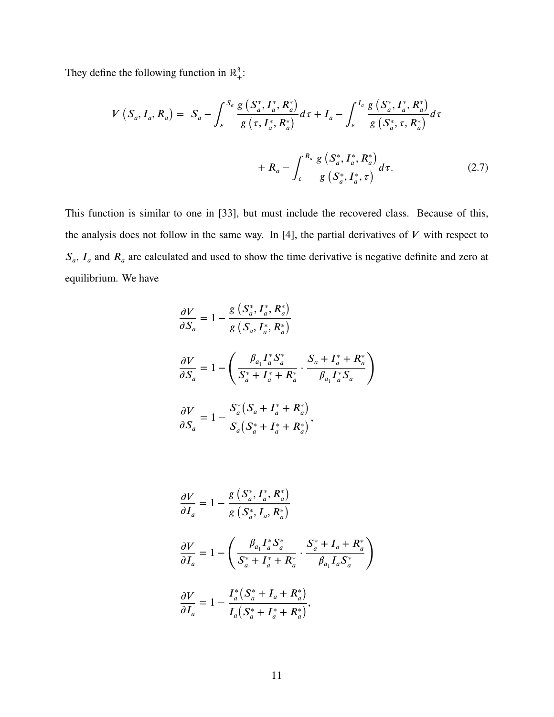They define the following function in  $\mathbb{R}^3_+$ :

$$
V(S_a, I_a, R_a) = S_a - \int_{\varepsilon}^{S_a} \frac{g(S_a^*, I_a^*, R_a^*)}{g(\tau, I_a^*, R_a^*)} d\tau + I_a - \int_{\varepsilon}^{I_a} \frac{g(S_a^*, I_a^*, R_a^*)}{g(S_a^*, \tau, R_a^*)} d\tau + R_a - \int_{\varepsilon}^{R_a} \frac{g(S_a^*, I_a^*, R_a^*)}{g(S_a^*, I_a^*, \tau)} d\tau.
$$
 (2.7)

This function is similar to one in [\[33\]](#page-105-7), but must include the recovered class. Because of this, the analysis does not follow in the same way. In  $[4]$ , the partial derivatives of  $V$  with respect to  $S_a$ ,  $I_a$  and  $R_a$  are calculated and used to show the time derivative is negative definite and zero at equilibrium. We have

<span id="page-20-0"></span>
$$
\frac{\partial V}{\partial S_a} = 1 - \frac{g\left(S_a^*, I_a^*, R_a^*\right)}{g\left(S_a, I_a^*, R_a^*\right)}
$$
\n
$$
\frac{\partial V}{\partial S_a} = 1 - \left(\frac{\beta_{a_1} I_a^* S_a^*}{S_a^* + I_a^* + R_a^*} \cdot \frac{S_a + I_a^* + R_a^*}{\beta_{a_1} I_a^* S_a}\right)
$$
\n
$$
\frac{\partial V}{\partial S_a} = 1 - \frac{S_a^*\left(S_a + I_a^* + R_a^*\right)}{S_a\left(S_a^* + I_a^* + R_a^*\right)},
$$

$$
\frac{\partial V}{\partial I_a} = 1 - \frac{g\left(S_a^*, I_a^*, R_a^*\right)}{g\left(S_a^*, I_a, R_a^*\right)}
$$
\n
$$
\frac{\partial V}{\partial I_a} = 1 - \left(\frac{\beta_{a_1} I_a^* S_a^*}{S_a^* + I_a^* + R_a^*} \cdot \frac{S_a^* + I_a + R_a^*}{\beta_{a_1} I_a S_a^*}\right)
$$
\n
$$
\frac{\partial V}{\partial I_a} = 1 - \frac{I_a^*\left(S_a^* + I_a + R_a^*\right)}{I_a\left(S_a^* + I_a^* + R_a^*\right)},
$$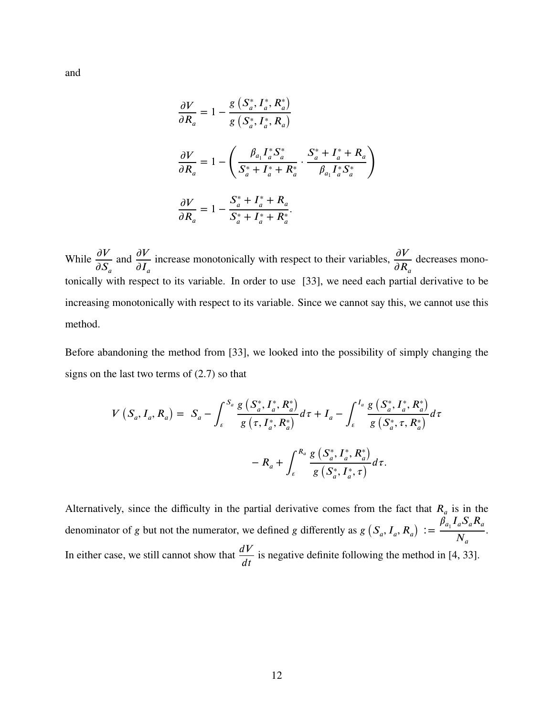$$
\frac{\partial V}{\partial R_a} = 1 - \frac{g\left(S_a^*, I_a^*, R_a^*\right)}{g\left(S_a^*, I_a^*, R_a\right)}
$$
\n
$$
\frac{\partial V}{\partial R_a} = 1 - \left(\frac{\beta_{a_1}I_a^*S_a^*}{S_a^* + I_a^* + R_a^*} \cdot \frac{S_a^* + I_a^* + R_a}{\beta_{a_1}I_a^*S_a^*}\right)
$$
\n
$$
\frac{\partial V}{\partial R_a} = 1 - \frac{S_a^* + I_a^* + R_a}{S_a^* + I_a^* + R_a^*}
$$

While  $\frac{\partial V}{\partial \mathbf{G}}$  $\partial S_a$ and  $\frac{\partial V}{\partial x}$  $\partial I_a$ increase monotonically with respect to their variables,  $\frac{\partial V}{\partial \mathbf{p}}$  $\partial R_a$ decreases monotonically with respect to its variable. In order to use [\[33\]](#page-105-7), we need each partial derivative to be increasing monotonically with respect to its variable. Since we cannot say this, we cannot use this method.

Before abandoning the method from [\[33\]](#page-105-7), we looked into the possibility of simply changing the signs on the last two terms of [\(2.7\)](#page-20-0) so that

$$
V(S_a, I_a, R_a) = S_a - \int_{\epsilon}^{S_a} \frac{g(S_a^*, I_a^*, R_a^*)}{g(\tau, I_a^*, R_a^*)} d\tau + I_a - \int_{\epsilon}^{I_a} \frac{g(S_a^*, I_a^*, R_a^*)}{g(S_a^*, \tau, R_a^*)} d\tau - R_a + \int_{\epsilon}^{R_a} \frac{g(S_a^*, I_a^*, R_a^*)}{g(S_a^*, I_a^*, \tau)} d\tau.
$$

Alternatively, since the difficulty in the partial derivative comes from the fact that  $R_a$  is in the denominator of *g* but not the numerator, we defined *g* differently as  $g(S_a, I_a, R_a)$  $:= \frac{\beta_{a_1} I_a S_a R_a}{\lambda^{f}}$  $N_a$ . In either case, we still cannot show that  $\frac{dV}{dt}$  $dt$ is negative definite following the method in [\[4,](#page-103-4) [33\]](#page-105-7).

and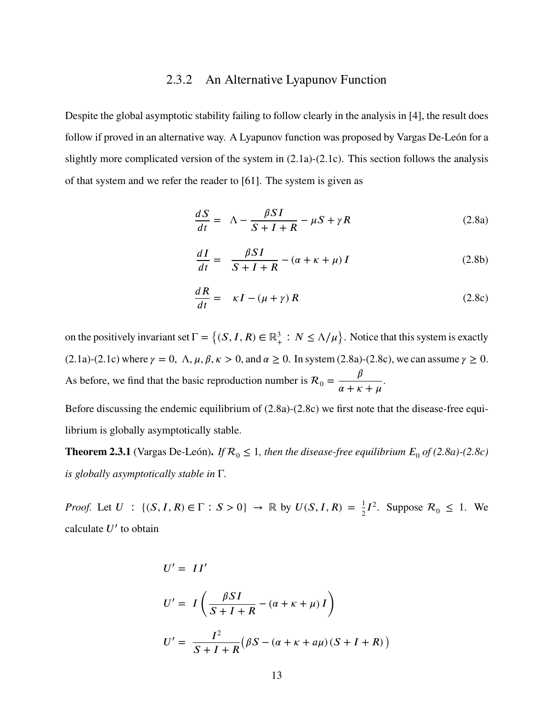#### 2.3.2 An Alternative Lyapunov Function

<span id="page-22-0"></span>Despite the global asymptotic stability failing to follow clearly in the analysis in [\[4\]](#page-103-4), the result does follow if proved in an alternative way. A Lyapunov function was proposed by Vargas De-León for a slightly more complicated version of the system in [\(2.1a\)](#page-14-0)-[\(2.1c\)](#page-14-0). This section follows the analysis of that system and we refer the reader to [\[61\]](#page-106-6). The system is given as

<span id="page-22-1"></span>
$$
\frac{dS}{dt} = \Lambda - \frac{\beta SI}{S + I + R} - \mu S + \gamma R \tag{2.8a}
$$

$$
\frac{dI}{dt} = \frac{\beta SI}{S + I + R} - (\alpha + \kappa + \mu) I \tag{2.8b}
$$

$$
\frac{dR}{dt} = \kappa I - (\mu + \gamma) R \tag{2.8c}
$$

on the positively invariant set  $\Gamma = \{(S, I, R) \in \mathbb{R}_+^3 : N \le \Lambda/\mu\}$ . Notice that this system is exactly [\(2.1a\)](#page-14-0)-[\(2.1c\)](#page-14-0) where  $\gamma = 0$ ,  $\Lambda$ ,  $\mu$ ,  $\beta$ ,  $\kappa > 0$ , and  $\alpha \ge 0$ . In system [\(2.8a\)](#page-22-1)-[\(2.8c\)](#page-22-1), we can assume  $\gamma \ge 0$ . As before, we find that the basic reproduction number is  $R_0 = \frac{\beta}{\alpha + k^2}$  $\alpha + \kappa + \mu$ .

Before discussing the endemic equilibrium of [\(2.8a\)](#page-22-1)-[\(2.8c\)](#page-22-1) we first note that the disease-free equilibrium is globally asymptotically stable.

**Theorem 2.3.1** (Vargas De-León). *If*  $\mathcal{R}_0 \le 1$ , then the disease-free equilibrium  $E_0$  of [\(2.8a\)](#page-22-1)-[\(2.8c\)](#page-22-1) *is globally asymptotically stable in* Γ*.*

*Proof.* Let  $U : \{(S, I, R) \in \Gamma : S > 0\} \to \mathbb{R}$  by  $U(S, I, R) = \frac{1}{2}I^2$ . Suppose  $\mathcal{R}_0 \leq 1$ . We calculate *𝑈*′ to obtain

$$
U' = II'
$$
  
\n
$$
U' = I\left(\frac{\beta SI}{S+I+R} - (\alpha + \kappa + \mu)I\right)
$$
  
\n
$$
U' = \frac{I^2}{S+I+R} (\beta S - (\alpha + \kappa + a\mu)(S+I+R))
$$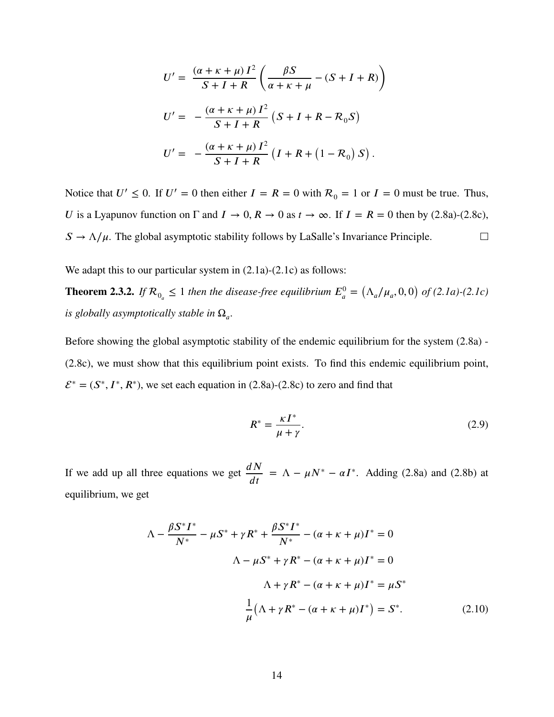$$
U' = \frac{(\alpha + \kappa + \mu) I^2}{S + I + R} \left( \frac{\beta S}{\alpha + \kappa + \mu} - (S + I + R) \right)
$$
  

$$
U' = -\frac{(\alpha + \kappa + \mu) I^2}{S + I + R} (S + I + R - R_0 S)
$$
  

$$
U' = -\frac{(\alpha + \kappa + \mu) I^2}{S + I + R} (I + R + (1 - R_0) S).
$$

Notice that  $U' \le 0$ . If  $U' = 0$  then either  $I = R = 0$  with  $R_0 = 1$  or  $I = 0$  must be true. Thus, *U* is a Lyapunov function on  $\Gamma$  and  $I \to 0$ ,  $R \to 0$  as  $t \to \infty$ . If  $I = R = 0$  then by [\(2.8a\)](#page-22-1)-[\(2.8c\)](#page-22-1),  $S \rightarrow \Lambda/\mu$ . The global asymptotic stability follows by LaSalle's Invariance Principle.  $\Box$ 

We adapt this to our particular system in  $(2.1a)-(2.1c)$  $(2.1a)-(2.1c)$  $(2.1a)-(2.1c)$  as follows:

**Theorem 2.3.2.** If  $\mathcal{R}_{0_a} \leq 1$  then the disease-free equilibrium  $E_a^0 =$  $(\Lambda_a/\mu_a, 0, 0)$ *of [\(2.1a\)](#page-14-0)-[\(2.1c\)](#page-14-0) is globally asymptotically stable in*  $\Omega_a$ .

Before showing the global asymptotic stability of the endemic equilibrium for the system [\(2.8a\)](#page-22-1) - [\(2.8c\)](#page-22-1), we must show that this equilibrium point exists. To find this endemic equilibrium point,  $\mathcal{E}^* = (S^*, I^*, R^*)$ , we set each equation in [\(2.8a\)](#page-22-1)-[\(2.8c\)](#page-22-1) to zero and find that

<span id="page-23-1"></span><span id="page-23-0"></span>
$$
R^* = \frac{\kappa I^*}{\mu + \gamma}.\tag{2.9}
$$

If we add up all three equations we get  $\frac{dN}{dx}$  $dt$  $= \Lambda - \mu N^* - \alpha I^*$ . Adding [\(2.8a\)](#page-22-1) and [\(2.8b\)](#page-22-1) at equilibrium, we get

$$
\Lambda - \frac{\beta S^* I^*}{N^*} - \mu S^* + \gamma R^* + \frac{\beta S^* I^*}{N^*} - (\alpha + \kappa + \mu)I^* = 0
$$
  

$$
\Lambda - \mu S^* + \gamma R^* - (\alpha + \kappa + \mu)I^* = 0
$$
  

$$
\Lambda + \gamma R^* - (\alpha + \kappa + \mu)I^* = \mu S^*
$$
  

$$
\frac{1}{\mu} (\Lambda + \gamma R^* - (\alpha + \kappa + \mu)I^*) = S^*.
$$
 (2.10)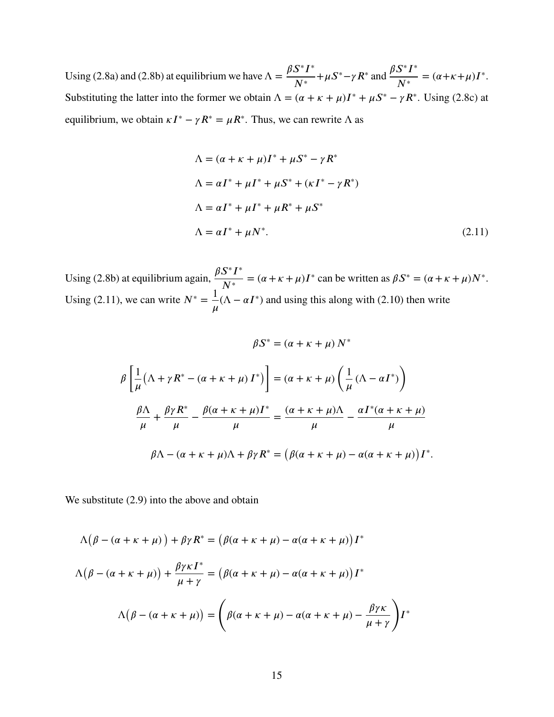Using [\(2.8a\)](#page-22-1) and [\(2.8b\)](#page-22-1) at equilibrium we have  $\Lambda = \frac{\beta S^* I^*}{N^*}$  $N^*$  $+\mu S^* - \gamma R^*$  and  $\frac{\beta S^* I^*}{N^*}$  $N^*$  $= (\alpha + \kappa + \mu)I^*$ . Substituting the latter into the former we obtain  $\Lambda = (\alpha + \kappa + \mu)I^* + \mu S^* - \gamma R^*$ . Using [\(2.8c\)](#page-22-1) at equilibrium, we obtain  $\kappa I^* - \gamma R^* = \mu R^*$ . Thus, we can rewrite  $\Lambda$  as

$$
\Lambda = (\alpha + \kappa + \mu)I^* + \mu S^* - \gamma R^*
$$
  
\n
$$
\Lambda = \alpha I^* + \mu I^* + \mu S^* + (\kappa I^* - \gamma R^*)
$$
  
\n
$$
\Lambda = \alpha I^* + \mu I^* + \mu R^* + \mu S^*
$$
  
\n
$$
\Lambda = \alpha I^* + \mu N^*.
$$
\n(2.11)

Using [\(2.8b\)](#page-22-1) at equilibrium again,  $\frac{\beta S^* I^*}{N^*}$  $N^*$  $= (\alpha + \kappa + \mu)I^*$  can be written as  $\beta S^* = (\alpha + \kappa + \mu)N^*$ . Using [\(2.11\)](#page-24-0), we can write  $N^* = \frac{1}{N}$  $\mu$  $(\Lambda - \alpha I^*)$  and using this along with [\(2.10\)](#page-23-0) then write

<span id="page-24-0"></span> $\beta S^* = (\alpha + \kappa + \mu) N^*$ 

$$
\rho_{\mu\nu} = (\alpha + \kappa + \mu) \Gamma^*
$$
\n
$$
\beta \left[ \frac{1}{\mu} (\Lambda + \gamma R^* - (\alpha + \kappa + \mu) \Gamma^*) \right] = (\alpha + \kappa + \mu) \left( \frac{1}{\mu} (\Lambda - \alpha \Gamma^*) \right)
$$
\n
$$
\frac{\beta \Lambda}{\mu} + \frac{\beta \gamma R^*}{\mu} - \frac{\beta (\alpha + \kappa + \mu) \Gamma^*}{\mu} = \frac{(\alpha + \kappa + \mu) \Lambda}{\mu} - \frac{\alpha \Gamma^* (\alpha + \kappa + \mu)}{\mu}
$$
\n
$$
\beta \Lambda - (\alpha + \kappa + \mu) \Lambda + \beta \gamma R^* = (\beta (\alpha + \kappa + \mu) - \alpha (\alpha + \kappa + \mu)) \Gamma^*.
$$

We substitute [\(2.9\)](#page-23-1) into the above and obtain

$$
\Lambda(\beta - (\alpha + \kappa + \mu)) + \beta \gamma R^* = (\beta(\alpha + \kappa + \mu) - \alpha(\alpha + \kappa + \mu))I^*
$$
  

$$
\Lambda(\beta - (\alpha + \kappa + \mu)) + \frac{\beta \gamma \kappa I^*}{\mu + \gamma} = (\beta(\alpha + \kappa + \mu) - \alpha(\alpha + \kappa + \mu))I^*
$$
  

$$
\Lambda(\beta - (\alpha + \kappa + \mu)) = \left(\beta(\alpha + \kappa + \mu) - \alpha(\alpha + \kappa + \mu) - \frac{\beta \gamma \kappa}{\mu + \gamma}\right)I^*
$$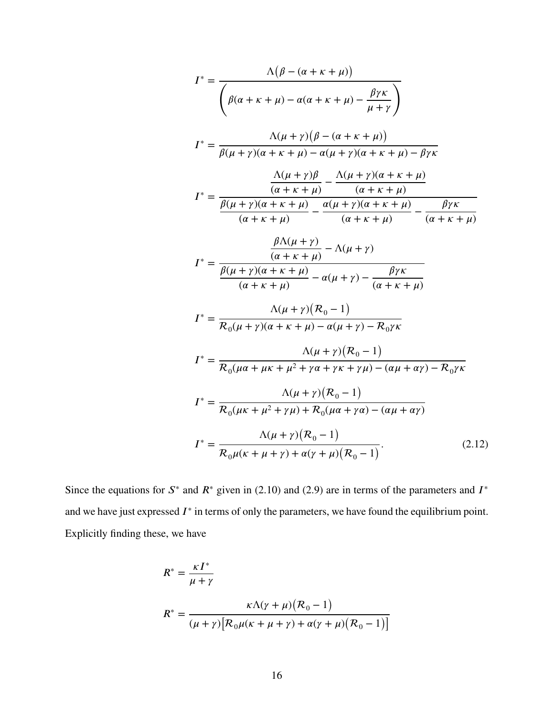$$
I^* = \frac{\Lambda(\beta - (\alpha + \kappa + \mu))}{\left(\beta(\alpha + \kappa + \mu) - \alpha(\alpha + \kappa + \mu) - \frac{\beta\gamma\kappa}{\mu + \gamma}\right)}
$$
  
\n
$$
I^* = \frac{\Lambda(\mu + \gamma)(\beta - (\alpha + \kappa + \mu))}{\beta(\mu + \gamma)(\alpha + \kappa + \mu) - \alpha(\mu + \gamma)(\alpha + \kappa + \mu) - \beta\gamma\kappa}
$$
  
\n
$$
I^* = \frac{\frac{\Lambda(\mu + \gamma)\beta}{(\alpha + \kappa + \mu)} - \frac{\Lambda(\mu + \gamma)(\alpha + \kappa + \mu)}{(\alpha + \kappa + \mu)}}{\frac{\alpha(\mu + \gamma)(\alpha + \kappa + \mu)}{(\alpha + \kappa + \mu)} - \frac{\beta\gamma\kappa}{(\alpha + \kappa + \mu) - \alpha(\mu + \gamma)}}{\frac{\beta\Lambda(\mu + \gamma)}{(\alpha + \kappa + \mu)} - \frac{\lambda(\mu + \gamma)}{(\alpha + \kappa + \mu)} - \frac{\beta\gamma\kappa}{(\alpha + \kappa + \mu) - \alpha(\mu + \gamma) - \beta\gamma\kappa}}
$$
  
\n
$$
I^* = \frac{\Lambda(\mu + \gamma)(\mathcal{R}_0 - 1)}{\mathcal{R}_0(\mu + \gamma)(\alpha + \kappa + \mu) - \alpha(\mu + \gamma) - \frac{\beta\gamma\kappa}{(\alpha + \kappa + \mu) - \alpha(\mu + \gamma) - \mathcal{R}_0\gamma\kappa}}
$$
  
\n
$$
I^* = \frac{\Lambda(\mu + \gamma)(\mathcal{R}_0 - 1)}{\mathcal{R}_0(\mu\alpha + \mu\kappa + \mu^2 + \gamma\alpha + \gamma\kappa + \gamma\mu) - (\alpha\mu + \alpha\gamma) - \mathcal{R}_0\gamma\kappa}
$$
  
\n
$$
I^* = \frac{\Lambda(\mu + \gamma)(\mathcal{R}_0 - 1)}{\mathcal{R}_0(\mu\kappa + \mu^2 + \gamma\mu) + \mathcal{R}_0(\mu\alpha + \gamma\alpha) - (\alpha\mu + \alpha\gamma)}
$$
  
\n
$$
I^* = \frac{\Lambda(\mu + \gamma)(\mathcal{R}_0 - 1)}{\mathcal{R}_0(\mu\kappa + \mu + \gamma) + \alpha(\gamma + \mu)(\mathcal{R}_0 - 1)}.
$$
 (2.12)

Since the equations for  $S^*$  and  $R^*$  given in [\(2.10\)](#page-23-0) and [\(2.9\)](#page-23-1) are in terms of the parameters and  $I^*$ and we have just expressed  $I^*$  in terms of only the parameters, we have found the equilibrium point. Explicitly finding these, we have

$$
R^* = \frac{\kappa I^*}{\mu + \gamma}
$$
  

$$
R^* = \frac{\kappa \Lambda(\gamma + \mu)(R_0 - 1)}{(\mu + \gamma) [\mathcal{R}_0 \mu(\kappa + \mu + \gamma) + \alpha(\gamma + \mu)(R_0 - 1)]}
$$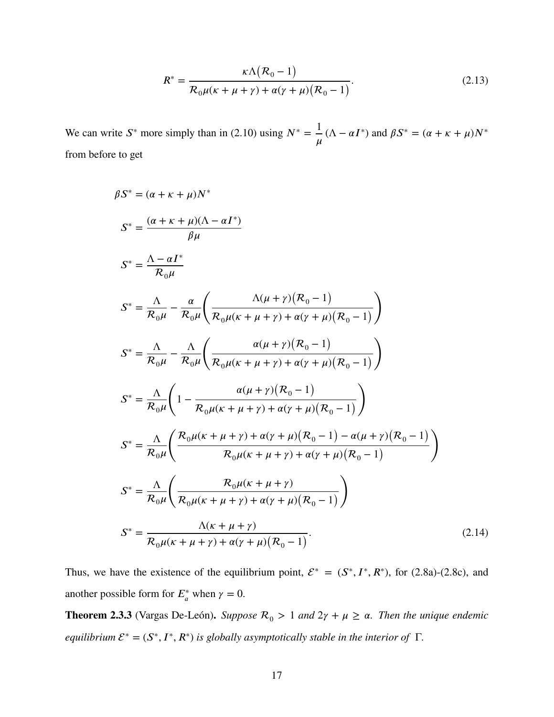$$
R^* = \frac{\kappa \Lambda (\mathcal{R}_0 - 1)}{\mathcal{R}_0 \mu (\kappa + \mu + \gamma) + \alpha (\gamma + \mu) (\mathcal{R}_0 - 1)}.
$$
 (2.13)

We can write  $S^*$  more simply than in [\(2.10\)](#page-23-0) using  $N^* = \frac{1}{S}$  $\mu$  $(\Lambda - \alpha I^*)$  and  $\beta S^* = (\alpha + \kappa + \mu)N^*$ from before to get

$$
\beta S^* = (\alpha + \kappa + \mu) N^*
$$
\n
$$
S^* = \frac{(\alpha + \kappa + \mu)(\Lambda - \alpha I^*)}{\beta \mu}
$$
\n
$$
S^* = \frac{\Lambda - \alpha I^*}{\mathcal{R}_0 \mu}
$$
\n
$$
S^* = \frac{\Lambda}{\mathcal{R}_0 \mu} - \frac{\alpha}{\mathcal{R}_0 \mu} \left( \frac{\Lambda(\mu + \gamma)(\mathcal{R}_0 - 1)}{\mathcal{R}_0 \mu(\kappa + \mu + \gamma) + \alpha(\gamma + \mu)(\mathcal{R}_0 - 1)} \right)
$$
\n
$$
S^* = \frac{\Lambda}{\mathcal{R}_0 \mu} - \frac{\Lambda}{\mathcal{R}_0 \mu} \left( \frac{\alpha(\mu + \gamma)(\mathcal{R}_0 - 1)}{\mathcal{R}_0 \mu(\kappa + \mu + \gamma) + \alpha(\gamma + \mu)(\mathcal{R}_0 - 1)} \right)
$$
\n
$$
S^* = \frac{\Lambda}{\mathcal{R}_0 \mu} \left( 1 - \frac{\alpha(\mu + \gamma)(\mathcal{R}_0 - 1)}{\mathcal{R}_0 \mu(\kappa + \mu + \gamma) + \alpha(\gamma + \mu)(\mathcal{R}_0 - 1)} \right)
$$
\n
$$
S^* = \frac{\Lambda}{\mathcal{R}_0 \mu} \left( \frac{\mathcal{R}_0 \mu(\kappa + \mu + \gamma) + \alpha(\gamma + \mu)(\mathcal{R}_0 - 1) - \alpha(\mu + \gamma)(\mathcal{R}_0 - 1)}{\mathcal{R}_0 \mu(\kappa + \mu + \gamma) + \alpha(\gamma + \mu)(\mathcal{R}_0 - 1)} \right)
$$
\n
$$
S^* = \frac{\Lambda}{\mathcal{R}_0 \mu} \left( \frac{\mathcal{R}_0 \mu(\kappa + \mu + \gamma)}{\mathcal{R}_0 \mu(\kappa + \mu + \gamma) + \alpha(\gamma + \mu)(\mathcal{R}_0 - 1)} \right)
$$
\n
$$
S^* = \frac{\Lambda(\kappa + \mu + \gamma)}{\mathcal{R}_0 \mu(\kappa + \mu + \gamma) + \alpha(\gamma + \mu)(\mathcal{R}_0 - 1)}.
$$
\n(2.14)

Thus, we have the existence of the equilibrium point,  $\mathcal{E}^* = (S^*, I^*, R^*)$ , for [\(2.8a\)](#page-22-1)-[\(2.8c\)](#page-22-1), and another possible form for  $E_a^*$  when  $\gamma = 0$ .

**Theorem 2.3.3** (Vargas De-León). *Suppose*  $\mathcal{R}_0 > 1$  *and*  $2\gamma + \mu \ge \alpha$ *. Then the unique endemic equilibrium*  $\mathcal{E}^* = (S^*, I^*, R^*)$  *is globally asymptotically stable in the interior of*  $\Gamma$ *.*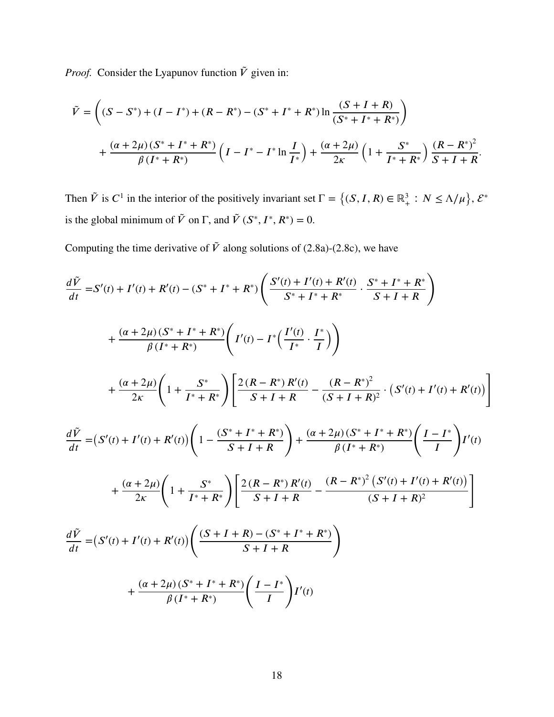*Proof.* Consider the Lyapunov function  $\tilde{V}$  given in:

$$
\tilde{V} = \left( (S - S^*) + (I - I^*) + (R - R^*) - (S^* + I^* + R^*) \ln \frac{(S + I + R)}{(S^* + I^* + R^*)} \right) \n+ \frac{(\alpha + 2\mu)(S^* + I^* + R^*)}{\beta(I^* + R^*)} \left( I - I^* - I^* \ln \frac{I}{I^*} \right) + \frac{(\alpha + 2\mu)}{2\kappa} \left( 1 + \frac{S^*}{I^* + R^*} \right) \frac{(R - R^*)^2}{S + I + R}.
$$

Then  $\tilde{V}$  is  $C^1$  in the interior of the positively invariant set  $\Gamma = \{(S, I, R) \in \mathbb{R}^3_+ : N \le \Lambda/\mu\}$ ,  $\mathcal{E}^*$ is the global minimum of  $\tilde{V}$  on  $\Gamma$ , and  $\tilde{V}$  ( $S^*, I^*, R^*$ ) = 0.

Computing the time derivative of  $\tilde{V}$  along solutions of [\(2.8a\)](#page-22-1)-[\(2.8c\)](#page-22-1), we have

$$
\frac{d\tilde{V}}{dt} = S'(t) + I'(t) + R'(t) - (S^* + I^* + R^*) \left( \frac{S'(t) + I'(t) + R'(t)}{S^* + I^* + R^*} \cdot \frac{S^* + I^* + R^*}{S + I + R} \right)
$$
  
+ 
$$
\frac{(\alpha + 2\mu)(S^* + I^* + R^*)}{\beta(I^* + R^*)} \left( I'(t) - I^* \left( \frac{I'(t)}{I^*} \cdot \frac{I^*}{I} \right) \right)
$$
  
+ 
$$
\frac{(\alpha + 2\mu)}{2\kappa} \left( 1 + \frac{S^*}{I^* + R^*} \right) \left[ \frac{2(R - R^*)R'(t)}{S + I + R} - \frac{(R - R^*)^2}{(S + I + R)^2} \cdot (S'(t) + I'(t) + R'(t)) \right]
$$
  

$$
\frac{d\tilde{V}}{dt} = (S'(t) + I'(t) + R'(t)) \left( 1 - \frac{(S^* + I^* + R^*)}{S + I + R} \right) + \frac{(\alpha + 2\mu)(S^* + I^* + R^*)}{\beta(I^* + R^*)} \left( \frac{I - I^*}{I} \right) I'(t)
$$
  
+ 
$$
\frac{(\alpha + 2\mu)}{2\kappa} \left( 1 + \frac{S^*}{I^* + R^*} \right) \left[ \frac{2(R - R^*)R'(t)}{S + I + R} - \frac{(R - R^*)^2(S'(t) + I'(t) + R'(t))}{(S + I + R)^2} \right]
$$
  

$$
\frac{d\tilde{V}}{dt} = (S'(t) + I'(t) + R'(t)) \left( \frac{(S + I + R) - (S^* + I^* + R^*)}{S + I + R} \right)
$$
  
+ 
$$
\frac{(\alpha + 2\mu)(S^* + I^* + R^*)}{\beta(I^* + R^*)} \left( \frac{I - I^*}{I} \right) I'(t)
$$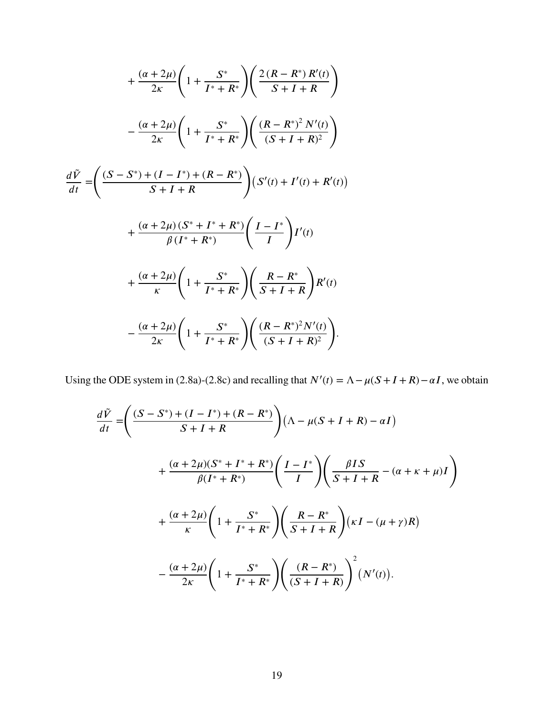$$
+\frac{(\alpha+2\mu)}{2\kappa}\left(1+\frac{S^*}{I^*+R^*}\right)\left(\frac{2(R-R^*)R'(t)}{S+I+R}\right) -\frac{(\alpha+2\mu)}{2\kappa}\left(1+\frac{S^*}{I^*+R^*}\right)\left(\frac{(R-R^*)^2N'(t)}{(S+I+R)^2}\right) \n\frac{d\tilde{V}}{dt} = \left(\frac{(S-S^*)+(I-I^*)+(R-R^*)}{S+I+R}\right)(S'(t)+I'(t)+R'(t)) +\frac{(\alpha+2\mu)(S^*+I^*+R^*)}{\beta(I^*+R^*)}\left(\frac{I-I^*}{I}\right)I'(t) +\frac{(\alpha+2\mu)}{\kappa}\left(1+\frac{S^*}{I^*+R^*}\right)\left(\frac{R-R^*}{S+I+R}\right)R'(t) -\frac{(\alpha+2\mu)}{2\kappa}\left(1+\frac{S^*}{I^*+R^*}\right)\left(\frac{(R-R^*)^2N'(t)}{(S+I+R)^2}\right).
$$

Using the ODE system in [\(2.8a\)](#page-22-1)-[\(2.8c\)](#page-22-1) and recalling that  $N'(t) = \Lambda - \mu(S + I + R) - \alpha I$ , we obtain

$$
\frac{d\tilde{V}}{dt} = \left(\frac{(S - S^*) + (I - I^*) + (R - R^*)}{S + I + R}\right) \left(\Lambda - \mu(S + I + R) - \alpha I\right)
$$

$$
+ \frac{(\alpha + 2\mu)(S^* + I^* + R^*)}{\beta(I^* + R^*)} \left(\frac{I - I^*}{I}\right) \left(\frac{\beta I S}{S + I + R} - (\alpha + \kappa + \mu)I\right)
$$

$$
+ \frac{(\alpha + 2\mu)}{\kappa} \left(1 + \frac{S^*}{I^* + R^*}\right) \left(\frac{R - R^*}{S + I + R}\right) (\kappa I - (\mu + \gamma)R)
$$

$$
- \frac{(\alpha + 2\mu)}{2\kappa} \left(1 + \frac{S^*}{I^* + R^*}\right) \left(\frac{(R - R^*)}{(S + I + R)}\right)^2 (N'(t)).
$$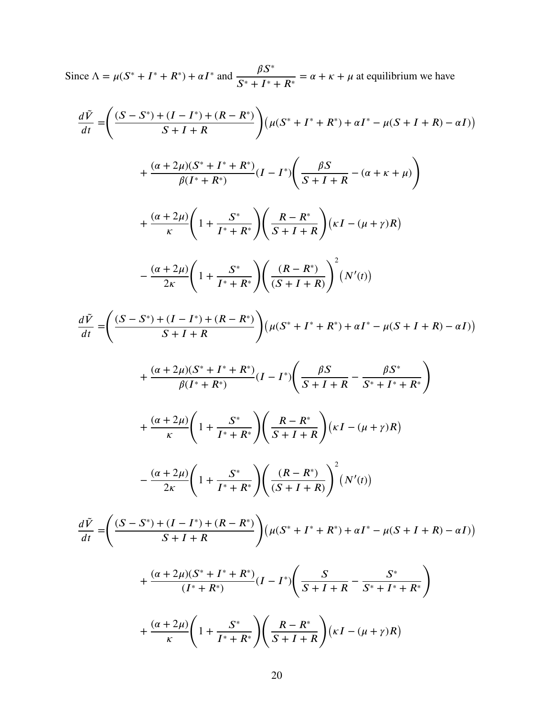Since 
$$
\Lambda = \mu(S^* + I^* + R^*) + \alpha I^*
$$
 and  $\frac{\beta S^*}{S^* + I^* + R^*} = \alpha + \kappa + \mu$  at equilibrium we have

$$
\frac{d\tilde{V}}{dt} = \left(\frac{(S - S^*) + (I - I^*) + (R - R^*)}{S + I + R}\right) \left(\mu(S^* + I^* + R^*) + \alpha I^* - \mu(S + I + R) - \alpha I)\right)
$$
  
+ 
$$
\frac{(\alpha + 2\mu)(S^* + I^* + R^*)}{\beta(I^* + R^*)} (I - I^*) \left(\frac{\beta S}{S + I + R} - (\alpha + \kappa + \mu)\right)
$$
  
+ 
$$
\frac{(\alpha + 2\mu)}{\kappa} \left(1 + \frac{S^*}{I^* + R^*}\right) \left(\frac{R - R^*}{S + I + R}\right) (\kappa I - (\mu + \gamma)R)
$$
  
- 
$$
\frac{(\alpha + 2\mu)}{2\kappa} \left(1 + \frac{S^*}{I^* + R^*}\right) \left(\frac{(R - R^*)}{(S + I + R)}\right)^2 (N'(t))
$$
  

$$
\frac{d\tilde{V}}{dt} = \left(\frac{(S - S^*) + (I - I^*) + (R - R^*)}{S + I + R}\right) (\mu(S^* + I^* + R^*) + \alpha I^* - \mu(S + I + R) - \alpha I)\right)
$$
  
+ 
$$
\frac{(\alpha + 2\mu)(S^* + I^* + R^*)}{\beta(I^* + R^*)} (I - I^*) \left(\frac{\beta S}{S + I + R} - \frac{\beta S^*}{S^* + I^* + R^*}\right)
$$
  
+ 
$$
\frac{(\alpha + 2\mu)}{\kappa} \left(1 + \frac{S^*}{I^* + R^*}\right) \left(\frac{R - R^*}{S + I + R}\right) (\kappa I - (\mu + \gamma)R)
$$
  
- 
$$
\frac{(\alpha + 2\mu)}{2\kappa} \left(1 + \frac{S^*}{I^* + R^*}\right) \left(\frac{(R - R^*)}{(S + I + R)}\right)^2 (N'(t))
$$
  

$$
\frac{d\tilde{V}}{dt} = \left(\frac{(S - S^*) + (I - I^*) + (R - R^*)}{S + I + R}\right) (\mu(S^* + I^* + R^*) + \alpha I^* - \mu(S + I + R) - \alpha I)\right)
$$
  
+ 
$$
\frac{(\alpha + 2\mu)(S^* + I^* +
$$

 $S + I + R$ 

 $I^* + R^*$ 

 $\boldsymbol{k}$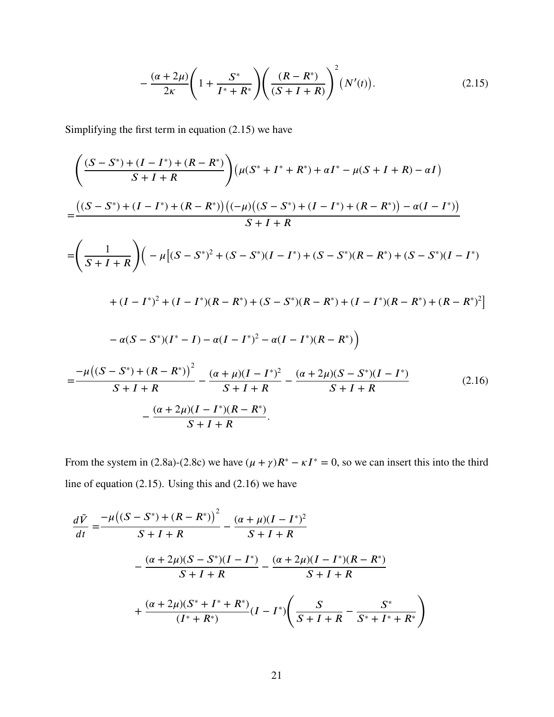<span id="page-30-0"></span>
$$
-\frac{(\alpha+2\mu)}{2\kappa}\left(1+\frac{S^*}{I^*+R^*}\right)\left(\frac{(R-R^*)}{(S+I+R)}\right)^2\left(N'(t)\right).
$$
\n(2.15)

Simplifying the first term in equation [\(2.15\)](#page-30-0) we have

$$
\left(\frac{(S-S^*)+(I-I^*)+(R-R^*)}{S+I+R}\right)\left(\mu(S^*+I^*+R^*)+\alpha I^*-\mu(S+I+R)-\alpha I\right)
$$
\n
$$
=\frac{((S-S^*)+(I-I^*)+(R-R^*))\left((- \mu\left((S-S^*)+(I-I^*)+(R-R^*)\right)-\alpha(I-I^*)\right)}{S+I+R}
$$
\n
$$
=\left(\frac{1}{S+I+R}\right)\left(-\mu\left[(S-S^*)^2+(S-S^*)(I-I^*)+(S-S^*)(R-R^*)+(S-S^*)(I-I^*)\right)+((I-I^*)^2+(I-I^*)(R-R^*)+(S-S^*)(R-R^*)+(I-I^*)(R-R^*)+(R-R^*)^2\right]
$$
\n
$$
-\alpha(S-S^*)(I^*-I)-\alpha(I-I^*)^2-\alpha(I-I^*)(R-R^*)
$$
\n
$$
=\frac{-\mu\left((S-S^*)+(R-R^*)\right)^2}{S+I+R}-\frac{(\alpha+\mu)(I-I^*)^2}{S+I+R}-\frac{(\alpha+2\mu)(S-S^*)(I-I^*)}{S+I+R}
$$
\n
$$
-\frac{(\alpha+2\mu)(I-I^*)(R-R^*)}{S+I+R}.
$$
\n(2.16)

<span id="page-30-1"></span>From the system in [\(2.8a\)](#page-22-1)-[\(2.8c\)](#page-22-1) we have  $(\mu + \gamma)R^* - \kappa I^* = 0$ , so we can insert this into the third line of equation [\(2.15\)](#page-30-0). Using this and [\(2.16\)](#page-30-1) we have

$$
\frac{d\tilde{V}}{dt} = \frac{-\mu((S - S^*) + (R - R^*))^2}{S + I + R} - \frac{(\alpha + \mu)(I - I^*)^2}{S + I + R} \n- \frac{(\alpha + 2\mu)(S - S^*)(I - I^*)}{S + I + R} - \frac{(\alpha + 2\mu)(I - I^*)(R - R^*)}{S + I + R} \n+ \frac{(\alpha + 2\mu)(S^* + I^* + R^*)}{(I^* + R^*)}(I - I^*) \left(\frac{S}{S + I + R} - \frac{S^*}{S^* + I^* + R^*}\right)
$$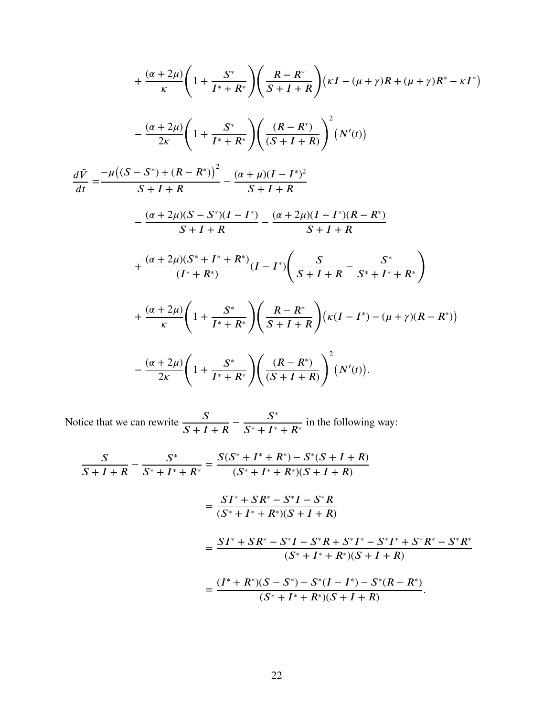$$
+\frac{(\alpha+2\mu)}{\kappa} \left(1+\frac{S^*}{I^*+R^*}\right) \left(\frac{R-R^*}{S+I+R}\right) (\kappa I - (\mu+\gamma)R + (\mu+\gamma)R^* - \kappa I^*)
$$

$$
-\frac{(\alpha+2\mu)}{2\kappa} \left(1+\frac{S^*}{I^*+R^*}\right) \left(\frac{(R-R^*)}{(S+I+R)}\right)^2 (N'(t))
$$

$$
\frac{d\tilde{V}}{dt} = \frac{-\mu((S-S^*) + (R-R^*))^2}{S+I+R} - \frac{(\alpha+\mu)(I-I^*)^2}{S+I+R}
$$

$$
-\frac{(\alpha+2\mu)(S-S^*)(I-I^*)}{S+I+R} - \frac{(\alpha+2\mu)(I-I^*)(R-R^*)}{S+I+R}
$$

$$
+\frac{(\alpha+2\mu)(S^*+I^*+R^*)}{(I^*+R^*)} (I-I^*) \left(\frac{S}{S+I+R} - \frac{S^*}{S^*+I^*+R^*}\right)
$$

$$
+\frac{(\alpha+2\mu)}{\kappa} \left(1+\frac{S^*}{I^*+R^*}\right) \left(\frac{R-R^*}{S+I+R}\right) (\kappa(I-I^*) - (\mu+\gamma)(R-R^*))
$$

$$
-\frac{(\alpha+2\mu)}{2\kappa} \left(1+\frac{S^*}{I^*+R^*}\right) \left(\frac{(R-R^*)}{(S+I+R)}\right)^2 (N'(t)).
$$

Notice that we can rewrite  $\frac{S}{\sqrt{S+I}}$  $S + I + R$  $-\frac{S^*}{S^* + I^*}$  $S^* + I^* + R^*$ in the following way:

$$
\frac{S}{S+I+R} - \frac{S^*}{S^*+I^*+R^*} = \frac{S(S^*+I^*+R^*) - S^*(S+I+R)}{(S^*+I^*+R^*)(S+I+R)}
$$
  

$$
= \frac{SI^*+SR^*-S^*I-S^*R}{(S^*+I^*+R^*)(S+I+R)}
$$
  

$$
= \frac{SI^*+SR^*-S^*I-S^*R+S^*I^*-S^*I^*+S^*R^*-S^*R^*}{(S^*+I^*+R^*)(S+I+R)}
$$
  

$$
= \frac{(I^*+R^*)(S-S^*)-S^*(I-I^*)-S^*(R-R^*)}{(S^*+I^*+R^*)(S+I+R)}.
$$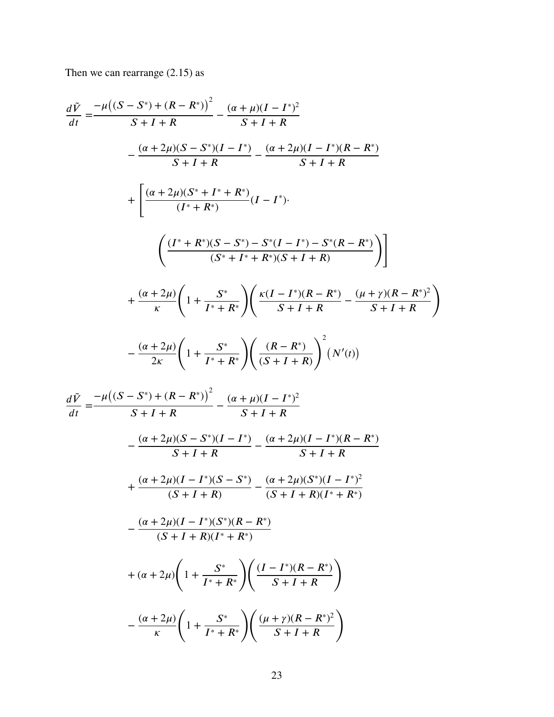Then we can rearrange  $(2.15)$  as

$$
\frac{d\tilde{V}}{dt} = \frac{-\mu((S - S^*) + (R - R^*))^2}{S + I + R} - \frac{(\alpha + \mu)(I - I^*)^2}{S + I + R}
$$

$$
- \frac{(\alpha + 2\mu)(S - S^*)(I - I^*)}{S + I + R} - \frac{(\alpha + 2\mu)(I - I^*)(R - R^*)}{S + I + R}
$$

$$
+ \left[ \frac{(\alpha + 2\mu)(S^* + I^* + R^*)}{(I^* + R^*)}(I - I^*)
$$

$$
\left( \frac{(I^* + R^*)(S - S^*) - S^*(I - I^*) - S^*(R - R^*)}{(S^* + I^* + R^*)(S + I + R)} \right) \right]
$$

$$
+ \frac{(\alpha + 2\mu)}{\kappa} \left( 1 + \frac{S^*}{I^* + R^*} \right) \left( \frac{\kappa(I - I^*)(R - R^*)}{S + I + R} - \frac{(\mu + \gamma)(R - R^*)^2}{S + I + R} \right)
$$

$$
- \frac{(\alpha + 2\mu)}{2\kappa} \left( 1 + \frac{S^*}{I^* + R^*} \right) \left( \frac{(R - R^*)}{(S + I + R)} \right)^2 (N'(t))
$$

$$
d\tilde{V} = -\mu((S - S^*) + (R - R^*))^2 \quad (\alpha + \mu)(I - I^*)^2
$$

$$
\frac{d\tilde{V}}{dt} = \frac{-\mu((S - S^*) + (R - R^*))^2}{S + I + R} - \frac{(\alpha + \mu)(I - I^*)^2}{S + I + R}
$$

$$
- \frac{(\alpha + 2\mu)(S - S^*)(I - I^*)}{S + I + R} - \frac{(\alpha + 2\mu)(I - I^*)(R - R^*)}{S + I + R}
$$

$$
+ \frac{(\alpha + 2\mu)(I - I^*)(S - S^*)}{(S + I + R)} - \frac{(\alpha + 2\mu)(S^*)(I - I^*)^2}{(S + I + R)(I^* + R^*)}
$$

$$
- \frac{(\alpha + 2\mu)(I - I^*)(S^*)(R - R^*)}{(S + I + R)(I^* + R^*)}
$$

$$
+ (\alpha + 2\mu) \left(1 + \frac{S^*}{I^* + R^*}\right) \left(\frac{(I - I^*)(R - R^*)}{S + I + R}\right)
$$

$$
- \frac{(\alpha + 2\mu)}{\kappa} \left(1 + \frac{S^*}{I^* + R^*}\right) \left(\frac{(\mu + \gamma)(R - R^*)^2}{S + I + R}\right)
$$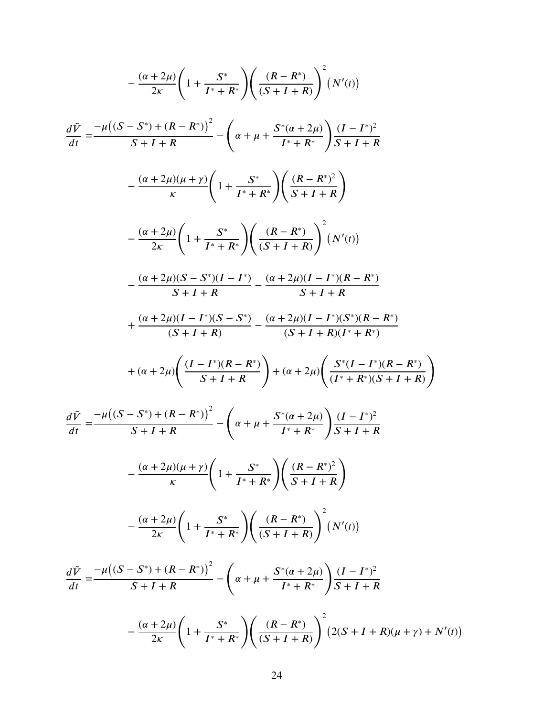$$
-\frac{(\alpha+2\mu)}{2\kappa}\left(1+\frac{S^*}{I^*+R^*}\right)\left(\frac{(R-R^*)}{(S+I+R)}\right)^2(N'(t))
$$
\n
$$
\frac{d\tilde{V}}{dt} = \frac{-\mu((S-S^*)+(R-R^*))^2}{S+I+R} - \frac{(\alpha+2\mu)(\mu+\gamma)}{\kappa}\left(1+\frac{S^*}{I^*+R^*}\right)\left(\frac{(R-R^*)^2}{S+I+R}\right)
$$
\n
$$
-\frac{(\alpha+2\mu)}{\kappa}\left(1+\frac{S^*}{I^*+R^*}\right)\left(\frac{(R-R^*)^2}{S+I+R}\right)
$$
\n
$$
-\frac{(\alpha+2\mu)}{2\kappa}\left(1+\frac{S^*}{I^*+R^*}\right)\left(\frac{(R-R^*)^2}{(S+I+R)}\right)^2(N'(t))
$$
\n
$$
-\frac{(\alpha+2\mu)(S-S^*)(I-I^*)}{S+I+R} - \frac{(\alpha+2\mu)(I-I^*)(R-R^*)}{S+I+R}
$$
\n
$$
+\frac{(\alpha+2\mu)(I-I^*)(S-S^*)}{(S+I+R)} - \frac{(\alpha+2\mu)(I-I^*)(S^*)(R-R^*)}{(S+I+R)(I^*+R^*)}
$$
\n
$$
+( \alpha+2\mu)\left(\frac{(I-I^*)(R-R^*)}{S+I+R}\right) + (\alpha+2\mu)\left(\frac{S^*(I-I^*)(R-R^*)}{(I^*+R^*)(S+I+R)}\right)
$$
\n
$$
\frac{d\tilde{V}}{dt} = \frac{-\mu((S-S^*)+(R-R^*))^2}{S+I+R} - \left(\alpha+\mu+\frac{S^*(\alpha+2\mu)}{I^*+R^*}\right)\frac{(I-I^*)^2}{S+I+R}
$$
\n
$$
-\frac{(\alpha+2\mu)(\mu+\gamma)}{\kappa}\left(1+\frac{S^*}{I^*+R^*}\right)\left(\frac{(R-R^*)^2}{S+I+R}\right)
$$
\n
$$
-\frac{(\alpha+2\mu)}{2\kappa}\left(1+\frac{S^*}{I^*+R^*}\right)\left(\frac{(R-R^*)}{(S+I+R)}\right)^2(N'(t))
$$
\n
$$
\frac{d\tilde{V}}
$$

 $(t)$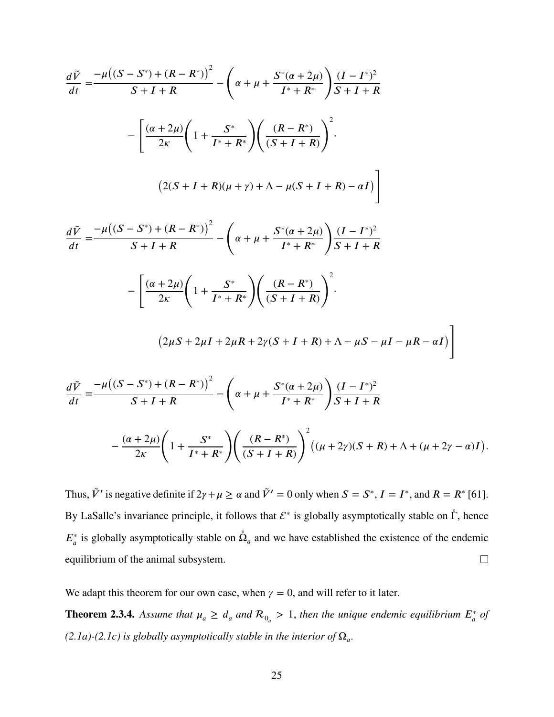$$
\frac{d\tilde{V}}{dt} = \frac{-\mu((S - S^*) + (R - R^*))^2}{S + I + R} - \left(\alpha + \mu + \frac{S^*(\alpha + 2\mu)}{I^* + R^*}\right) \frac{(I - I^*)^2}{S + I + R}
$$

$$
- \left[\frac{(\alpha + 2\mu)}{2\kappa} \left(1 + \frac{S^*}{I^* + R^*}\right) \left(\frac{(R - R^*)}{(S + I + R)}\right)^2.
$$

$$
(2(S + I + R)(\mu + \gamma) + \Lambda - \mu(S + I + R) - \alpha I)\right]
$$

$$
\frac{d\tilde{V}}{dt} = \frac{-\mu((S - S^*) + (R - R^*))^2}{S + I + R} - \left(\alpha + \mu + \frac{S^*(\alpha + 2\mu)}{I^* + R^*}\right) \frac{(I - I^*)^2}{S + I + R}
$$

$$
- \left[\frac{(\alpha + 2\mu)}{2\kappa} \left(1 + \frac{S^*}{I^* + R^*}\right) \left(\frac{(R - R^*)}{(S + I + R)}\right)^2.
$$

$$
(2\mu S + 2\mu I + 2\mu R + 2\gamma(S + I + R) + \Lambda - \mu S - \mu I - \mu R - \alpha I)\right]
$$

$$
\frac{d\tilde{V}}{dt} = \frac{-\mu((S - S^*) + (R - R^*))^2}{S + I + R} - \left(\alpha + \mu + \frac{S^*(\alpha + 2\mu)}{I^* + R^*}\right) \frac{(I - I^*)^2}{S + I + R}
$$

$$
- \frac{(\alpha + 2\mu)}{S + I + R} \left(1 + \frac{S^*}{I^* + R^*}\right) \left(\frac{(R - R^*)}{(R + I^*)^2}\right)^2 ((\mu + 2\gamma)(S + R) + \Lambda + (\mu + 2\gamma - \alpha)I).
$$

Thus,  $\tilde{V}'$  is negative definite if  $2\gamma + \mu \ge \alpha$  and  $\tilde{V}' = 0$  only when  $S = S^*$ ,  $I = I^*$ , and  $R = R^*$  [\[61\]](#page-106-6). By LaSalle's invariance principle, it follows that  $\mathcal{E}^*$  is globally asymptotically stable on  $\hat{\Gamma}$ , hence  $E^*_a$  is globally asymptotically stable on  $\hat{\Omega}_a$  and we have established the existence of the endemic  $\Box$ equilibrium of the animal subsystem.

 $(S + I + R)$ 

We adapt this theorem for our own case, when  $\gamma = 0$ , and will refer to it later.

 $I^* + R^*$ 

 $2\kappa$ 

**Theorem 2.3.4.** Assume that  $\mu_a \geq d_a$  and  $\mathcal{R}_{0_a} > 1$ , then the unique endemic equilibrium  $E_a^*$  of  $(2.1a)$ - $(2.1c)$  is globally asymptotically stable in the interior of  $\Omega_a$ .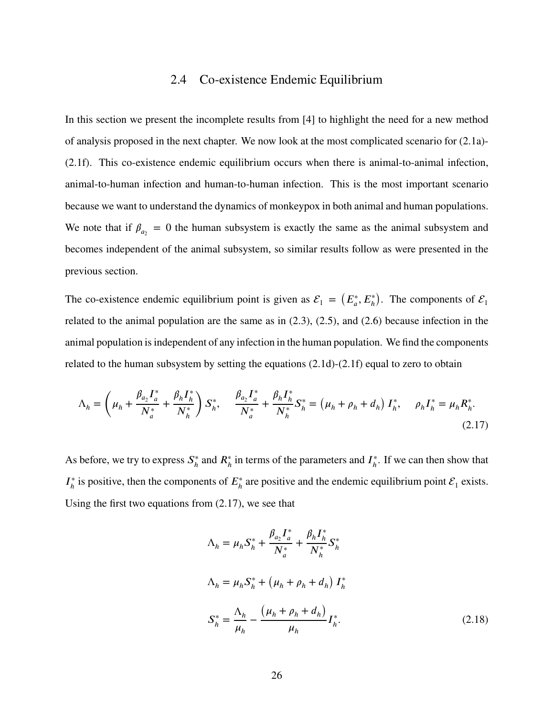#### 2.4 Co-existence Endemic Equilibrium

<span id="page-35-0"></span>In this section we present the incomplete results from [\[4\]](#page-103-4) to highlight the need for a new method of analysis proposed in the next chapter. We now look at the most complicated scenario for [\(2.1a\)](#page-14-0)- [\(2.1f\)](#page-14-0). This co-existence endemic equilibrium occurs when there is animal-to-animal infection, animal-to-human infection and human-to-human infection. This is the most important scenario because we want to understand the dynamics of monkeypox in both animal and human populations. We note that if  $\beta_{a_2} = 0$  the human subsystem is exactly the same as the animal subsystem and becomes independent of the animal subsystem, so similar results follow as were presented in the previous section.

The co-existence endemic equilibrium point is given as  $\mathcal{E}_1 = (E_a^*, E_h^*)$ ). The components of  $\mathcal{E}_1$ related to the animal population are the same as in [\(2.3\)](#page-18-0), [\(2.5\)](#page-18-1), and [\(2.6\)](#page-19-1) because infection in the animal population is independent of any infection in the human population. We find the components related to the human subsystem by setting the equations  $(2.1d)-(2.1f)$  $(2.1d)-(2.1f)$  $(2.1d)-(2.1f)$  equal to zero to obtain

<span id="page-35-1"></span>
$$
\Lambda_h = \left(\mu_h + \frac{\beta_{a_2} I_a^*}{N_a^*} + \frac{\beta_h I_h^*}{N_h^*}\right) S_h^*, \quad \frac{\beta_{a_2} I_a^*}{N_a^*} + \frac{\beta_h I_h^*}{N_h^*} S_h^* = \left(\mu_h + \rho_h + d_h\right) I_h^*, \quad \rho_h I_h^* = \mu_h R_h^*.
$$
\n(2.17)

As before, we try to express  $S_h^*$ <sup>\*</sup><sub>*h*</sub> and  $R_h^*$  in terms of the parameters and  $I_h^*$ *ℎ* . If we can then show that  $I_{\iota}^*$  $\hat{h}$ <sup>\*</sup> is positive, then the components of  $E_h^*$  $\hat{h}$  are positive and the endemic equilibrium point  $\mathcal{E}_1$  exists. Using the first two equations from [\(2.17\)](#page-35-1), we see that

$$
\Lambda_{h} = \mu_{h} S_{h}^{*} + \frac{\beta_{a_{2}} I_{a}^{*}}{N_{a}^{*}} + \frac{\beta_{h} I_{h}^{*}}{N_{h}^{*}} S_{h}^{*}
$$
  

$$
\Lambda_{h} = \mu_{h} S_{h}^{*} + (\mu_{h} + \rho_{h} + d_{h}) I_{h}^{*}
$$
  

$$
S_{h}^{*} = \frac{\Lambda_{h}}{\mu_{h}} - \frac{(\mu_{h} + \rho_{h} + d_{h})}{\mu_{h}} I_{h}^{*}.
$$
 (2.18)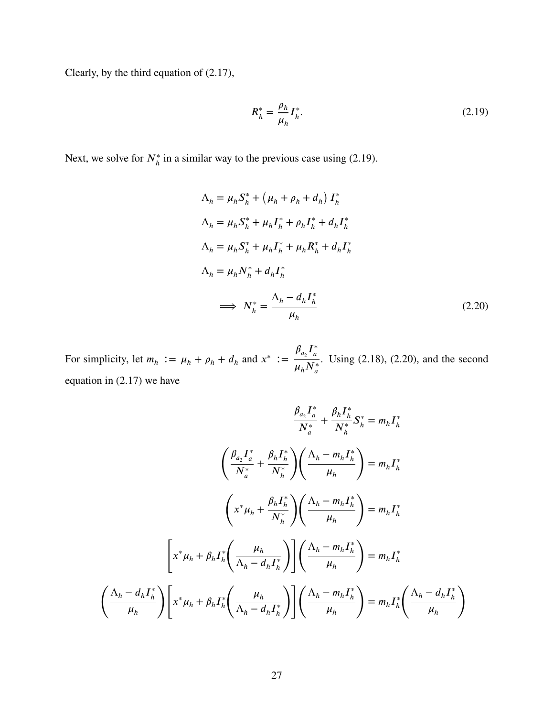Clearly, by the third equation of [\(2.17\)](#page-35-0),

<span id="page-36-0"></span>
$$
R_h^* = \frac{\rho_h}{\mu_h} I_h^*.
$$
 (2.19)

Next, we solve for  $N_h^*$  in a similar way to the previous case using [\(2.19\)](#page-36-0).

<span id="page-36-1"></span>
$$
\Lambda_h = \mu_h S_h^* + (\mu_h + \rho_h + d_h) I_h^*
$$
  
\n
$$
\Lambda_h = \mu_h S_h^* + \mu_h I_h^* + \rho_h I_h^* + d_h I_h^*
$$
  
\n
$$
\Lambda_h = \mu_h S_h^* + \mu_h I_h^* + \mu_h R_h^* + d_h I_h^*
$$
  
\n
$$
\Lambda_h = \mu_h N_h^* + d_h I_h^*
$$
  
\n
$$
\implies N_h^* = \frac{\Lambda_h - d_h I_h^*}{\mu_h}
$$
\n(2.20)

For simplicity, let  $m_h := \mu_h + \rho_h + d_h$  and  $x^* := \frac{\beta_{a_2} I_a^*}{\mu_h I_b^*}$  $\overline{a}$  $\mu_h N_a^*$ . Using [\(2.18\)](#page-35-1), [\(2.20\)](#page-36-1), and the second equation in [\(2.17\)](#page-35-0) we have

$$
\frac{\beta_{a_2}I_a^*}{N_a^*} + \frac{\beta_hI_h^*}{N_h^*}S_h^* = m_hI_h^*
$$
\n
$$
\left(\frac{\beta_{a_2}I_a^*}{N_a^*} + \frac{\beta_hI_h^*}{N_h^*}\right)\left(\frac{\Lambda_h - m_hI_h^*}{\mu_h}\right) = m_hI_h^*
$$
\n
$$
\left(x^*\mu_h + \frac{\beta_hI_h^*}{N_h^*}\right)\left(\frac{\Lambda_h - m_hI_h^*}{\mu_h}\right) = m_hI_h^*
$$
\n
$$
\left[x^*\mu_h + \beta_hI_h^*\left(\frac{\mu_h}{\Lambda_h - d_hI_h^*}\right)\right]\left(\frac{\Lambda_h - m_hI_h^*}{\mu_h}\right) = m_hI_h^*
$$
\n
$$
\left(\frac{\Lambda_h - d_hI_h^*}{\mu_h}\right)\left[x^*\mu_h + \beta_hI_h^*\left(\frac{\mu_h}{\Lambda_h - d_hI_h^*}\right)\right]\left(\frac{\Lambda_h - m_hI_h^*}{\mu_h}\right) = m_hI_h^*\left(\frac{\Lambda_h - d_hI_h^*}{\mu_h}\right)
$$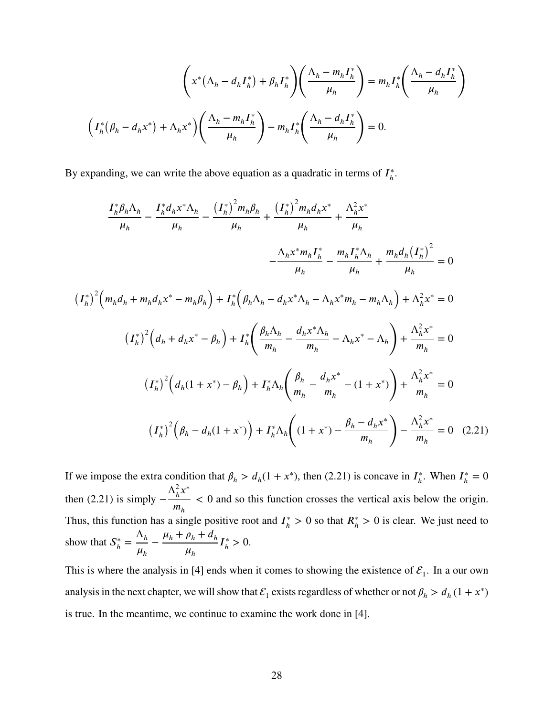$$
\left(x^*(\Lambda_h - d_h I_h^*) + \beta_h I_h^*\right)\left(\frac{\Lambda_h - m_h I_h^*}{\mu_h}\right) = m_h I_h^*\left(\frac{\Lambda_h - d_h I_h^*}{\mu_h}\right)
$$

$$
\left(I_h^*(\beta_h - d_h x^*) + \Lambda_h x^*\right)\left(\frac{\Lambda_h - m_h I_h^*}{\mu_h}\right) - m_h I_h^*\left(\frac{\Lambda_h - d_h I_h^*}{\mu_h}\right) = 0.
$$

By expanding, we can write the above equation as a quadratic in terms of  $I<sub>h</sub><sup>*</sup>$ *ℎ* .

$$
\frac{I_h^* \beta_h \Lambda_h}{\mu_h} - \frac{I_h^* d_h x^* \Lambda_h}{\mu_h} - \frac{\left(I_h^*\right)^2 m_h \beta_h}{\mu_h} + \frac{\left(I_h^*\right)^2 m_h d_h x^*}{\mu_h} + \frac{\Lambda_h^2 x^*}{\mu_h}
$$
\n
$$
- \frac{\Lambda_h x^* m_h I_h^*}{\mu_h} - \frac{m_h I_h^* \Lambda_h}{\mu_h} + \frac{m_h d_h (I_h^*)^2}{\mu_h} = 0
$$
\n
$$
\left(I_h^*\right)^2 \left(m_h d_h + m_h d_h x^* - m_h \beta_h\right) + I_h^* \left(\beta_h \Lambda_h - d_h x^* \Lambda_h - \Lambda_h x^* m_h - m_h \Lambda_h\right) + \Lambda_h^2 x^* = 0
$$
\n
$$
\left(I_h^*\right)^2 \left(d_h + d_h x^* - \beta_h\right) + I_h^* \left(\frac{\beta_h \Lambda_h}{m_h} - \frac{d_h x^* \Lambda_h}{m_h} - \Lambda_h x^* - \Lambda_h\right) + \frac{\Lambda_h^2 x^*}{m_h} = 0
$$
\n
$$
\left(I_h^*\right)^2 \left(d_h (1 + x^*) - \beta_h\right) + I_h^* \Lambda_h \left(\frac{\beta_h}{m_h} - \frac{d_h x^*}{m_h} - (1 + x^*)\right) + \frac{\Lambda_h^2 x^*}{m_h} = 0
$$
\n
$$
\left(I_h^*\right)^2 \left(\beta_h - d_h (1 + x^*)\right) + I_h^* \Lambda_h \left((1 + x^*) - \frac{\beta_h - d_h x^*}{m_h}\right) - \frac{\Lambda_h^2 x^*}{m_h} = 0 \quad (2.21)
$$

<span id="page-37-0"></span>If we impose the extra condition that  $\beta_h > d_h(1 + x^*)$ , then [\(2.21\)](#page-37-0) is concave in  $I_h^*$  $\frac{1}{h}$ . When  $I_h^*$  $_{h}^{*}=0$ then  $(2.21)$  is simply –  $\Lambda_h^2$  $\int_h^2 x^*$  $m_h^{\parallel}$ *<* 0 and so this function crosses the vertical axis below the origin. Thus, this function has a single positive root and  $I_h^*$  $h_h^* > 0$  so that  $R_h^* > 0$  is clear. We just need to show that  $S^*_{\scriptscriptstyle h}$  $\frac{A_h}{h} = \frac{\Lambda_h}{\mu}$  $\mu_h$  $-\frac{\mu_h + \rho_h + d_h}{\sigma_h}$  $\mu_h$  $I_{\iota}^*$  $_{h}^{*} > 0.$ 

This is where the analysis in [\[4\]](#page-103-0) ends when it comes to showing the existence of  $\mathcal{E}_1$ . In a our own analysis in the next chapter, we will show that  $\mathcal{E}_1$  exists regardless of whether or not  $\beta_h > d_h (1 + x^*)$ is true. In the meantime, we continue to examine the work done in [\[4\]](#page-103-0).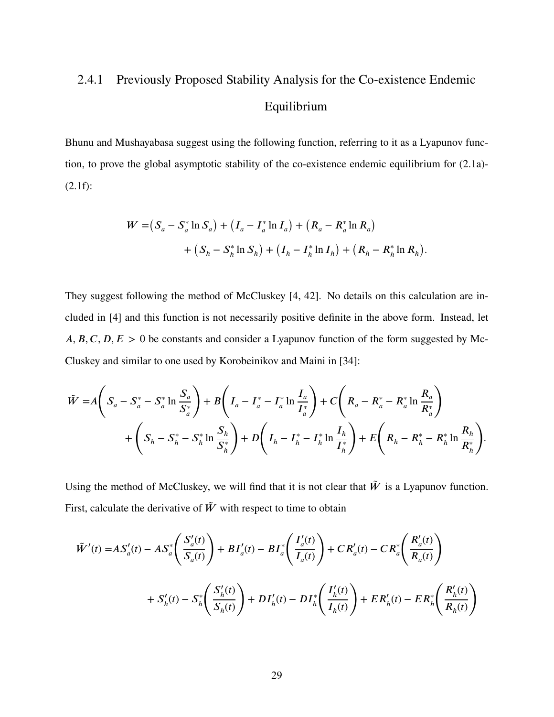# 2.4.1 Previously Proposed Stability Analysis for the Co-existence Endemic Equilibrium

Bhunu and Mushayabasa suggest using the following function, referring to it as a Lyapunov function, to prove the global asymptotic stability of the co-existence endemic equilibrium for [\(2.1a\)](#page-14-0)- [\(2.1f\)](#page-14-0):

$$
W = (S_a - S_a^* \ln S_a) + (I_a - I_a^* \ln I_a) + (R_a - R_a^* \ln R_a)
$$
  
+  $(S_h - S_h^* \ln S_h) + (I_h - I_h^* \ln I_h) + (R_h - R_h^* \ln R_h).$ 

They suggest following the method of McCluskey [\[4,](#page-103-0) [42\]](#page-105-0). No details on this calculation are included in [\[4\]](#page-103-0) and this function is not necessarily positive definite in the above form. Instead, let *A, B, C, D, E* > 0 be constants and consider a Lyapunov function of the form suggested by Mc-Cluskey and similar to one used by Korobeinikov and Maini in [\[34\]](#page-105-1):

$$
\tilde{W} = A \left( S_a - S_a^* - S_a^* \ln \frac{S_a}{S_a^*} \right) + B \left( I_a - I_a^* - I_a^* \ln \frac{I_a}{I_a^*} \right) + C \left( R_a - R_a^* - R_a^* \ln \frac{R_a}{R_a^*} \right) \n+ \left( S_h - S_h^* - S_h^* \ln \frac{S_h}{S_h^*} \right) + D \left( I_h - I_h^* - I_h^* \ln \frac{I_h}{I_h^*} \right) + E \left( R_h - R_h^* - R_h^* \ln \frac{R_h}{R_h^*} \right).
$$

Using the method of McCluskey, we will find that it is not clear that  $\tilde{W}$  is a Lyapunov function. First, calculate the derivative of  $\tilde{W}$  with respect to time to obtain

$$
\tilde{W}'(t) = AS'_a(t) - AS^*_a\left(\frac{S'_a(t)}{S_a(t)}\right) + BI'_a(t) - BI^*_a\left(\frac{I'_a(t)}{I_a(t)}\right) + CR'_a(t) - CR^*_a\left(\frac{R'_a(t)}{R_a(t)}\right)
$$
\n
$$
+ S'_h(t) - S^*_h\left(\frac{S'_h(t)}{S_h(t)}\right) + DI'_h(t) - DI^*_h\left(\frac{I'_h(t)}{I_h(t)}\right) + ER'_h(t) - ER^*_h\left(\frac{R'_h(t)}{R_h(t)}\right)
$$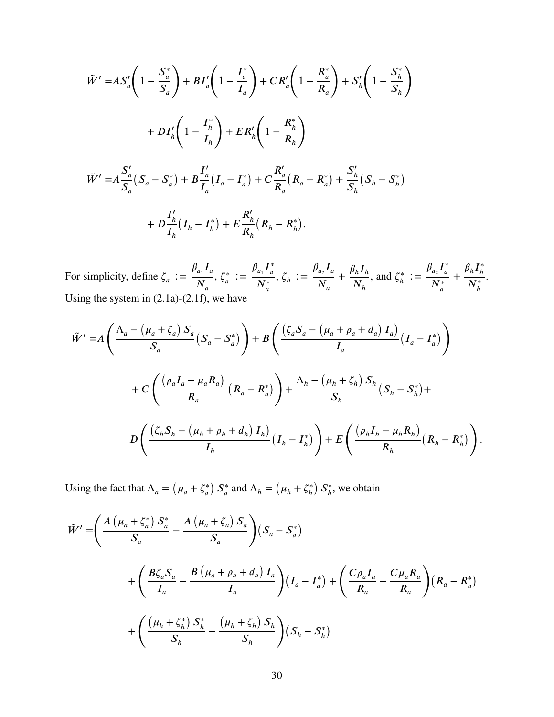$$
\tilde{W}' = AS_a' \left( 1 - \frac{S_a^*}{S_a} \right) + BI_a' \left( 1 - \frac{I_a^*}{I_a} \right) + CR_a' \left( 1 - \frac{R_a^*}{R_a} \right) + S_h' \left( 1 - \frac{S_h^*}{S_h} \right)
$$
  
+ 
$$
DI_h' \left( 1 - \frac{I_h^*}{I_h} \right) + ER_h' \left( 1 - \frac{R_h^*}{R_h} \right)
$$
  

$$
\tilde{W}' = A \frac{S_a'}{S_a} (S_a - S_a^*) + B \frac{I_a'}{I_a} (I_a - I_a^*) + C \frac{R_a'}{R_a} (R_a - R_a^*) + \frac{S_h'}{S_h} (S_h - S_h^*)
$$
  
+ 
$$
D \frac{I_h'}{I_h} (I_h - I_h^*) + E \frac{R_h'}{R_h} (R_h - R_h^*).
$$

For simplicity, define  $\zeta_a :=$  $\beta_{a_1} I_a$  $N_a$ , *𝜁* ∗  $\frac{d^*}{dt} := \frac{\beta_{a_1} I_a^*}{N^*}$ *𝑎*  $N^*_a$  $, \zeta_h :=$  $\beta_{a_2} I_a$  $N_a$  $+\frac{\beta_h I_h}{\gamma}$  $N_h$ , and  $\zeta_h^*$  $\frac{a_1}{b} := \frac{\beta_{a_2} I_a^*}{N^*}$  $\overline{a}$  $N^*_a$ +  $\beta_h I^*_h$ *ℎ*  $N_h^*$ . Using the system in [\(2.1a\)](#page-14-0)-[\(2.1f\)](#page-14-0), we have

$$
\tilde{W}' = A\left(\frac{\Lambda_a - \left(\mu_a + \zeta_a\right)S_a}{S_a}\left(S_a - S_a^*\right)\right) + B\left(\frac{\left(\zeta_aS_a - \left(\mu_a + \rho_a + d_a\right)I_a\right)}{I_a}\left(I_a - I_a^*\right)\right) \n+ C\left(\frac{\left(\rho_aI_a - \mu_aR_a\right)}{R_a}\left(R_a - R_a^*\right)\right) + \frac{\Lambda_h - \left(\mu_h + \zeta_h\right)S_h}{S_h}\left(S_h - S_h^*\right) + \frac{D\left(\frac{\left(\zeta_hS_h - \left(\mu_h + \rho_h + d_h\right)I_h\right)}{I_h}\left(I_h - I_h^*\right)\right) + E\left(\frac{\left(\rho_hI_h - \mu_hR_h\right)}{R_h}\left(R_h - R_h^*\right)\right).
$$

Using the fact that  $\Lambda_a$  =  $(\mu_a + \zeta_a^*$ *𝑎*  $\sum_{a}^{*}$  $\int_a^*$  and  $\Lambda_h =$  $(\mu_h + \zeta_h^*)$ *ℎ*  $S_h^*$  $\hat{h}$ <sup>\*</sup>, we obtain

$$
\tilde{W}' = \left(\frac{A(\mu_a + \zeta_a^*) S_a^*}{S_a} - \frac{A(\mu_a + \zeta_a) S_a}{S_a}\right) (S_a - S_a^*)
$$
  
+ 
$$
\left(\frac{B\zeta_a S_a}{I_a} - \frac{B(\mu_a + \rho_a + d_a) I_a}{I_a}\right) (I_a - I_a^*) + \left(\frac{C\rho_a I_a}{R_a} - \frac{C\mu_a R_a}{R_a}\right) (R_a - R_a^*)
$$
  
+ 
$$
\left(\frac{(\mu_h + \zeta_h^*) S_h^*}{S_h} - \frac{(\mu_h + \zeta_h) S_h}{S_h}\right) (S_h - S_h^*)
$$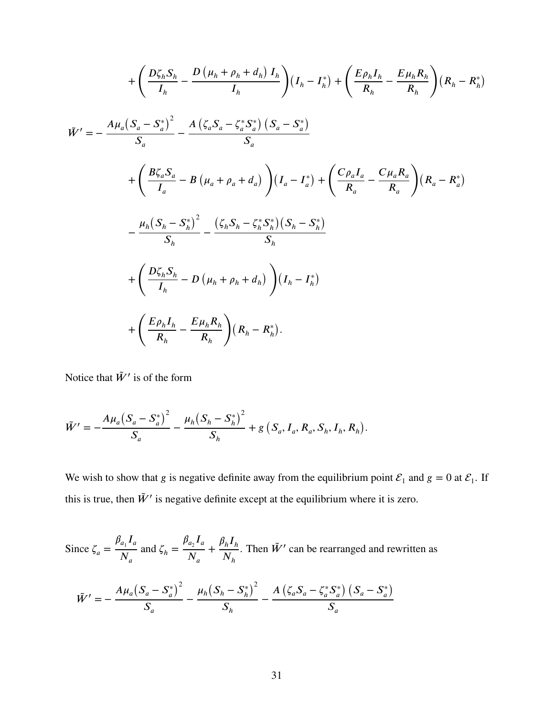$$
+\left(\frac{D\zeta_{h}S_{h}}{I_{h}}-\frac{D(\mu_{h}+\rho_{h}+d_{h})I_{h}}{I_{h}}\right)(I_{h}-I_{h}^{*})+\left(\frac{E\rho_{h}I_{h}}{R_{h}}-\frac{E\mu_{h}R_{h}}{R_{h}}\right)(R_{h}-R_{h}^{*})
$$
  
\n
$$
\tilde{W}'=-\frac{A\mu_{a}(S_{a}-S_{a}^{*})^{2}}{S_{a}}-\frac{A(\zeta_{a}S_{a}-\zeta_{a}^{*}S_{a}^{*}) (S_{a}-S_{a}^{*})}{S_{a}}
$$
  
\n
$$
+\left(\frac{B\zeta_{a}S_{a}}{I_{a}}-B(\mu_{a}+\rho_{a}+d_{a})\right)(I_{a}-I_{a}^{*})+\left(\frac{C\rho_{a}I_{a}}{R_{a}}-\frac{C\mu_{a}R_{a}}{R_{a}}\right)(R_{a}-R_{a}^{*})
$$
  
\n
$$
-\frac{\mu_{h}(S_{h}-S_{h}^{*})^{2}}{S_{h}}-\frac{(\zeta_{h}S_{h}-\zeta_{h}^{*}S_{h}^{*})(S_{h}-S_{h}^{*})}{S_{h}}
$$
  
\n
$$
+\left(\frac{D\zeta_{h}S_{h}}{I_{h}}-D(\mu_{h}+\rho_{h}+d_{h})\right)(I_{h}-I_{h}^{*})
$$
  
\n
$$
+\left(\frac{E\rho_{h}I_{h}}{R_{h}}-\frac{E\mu_{h}R_{h}}{R_{h}}\right)(R_{h}-R_{h}^{*}).
$$

 $\lambda$ 

Notice that  $\tilde{W}'$  is of the form

$$
\tilde{W}' = -\frac{A\mu_a (S_a - S_a^*)^2}{S_a} - \frac{\mu_h (S_h - S_h^*)^2}{S_h} + g(S_a, I_a, R_a, S_h, I_h, R_h).
$$

We wish to show that *g* is negative definite away from the equilibrium point  $\mathcal{E}_1$  and  $g = 0$  at  $\mathcal{E}_1$ . If this is true, then  $\tilde{W}'$  is negative definite except at the equilibrium where it is zero.

Since  $\zeta_a$  =  $\beta_{a_1} I_a$  $N_a$ and  $\zeta_h =$  $\beta_{a_2} I_a$  $N_a$  $+\frac{\beta_h I_h}{\gamma}$  $N_h$ . Then  $\tilde{W}'$  can be rearranged and rewritten as

$$
\tilde{W}' = -\frac{A\mu_a(S_a - S_a^*)^2}{S_a} - \frac{\mu_h(S_h - S_h^*)^2}{S_h} - \frac{A(\zeta_a S_a - \zeta_a^* S_a^*) (S_a - S_a^*)}{S_a}
$$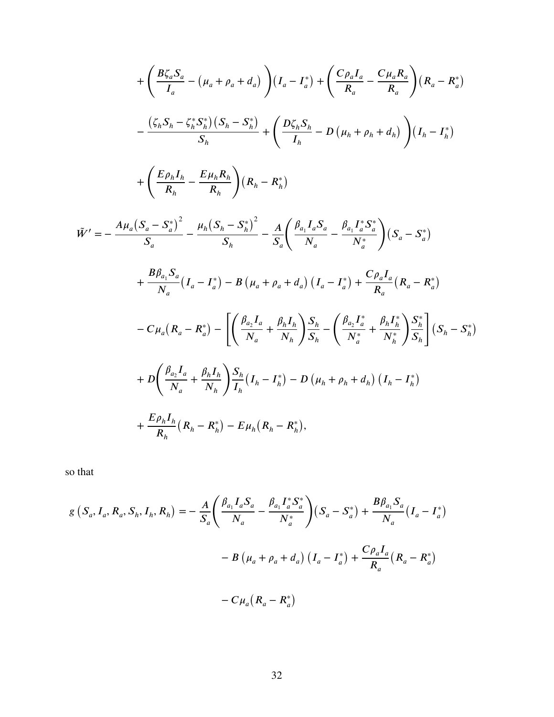$$
+\left(\frac{B\zeta_{a}S_{a}}{I_{a}} - (\mu_{a} + \rho_{a} + d_{a})\right)(I_{a} - I_{a}^{*}) + \left(\frac{C\rho_{a}I_{a}}{R_{a}} - \frac{C\mu_{a}R_{a}}{R_{a}}\right)(R_{a} - R_{a}^{*})
$$

$$
-\frac{(\zeta_{h}S_{h} - \zeta_{h}^{*}S_{h}^{*})(S_{h} - S_{h}^{*})}{S_{h}} + \left(\frac{D\zeta_{h}S_{h}}{I_{h}} - D(\mu_{h} + \rho_{h} + d_{h})\right)(I_{h} - I_{h}^{*})
$$

$$
+\left(\frac{E\rho_{h}I_{h}}{R_{h}} - \frac{E\mu_{h}R_{h}}{R_{h}}\right)(R_{h} - R_{h}^{*})
$$

$$
\tilde{W}' = -\frac{A\mu_{a}(S_{a} - S_{a}^{*})^{2}}{S_{a}} - \frac{\mu_{h}(S_{h} - S_{h}^{*})^{2}}{S_{h}} - \frac{A}{S_{a}}\left(\frac{\beta_{a_{1}}I_{a}S_{a}}{N_{a}} - \frac{\beta_{a_{1}}I_{a}^{*}S_{a}^{*}}{N_{a}^{*}}\right)(S_{a} - S_{a}^{*})
$$

$$
+\frac{B\beta_{a_{1}}S_{a}}{N_{a}}(I_{a} - I_{a}^{*}) - B(\mu_{a} + \rho_{a} + d_{a})\left(I_{a} - I_{a}^{*}\right) + \frac{C\rho_{a}I_{a}}{R_{a}}(R_{a} - R_{a}^{*})
$$

$$
-C\mu_{a}(R_{a} - R_{a}^{*}) - \left[\left(\frac{\beta_{a_{2}}I_{a}}{N_{a}} + \frac{\beta_{h}I_{h}}{N_{h}}\right)S_{h}^{*} - \left(\frac{\beta_{a_{2}}I_{a}^{*}}{N_{a}^{*}} + \frac{\beta_{h}I_{h}^{*}}{N_{h}^{*}}\right)S_{h}^{*}\right](S_{h} - S_{h}^{*})
$$

$$
+ D\left(\frac{\beta_{a_{2}}I_{a}}{N_{a}} + \frac{\beta_{h}I_{h}}{N_{h}}\right)S_{h}^{*}(I_{h} - I_{h}^{*
$$

so that

$$
g(S_a, I_a, R_a, S_h, I_h, R_h) = -\frac{A}{S_a} \left( \frac{\beta_{a_1} I_a S_a}{N_a} - \frac{\beta_{a_1} I_a^* S_a^*}{N_a^*} \right) (S_a - S_a^*) + \frac{B \beta_{a_1} S_a}{N_a} (I_a - I_a^*)
$$

$$
-B (\mu_a + \rho_a + d_a) (I_a - I_a^*) + \frac{C \rho_a I_a}{R_a} (R_a - R_a^*)
$$

$$
-C \mu_a (R_a - R_a^*)
$$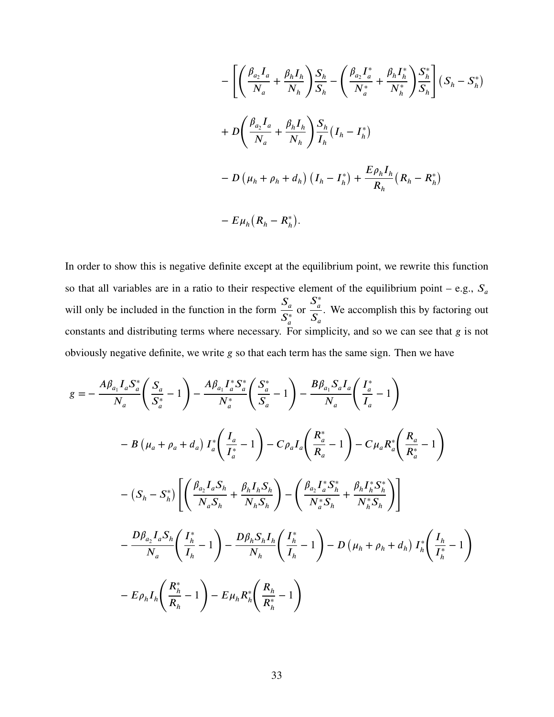$$
- \left[ \left( \frac{\beta_{a_2} I_a}{N_a} + \frac{\beta_h I_h}{N_h} \right) \frac{S_h}{S_h} - \left( \frac{\beta_{a_2} I_a^*}{N_a^*} + \frac{\beta_h I_h^*}{N_h^*} \right) \frac{S_h^*}{S_h} \right] (S_h - S_h^*)
$$
  
+ 
$$
D \left( \frac{\beta_{a_2} I_a}{N_a} + \frac{\beta_h I_h}{N_h} \right) \frac{S_h}{I_h} (I_h - I_h^*)
$$
  
- 
$$
D (\mu_h + \rho_h + d_h) (I_h - I_h^*) + \frac{E \rho_h I_h}{R_h} (R_h - R_h^*)
$$
  
- 
$$
E \mu_h (R_h - R_h^*).
$$

In order to show this is negative definite except at the equilibrium point, we rewrite this function so that all variables are in a ratio to their respective element of the equilibrium point – e.g.,  $S_a$ will only be included in the function in the form  $\frac{S_a}{S_a}$  $S^*_a$ or  $S^*$ <sub>a</sub>  $\overline{a}$  $S_a$ . We accomplish this by factoring out constants and distributing terms where necessary. For simplicity, and so we can see that *g* is not obviously negative definite, we write *g* so that each term has the same sign. Then we have

$$
g = -\frac{A\beta_{a_1}I_aS_a^*}{N_a} \left(\frac{S_a}{S_a^*} - 1\right) - \frac{A\beta_{a_1}I_a^*S_a^*}{N_a^*} \left(\frac{S_a^*}{S_a} - 1\right) - \frac{B\beta_{a_1}S_aI_a}{N_a} \left(\frac{I_a^*}{I_a} - 1\right)
$$
  

$$
- B\left(\mu_a + \rho_a + d_a\right)I_a^* \left(\frac{I_a}{I_a^*} - 1\right) - C\rho_aI_a \left(\frac{R_a^*}{R_a} - 1\right) - C\mu_aR_a^* \left(\frac{R_a}{R_a^*} - 1\right)
$$
  

$$
- (S_h - S_h^*) \left[ \left(\frac{\beta_{a_2}I_aS_h}{N_aS_h} + \frac{\beta_hI_hS_h}{N_hS_h}\right) - \left(\frac{\beta_{a_2}I_a^*S_h^*}{N_a^*S_h} + \frac{\beta_hI_h^*S_h^*}{N_h^*S_h}\right) \right]
$$
  

$$
- \frac{D\beta_{a_2}I_aS_h}{N_a} \left(\frac{I_h^*}{I_h} - 1\right) - \frac{D\beta_hS_hI_h}{N_h} \left(\frac{I_h^*}{I_h} - 1\right) - D\left(\mu_h + \rho_h + d_h\right)I_h^* \left(\frac{I_h}{I_h^*} - 1\right)
$$
  

$$
- E\rho_hI_h \left(\frac{R_h^*}{R_h} - 1\right) - E\mu_hR_h^* \left(\frac{R_h}{R_h^*} - 1\right)
$$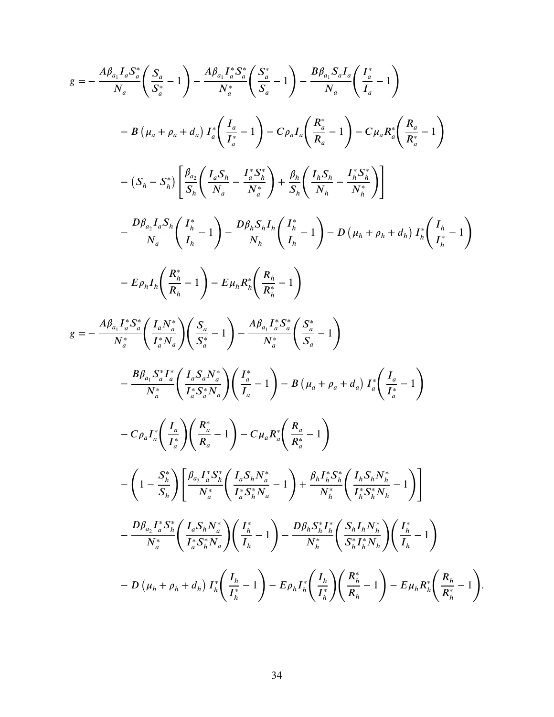$$
g = -\frac{A\beta_{a_1}I_aS_a^*}{N_a} \left( \frac{S_a}{S_a^*} - 1 \right) - \frac{A\beta_{a_1}I_a^*S_a^*}{N_a^*} \left( \frac{S_a^*}{S_a} - 1 \right) - \frac{B\beta_{a_1}S_aI_a}{N_a} \left( \frac{I_a^*}{I_a} - 1 \right)
$$
  
\n
$$
- B(\mu_a + \rho_a + d_a) I_a^* \left( \frac{I_a}{I_a^*} - 1 \right) - C\rho_a I_a \left( \frac{R_a^*}{R_a} - 1 \right) - C\mu_a R_a^* \left( \frac{R_a}{R_a^*} - 1 \right)
$$
  
\n
$$
- (S_h - S_h^*) \left[ \frac{\beta_{a_1}}{S_h} \left( \frac{I_a S_h}{N_a} - \frac{I_a^* S_h}{N_a^*} \right) + \frac{\beta_h}{S_h} \left( \frac{I_h S_h}{N_h} - \frac{I_h^* S_h}{N_h^*} \right) \right]
$$
  
\n
$$
- \frac{D\beta_{a_2}I_a S_h}{N_a} \left( \frac{I_h^*}{I_h} - 1 \right) - \frac{D\beta_h S_a I_h}{N_h} \left( \frac{I_h}{I_h} - 1 \right) - D(\mu_h + \rho_h + d_h) I_h^* \left( \frac{I_h}{I_h^*} - 1 \right)
$$
  
\n
$$
- E\rho_h I_a \left( \frac{R_h^*}{R_h} - 1 \right) - E\mu_h R_h^* \left( \frac{R_h}{R_h} - 1 \right)
$$
  
\n
$$
g = -\frac{A\beta_{a_1}I_a^* S_a^* \left( \frac{I_a N_a^*}{I_a^* N_a} \right) \left( \frac{S_a}{S_a} - 1 \right) - \frac{A\beta_{a_1}I_a^* S_a^* \left( \frac{S_a^*}{S_a} - 1 \right)}{N_a^*} - \frac{B\beta_{a_1} S_a^* I_a^* \left( \frac{I_a S_h N_a^*}{I_a^* N_a} \right) \left( \frac{I_a}{I_a} - 1 \right) - B(\mu_a + \rho_a + d_a) I_a^* \left( \frac{I_a}{I_a^*} - 1 \right)
$$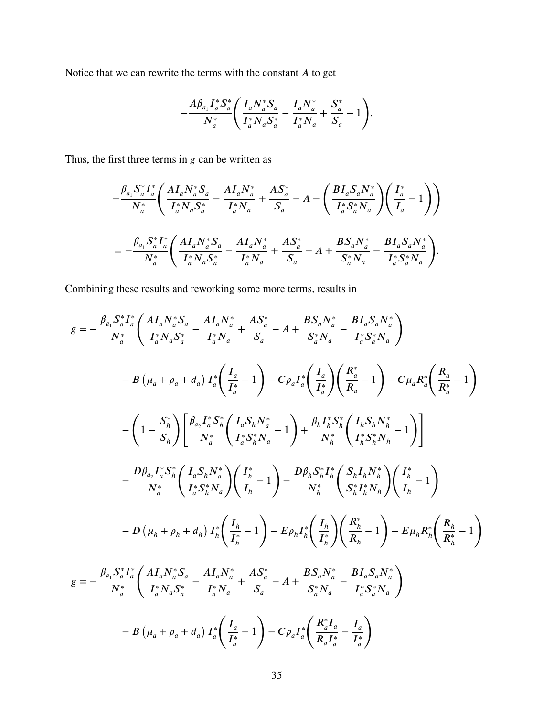Notice that we can rewrite the terms with the constant *A* to get

$$
-\frac{A\beta_{a_1}I_a^*S_a^*}{N_a^*}\left(\frac{I_aN_a^*S_a}{I_a^*N_aS_a^*}-\frac{I_aN_a^*}{I_a^*N_a}+\frac{S_a^*}{S_a}-1\right).
$$

Thus, the first three terms in *g* can be written as

$$
\begin{split} &-\frac{\beta_{a_1} S_a^* I_a^*}{N_a^*} \Bigg( \frac{A I_a N_a^* S_a}{I_a^* N_a S_a^*} - \frac{A I_a N_a^*}{I_a^* N_a} + \frac{A S_a^*}{S_a} - A - \Bigg( \frac{B I_a S_a N_a^*}{I_a^* S_a^* N_a} \Bigg) \Bigg( \frac{I_a^*}{I_a} - 1 \Bigg) \Bigg) \\ & = - \frac{\beta_{a_1} S_a^* I_a^*}{N_a^*} \Bigg( \frac{A I_a N_a^* S_a}{I_a^* N_a S_a^*} - \frac{A I_a N_a^*}{I_a^* N_a} + \frac{A S_a^*}{S_a} - A + \frac{B S_a N_a^*}{S_a^* N_a} - \frac{B I_a S_a N_a^*}{I_a^* S_a^* N_a} \Bigg). \end{split}
$$

Combining these results and reworking some more terms, results in

$$
g = -\frac{\beta_{a_1} S_a^* I_a^*}{N_a^*} \left( \frac{AI_a N_a^* S_a}{I_a^* N_a S_a^*} - \frac{AI_a N_a^*}{I_a^* N_a} + \frac{AS_a^*}{S_a} - A + \frac{BS_a N_a^*}{S_a^* N_a} - \frac{BI_a S_a N_a^*}{I_a^* S_a^* N_a} \right)
$$
  
\n
$$
- B(\mu_a + \rho_a + d_a) I_a^* \left( \frac{I_a}{I_a^*} - 1 \right) - C\rho_a I_a^* \left( \frac{I_a}{I_a^*} \right) \left( \frac{R_a^*}{R_a} - 1 \right) - C\mu_a R_a^* \left( \frac{R_a}{R_a^*} - 1 \right)
$$
  
\n
$$
- \left( 1 - \frac{S_b^*}{S_h} \right) \left[ \frac{\beta_{a_2} I_a^* S_h^*}{N_a^*} \left( \frac{I_a S_h N_a^*}{I_a^* S_h^* N_a} - 1 \right) + \frac{\beta_h I_h^* S_h^*}{N_h^*} \left( \frac{I_h S_h N_h^*}{I_h^* S_h^* N_h} - 1 \right) \right]
$$
  
\n
$$
- \frac{D\beta_{a_2} I_a^* S_h^*}{N_a^*} \left( \frac{I_a S_h N_a^*}{I_a^* S_h^* N_a} \right) \left( \frac{I_h^*}{I_h} - 1 \right) - \frac{D\beta_h S_h^* I_h^*}{N_h^*} \left( \frac{S_h I_h N_h^*}{S_h^* I_h^* N_h} \right) \left( \frac{I_h^*}{I_h} - 1 \right)
$$
  
\n
$$
- D(\mu_h + \rho_h + d_h) I_h^* \left( \frac{I_h}{I_h^*} - 1 \right) - E\rho_h I_h^* \left( \frac{I_h}{I_h^*} \right) \left( \frac{R_h^*}{R_h} - 1 \right) - E\mu_h R_h^* \left( \frac{R_h}{R_h^*} - 1 \right)
$$
  
\n
$$
g = -\frac{\beta_{a_1} S_a^* I_a^*}{N_a^*} \left( \frac{A I_a N_a^* S_a}{I_a^* N_a S_a^*} - \frac{A I_a N_a^*}{I_a^* N_a
$$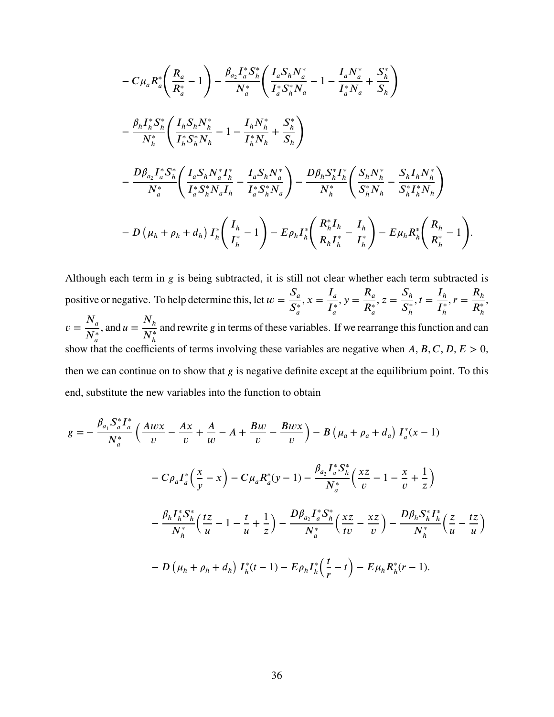$$
- C \mu_a R_a^* \left( \frac{R_a}{R_a^*} - 1 \right) - \frac{\beta_{a_2} I_a^* S_h^*}{N_a^*} \left( \frac{I_a S_h N_a^*}{I_a^* S_h^* N_a} - 1 - \frac{I_a N_a^*}{I_a^* N_a} + \frac{S_h^*}{S_h} \right)
$$
  

$$
- \frac{\beta_h I_h^* S_h^*}{N_h^*} \left( \frac{I_h S_h N_h^*}{I_h^* S_h^* N_h} - 1 - \frac{I_h N_h^*}{I_h^* N_h} + \frac{S_h^*}{S_h} \right)
$$
  

$$
- \frac{D \beta_{a_2} I_a^* S_h^*}{N_a^*} \left( \frac{I_a S_h N_a^* I_h^*}{I_a^* S_h^* N_a I_h} - \frac{I_a S_h N_a^*}{I_a^* S_h^* N_a} \right) - \frac{D \beta_h S_h^* I_h^*}{N_h^*} \left( \frac{S_h N_h^*}{S_h^* N_h} - \frac{S_h I_h N_h^*}{S_h^* I_h^* N_h} \right)
$$
  

$$
- D \left( \mu_h + \rho_h + d_h \right) I_h^* \left( \frac{I_h}{I_h^*} - 1 \right) - E \rho_h I_h^* \left( \frac{R_h^* I_h}{R_h I_h^*} - \frac{I_h}{I_h^*} \right) - E \mu_h R_h^* \left( \frac{R_h}{R_h^*} - 1 \right).
$$

Although each term in *g* is being subtracted, it is still not clear whether each term subtracted is positive or negative. To help determine this, let  $w = \frac{S_a}{S_a}$  $S^*_a$  $x = \frac{I_a}{I_a}$  $I^*_a$  $y = \frac{R_a}{R_a}$  $R^*_{\alpha}$  $z = \frac{S_h}{\sigma^*}$  $S_{\iota}^*$ *ℎ*  $t = \frac{I_h}{I^*}$  $I_{\iota}^*$ *ℎ*  $r = \frac{R_h}{R}$  $R_h^*$ ,  $v = \frac{N_a}{N_a}$  $N_a^*$ , and  $u = \frac{N_h}{N^*}$  $N_h^*$ and rewrite *𝑔* in terms of these variables. If we rearrange this function and can show that the coefficients of terms involving these variables are negative when  $A, B, C, D, E > 0$ , then we can continue on to show that *g* is negative definite except at the equilibrium point. To this end, substitute the new variables into the function to obtain

$$
g = -\frac{\beta_{a_1} S_a^* I_a^*}{N_a^*} \left( \frac{Awx}{v} - \frac{Ax}{v} + \frac{A}{w} - A + \frac{Bw}{v} - \frac{Bwx}{v} \right) - B \left( \mu_a + \rho_a + d_a \right) I_a^*(x - 1)
$$

$$
- C \rho_a I_a^* \left( \frac{x}{y} - x \right) - C \mu_a R_a^*(y - 1) - \frac{\beta_{a_2} I_a^* S_h^*}{N_a^*} \left( \frac{xz}{v} - 1 - \frac{x}{v} + \frac{1}{z} \right)
$$

$$
- \frac{\beta_h I_h^* S_h^*}{N_h^*} \left( \frac{tz}{u} - 1 - \frac{t}{u} + \frac{1}{z} \right) - \frac{D \beta_{a_2} I_a^* S_h^*}{N_a^*} \left( \frac{xz}{tv} - \frac{xz}{v} \right) - \frac{D \beta_h S_h^* I_h^*}{N_h^*} \left( \frac{z}{u} - \frac{tz}{u} \right)
$$

$$
- D \left( \mu_h + \rho_h + d_h \right) I_h^*(t - 1) - E \rho_h I_h^* \left( \frac{t}{r} - t \right) - E \mu_h R_h^*(r - 1).
$$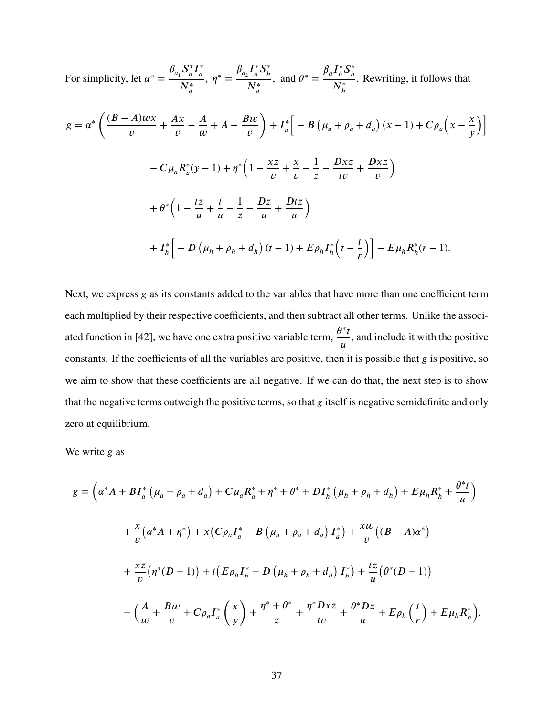For simplicity, let 
$$
\alpha^* = \frac{\beta_{a_1} S_a^* I_a^*}{N_a^*}
$$
,  $\eta^* = \frac{\beta_{a_2} I_a^* S_b^*}{N_a^*}$ , and  $\theta^* = \frac{\beta_h I_h^* S_h^*}{N_h^*}$ . Rewriting, it follows that  
\n
$$
g = \alpha^* \left( \frac{(B-A)wx}{v} + \frac{Ax}{v} - \frac{A}{w} + A - \frac{Bw}{v} \right) + I_a^* \left[ -B \left( \mu_a + \rho_a + d_a \right) (x-1) + C \rho_a \left( x - \frac{x}{y} \right) \right]
$$
\n
$$
- C \mu_a R_a^* (y-1) + \eta^* \left( 1 - \frac{xz}{v} + \frac{x}{v} - \frac{1}{z} - \frac{Dxz}{tv} + \frac{Dxz}{v} \right)
$$
\n
$$
+ \theta^* \left( 1 - \frac{tz}{u} + \frac{t}{u} - \frac{1}{z} - \frac{Dz}{u} + \frac{Dtz}{u} \right)
$$
\n
$$
+ I_h^* \left[ -D \left( \mu_h + \rho_h + d_h \right) (t-1) + E \rho_h I_h^* \left( t - \frac{t}{r} \right) \right] - E \mu_h R_h^* (r-1).
$$

Next, we express *g* as its constants added to the variables that have more than one coefficient term each multiplied by their respective coefficients, and then subtract all other terms. Unlike the associ-ated function in [\[42\]](#page-105-0), we have one extra positive variable term,  $\frac{\theta^* t}{ }$  $\overline{u}$ , and include it with the positive constants. If the coefficients of all the variables are positive, then it is possible that *g* is positive, so we aim to show that these coefficients are all negative. If we can do that, the next step is to show that the negative terms outweigh the positive terms, so that *g* itself is negative semidefinite and only zero at equilibrium.

We write *g* as

$$
g = \left(\alpha^* A + BI_a^* \left(\mu_a + \rho_a + d_a\right) + C\mu_a R_a^* + \eta^* + \theta^* + DI_h^* \left(\mu_h + \rho_h + d_h\right) + E\mu_h R_h^* + \frac{\theta^* t}{u}\right) + \frac{x}{v} \left(\alpha^* A + \eta^*\right) + x \left(C\rho_a I_a^* - B\left(\mu_a + \rho_a + d_a\right) I_a^*\right) + \frac{xw}{v} \left((B - A)\alpha^*\right) + \frac{xz}{v} \left(\eta^*(D - 1)\right) + t \left(E\rho_h I_h^* - D\left(\mu_h + \rho_h + d_h\right) I_h^*\right) + \frac{tz}{u} \left(\theta^*(D - 1)\right) - \left(\frac{A}{w} + \frac{Bw}{v} + C\rho_a I_a^* \left(\frac{x}{v}\right) + \frac{\eta^* + \theta^*}{z} + \frac{\eta^* Dxz}{tv} + \frac{\theta^* Dz}{u} + E\rho_h \left(\frac{t}{r}\right) + E\mu_h R_h^*\right).
$$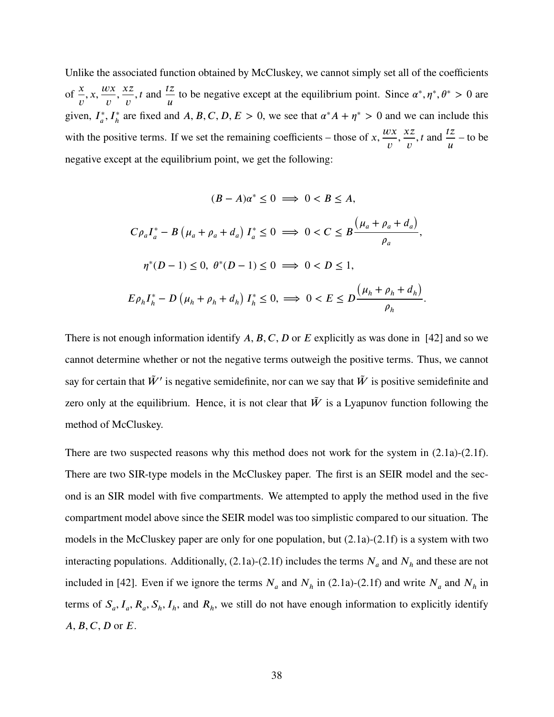Unlike the associated function obtained by McCluskey, we cannot simply set all of the coefficients of  $\frac{x}{x}$  $\upsilon$  $x, \frac{w}{x}$  $\mathcal{U}$ *zz*  $\upsilon$ *, t* and  $\frac{tz}{}$  $\iota$ to be negative except at the equilibrium point. Since  $\alpha^*, \eta^*, \theta^* > 0$  are given,  $I^*_{\alpha}$  $\int_a^* I_h^*$  are fixed and *A*, *B*, *C*, *D*, *E* > 0, we see that  $\alpha^* A + \eta^* > 0$  and we can include this with the positive terms. If we set the remaining coefficients – those of  $x$ ,  $\frac{wx}{}$  $\upsilon$ *zz*  $\upsilon$ *, t* and  $\frac{tz}{}$  $\overline{u}$ – to be negative except at the equilibrium point, we get the following:

$$
(B - A)\alpha^* \le 0 \implies 0 < B \le A,
$$
\n
$$
C\rho_a I_a^* - B\left(\mu_a + \rho_a + d_a\right) I_a^* \le 0 \implies 0 < C \le B\frac{\left(\mu_a + \rho_a + d_a\right)}{\rho_a},
$$
\n
$$
\eta^*(D - 1) \le 0, \ \theta^*(D - 1) \le 0 \implies 0 < D \le 1,
$$
\n
$$
E\rho_h I_h^* - D\left(\mu_h + \rho_h + d_h\right) I_h^* \le 0, \implies 0 < E \le D\frac{\left(\mu_h + \rho_h + d_h\right)}{\rho_h}.
$$

There is not enough information identify A, B, C, D or E explicitly as was done in [\[42\]](#page-105-0) and so we cannot determine whether or not the negative terms outweigh the positive terms. Thus, we cannot say for certain that  $\tilde{W}$ <sup>*'*</sup> is negative semidefinite, nor can we say that  $\tilde{W}$  is positive semidefinite and zero only at the equilibrium. Hence, it is not clear that  $\tilde{W}$  is a Lyapunov function following the method of McCluskey.

There are two suspected reasons why this method does not work for the system in  $(2.1a)-(2.1f)$  $(2.1a)-(2.1f)$  $(2.1a)-(2.1f)$ . There are two SIR-type models in the McCluskey paper. The first is an SEIR model and the second is an SIR model with five compartments. We attempted to apply the method used in the five compartment model above since the SEIR model was too simplistic compared to our situation. The models in the McCluskey paper are only for one population, but  $(2.1a)-(2.1f)$  $(2.1a)-(2.1f)$  $(2.1a)-(2.1f)$  is a system with two interacting populations. Additionally,  $(2.1a)-(2.1f)$  $(2.1a)-(2.1f)$  $(2.1a)-(2.1f)$  includes the terms  $N_a$  and  $N_h$  and these are not included in [\[42\]](#page-105-0). Even if we ignore the terms  $N_a$  and  $N_h$  in [\(2.1a\)](#page-14-0)-[\(2.1f\)](#page-14-0) and write  $N_a$  and  $N_h$  in terms of  $S_a$ ,  $I_a$ ,  $R_a$ ,  $S_h$ ,  $I_h$ , and  $R_h$ , we still do not have enough information to explicitly identify *A*, *B*, *C*, *D* or *E*.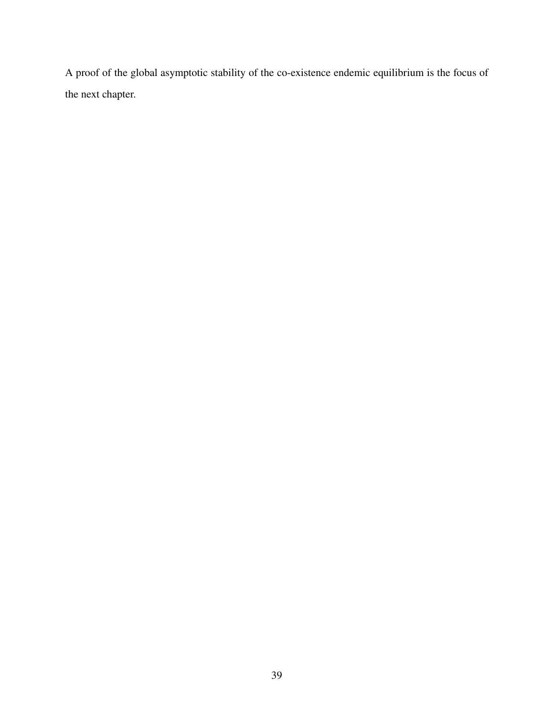A proof of the global asymptotic stability of the co-existence endemic equilibrium is the focus of the next chapter.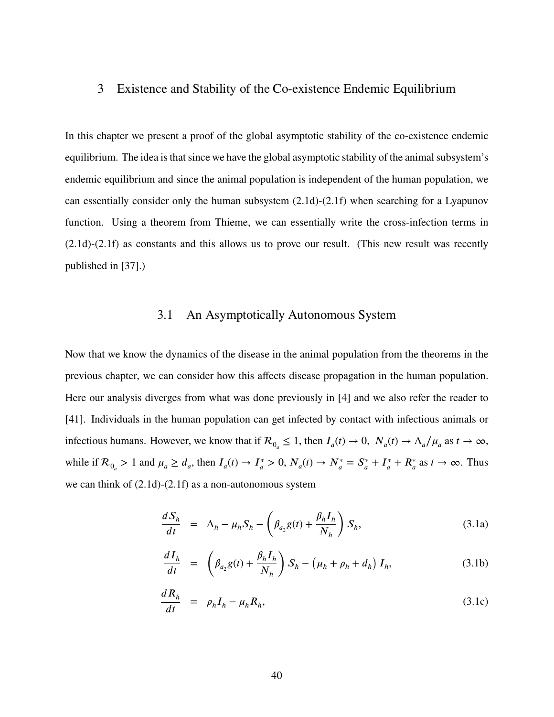# 3 Existence and Stability of the Co-existence Endemic Equilibrium

In this chapter we present a proof of the global asymptotic stability of the co-existence endemic equilibrium. The idea is that since we have the global asymptotic stability of the animal subsystem's endemic equilibrium and since the animal population is independent of the human population, we can essentially consider only the human subsystem  $(2.1d)-(2.1f)$  $(2.1d)-(2.1f)$  $(2.1d)-(2.1f)$  when searching for a Lyapunov function. Using a theorem from Thieme, we can essentially write the cross-infection terms in [\(2.1d\)](#page-14-0)-[\(2.1f\)](#page-14-0) as constants and this allows us to prove our result. (This new result was recently published in [\[37\]](#page-105-2).)

# 3.1 An Asymptotically Autonomous System

Now that we know the dynamics of the disease in the animal population from the theorems in the previous chapter, we can consider how this affects disease propagation in the human population. Here our analysis diverges from what was done previously in [\[4\]](#page-103-0) and we also refer the reader to [\[41\]](#page-105-3). Individuals in the human population can get infected by contact with infectious animals or infectious humans. However, we know that if  $\mathcal{R}_{0} \leq 1$ , then  $I_a(t) \to 0$ ,  $N_a(t) \to \Lambda_a/\mu_a$  as  $t \to \infty$ , while if  $\mathcal{R}_{0_a} > 1$  and  $\mu_a \geq d_a$ , then  $I_a(t) \to I_a^*$  $J_a^* > 0, N_a(t) \to N_a^* = S_a^*$  $J_a^* + I_a^*$  $J_a^* + R_a^*$  as  $t \to \infty$ . Thus we can think of [\(2.1d\)](#page-14-0)-[\(2.1f\)](#page-14-0) as a non-autonomous system

<span id="page-49-0"></span>
$$
\frac{dS_h}{dt} = \Lambda_h - \mu_h S_h - \left(\beta_{a_2} g(t) + \frac{\beta_h I_h}{N_h}\right) S_h,
$$
\n(3.1a)

$$
\frac{dI_h}{dt} = \left(\beta_{a_2}g(t) + \frac{\beta_h I_h}{N_h}\right)S_h - \left(\mu_h + \rho_h + d_h\right)I_h,\tag{3.1b}
$$

$$
\frac{dR_h}{dt} = \rho_h I_h - \mu_h R_h, \tag{3.1c}
$$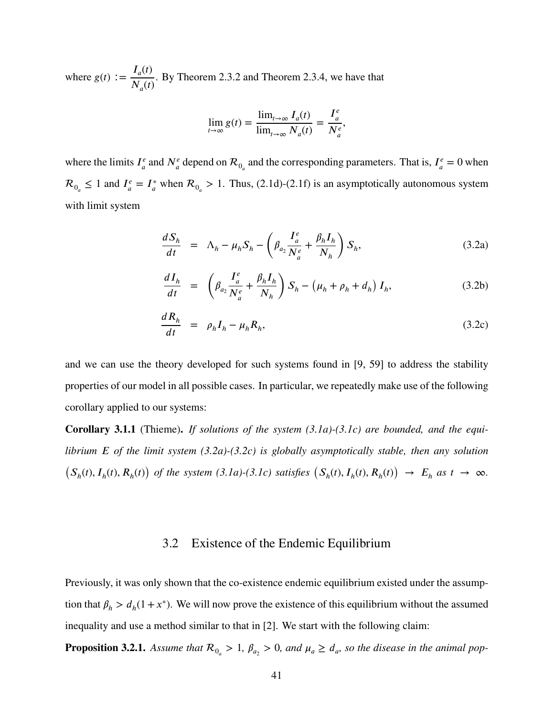where  $g(t) := \frac{I_a(t)}{I_a(t)}$  $N_a(t)$ . By Theorem [2.3.2](#page-23-0) and Theorem [2.3.4,](#page-34-0) we have that

$$
\lim_{t \to \infty} g(t) = \frac{\lim_{t \to \infty} I_a(t)}{\lim_{t \to \infty} N_a(t)} = \frac{I_a^e}{N_a^e},
$$

where the limits  $I^e_a$  $\frac{a}{a}$  and  $N_a^e$  depend on  $\mathcal{R}_{0_a}$  and the corresponding parameters. That is,  $I_a^e$  $\frac{e}{a} = 0$  when  $\mathcal{R}_{0_a} \leq 1$  and  $I_a^e$  $\mathcal{L}^e_a = I^*_a$  when  $\mathcal{R}_{0_a} > 1$ . Thus, [\(2.1d\)](#page-14-0)-[\(2.1f\)](#page-14-0) is an asymptotically autonomous system with limit system

<span id="page-50-0"></span>
$$
\frac{dS_h}{dt} = \Lambda_h - \mu_h S_h - \left(\beta_{a_2} \frac{I_a^e}{N_a^e} + \frac{\beta_h I_h}{N_h}\right) S_h, \tag{3.2a}
$$

$$
\frac{dI_h}{dt} = \left(\beta_{a_2} \frac{I_a^e}{N_a^e} + \frac{\beta_h I_h}{N_h}\right) S_h - \left(\mu_h + \rho_h + d_h\right) I_h,\tag{3.2b}
$$

$$
\frac{dR_h}{dt} = \rho_h I_h - \mu_h R_h, \tag{3.2c}
$$

and we can use the theory developed for such systems found in [\[9,](#page-103-1) [59\]](#page-106-0) to address the stability properties of our model in all possible cases. In particular, we repeatedly make use of the following corollary applied to our systems:

<span id="page-50-1"></span>**Corollary 3.1.1** (Thieme)**.** *If solutions of the system [\(3.1a\)](#page-49-0)-[\(3.1c\)](#page-49-0) are bounded, and the equilibrium 𝐸 of the limit system [\(3.2a\)](#page-50-0)-[\(3.2c\)](#page-50-0) is globally asymptotically stable, then any solution*  $(S_h(t), I_h(t), R_h(t))$  of the system [\(3.1a\)](#page-49-0)-[\(3.1c\)](#page-49-0) satisfies  $(S_h(t), I_h(t), R_h(t)) \rightarrow E_h$  as  $t \rightarrow \infty$ .

#### 3.2 Existence of the Endemic Equilibrium

Previously, it was only shown that the co-existence endemic equilibrium existed under the assumption that  $\beta_h > d_h(1 + x^*)$ . We will now prove the existence of this equilibrium without the assumed inequality and use a method similar to that in [\[2\]](#page-103-2). We start with the following claim:

**Proposition 3.2.1.** Assume that  $\mathcal{R}_{0} > 1$ ,  $\beta_{a_2} > 0$ , and  $\mu_a \geq d_a$ , so the disease in the animal pop-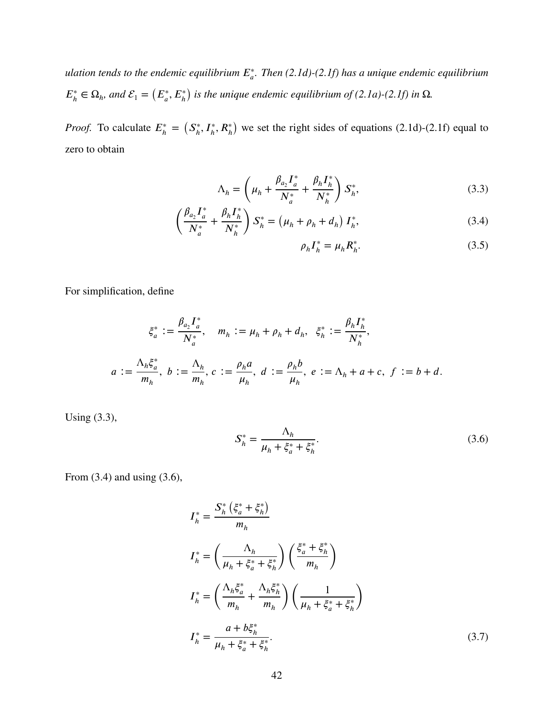*ulation tends to the endemic equilibrium 𝐸*<sup>∗</sup> *𝑎 . Then [\(2.1d\)](#page-14-0)-[\(2.1f\)](#page-14-0) has a unique endemic equilibrium*  $E_{\mu}^*$  $\mathcal{L}_h^* \in \Omega_h$ , and  $\mathcal{E}_1 = (E_a^*, E_h^*)$  $\lambda$ *is the unique endemic equilibrium of [\(2.1a\)](#page-14-0)-[\(2.1f\)](#page-14-0) in* Ω*.*

*Proof.* To calculate  $E_h^*$  $\frac{k}{h}$  =  $(S_n^*$  $I_h^*, I_h^*, R_h^*$  $\lambda$ we set the right sides of equations [\(2.1d\)](#page-14-0)-[\(2.1f\)](#page-14-0) equal to zero to obtain

<span id="page-51-0"></span>
$$
\Lambda_h = \left(\mu_h + \frac{\beta_{a_2} I_a^*}{N_a^*} + \frac{\beta_h I_h^*}{N_h^*}\right) S_h^*,\tag{3.3}
$$

$$
\left(\frac{\beta_{a_2}I_a^*}{N_a^*} + \frac{\beta_h I_h^*}{N_h^*}\right)S_h^* = \left(\mu_h + \rho_h + d_h\right)I_h^*,\tag{3.4}
$$

$$
\rho_h I_h^* = \mu_h R_h^*.\tag{3.5}
$$

For simplification, define

$$
\xi_a^* := \frac{\beta_{a_2} I_a^*}{N_a^*}, \quad m_h := \mu_h + \rho_h + d_h, \quad \xi_h^* := \frac{\beta_h I_h^*}{N_h^*},
$$

$$
a := \frac{\Lambda_h \xi_a^*}{m_h}, \ b := \frac{\Lambda_h}{m_h}, \ c := \frac{\rho_h a}{\mu_h}, \ d := \frac{\rho_h b}{\mu_h}, \ e := \Lambda_h + a + c, \ f := b + d.
$$

Using [\(3.3\)](#page-51-0),

<span id="page-51-2"></span><span id="page-51-1"></span>
$$
S_h^* = \frac{\Lambda_h}{\mu_h + \xi_a^* + \xi_h^*}.
$$
\n(3.6)

From [\(3.4\)](#page-51-0) and using [\(3.6\)](#page-51-1),

$$
I_{h}^{*} = \frac{S_{h}^{*} \left(\xi_{a}^{*} + \xi_{h}^{*}\right)}{m_{h}}
$$
\n
$$
I_{h}^{*} = \left(\frac{\Lambda_{h}}{\mu_{h} + \xi_{a}^{*} + \xi_{h}^{*}}\right) \left(\frac{\xi_{a}^{*} + \xi_{h}^{*}}{m_{h}}\right)
$$
\n
$$
I_{h}^{*} = \left(\frac{\Lambda_{h}\xi_{a}^{*}}{m_{h}} + \frac{\Lambda_{h}\xi_{h}^{*}}{m_{h}}\right) \left(\frac{1}{\mu_{h} + \xi_{a}^{*} + \xi_{h}^{*}}\right)
$$
\n
$$
I_{h}^{*} = \frac{a + b\xi_{h}^{*}}{\mu_{h} + \xi_{a}^{*} + \xi_{h}^{*}}.
$$
\n(3.7)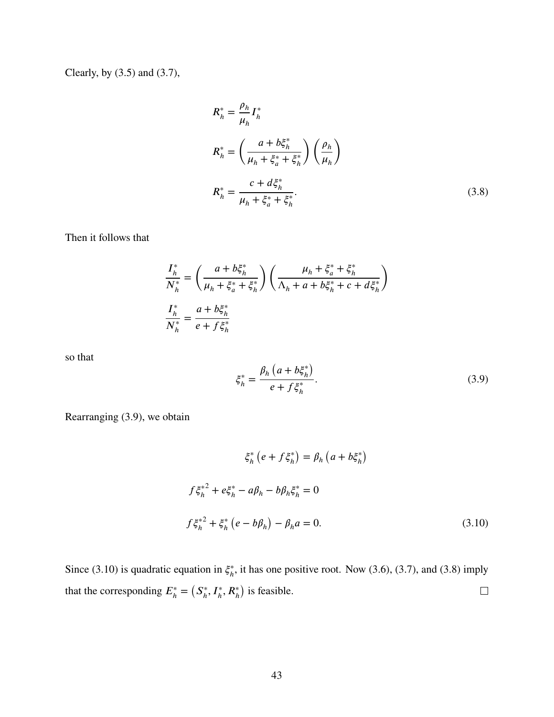Clearly, by [\(3.5\)](#page-51-0) and [\(3.7\)](#page-51-2),

<span id="page-52-2"></span>
$$
R_h^* = \frac{\rho_h}{\mu_h} I_h^*
$$
  
\n
$$
R_h^* = \left(\frac{a + b\xi_h^*}{\mu_h + \xi_a^* + \xi_h^*}\right) \left(\frac{\rho_h}{\mu_h}\right)
$$
  
\n
$$
R_h^* = \frac{c + d\xi_h^*}{\mu_h + \xi_a^* + \xi_h^*}.
$$
\n(3.8)

Then it follows that

$$
\frac{I_h^*}{N_h^*} = \left(\frac{a + b\xi_h^*}{\mu_h + \xi_a^* + \xi_h^*}\right) \left(\frac{\mu_h + \xi_a^* + \xi_h^*}{\Lambda_h + a + b\xi_h^* + c + d\xi_h^*}\right)
$$

$$
\frac{I_h^*}{N_h^*} = \frac{a + b\xi_h^*}{e + f\xi_h^*}
$$

so that

<span id="page-52-1"></span><span id="page-52-0"></span>
$$
\xi_h^* = \frac{\beta_h \left( a + b \xi_h^* \right)}{e + f \xi_h^*}.
$$
\n(3.9)

Rearranging [\(3.9\)](#page-52-0), we obtain

$$
\xi_h^* (e + f \xi_h^*) = \beta_h (a + b \xi_h^*)
$$
  

$$
f \xi_h^{*2} + e \xi_h^* - a \beta_h - b \beta_h \xi_h^* = 0
$$
  

$$
f \xi_h^{*2} + \xi_h^* (e - b \beta_h) - \beta_h a = 0.
$$
 (3.10)

Since [\(3.10\)](#page-52-1) is quadratic equation in  $\xi_h^*$  $<sup>*</sup><sub>h</sub>$ , it has one positive root. Now [\(3.6\)](#page-51-1), [\(3.7\)](#page-51-2), and [\(3.8\)](#page-52-2) imply</sup>  $(S_{\iota}^*$  $\lambda$  $\Box$ that the corresponding  $E_h^*$  $I_h^*, I_h^*, R_h^*$  $\frac{1}{h}$ is feasible.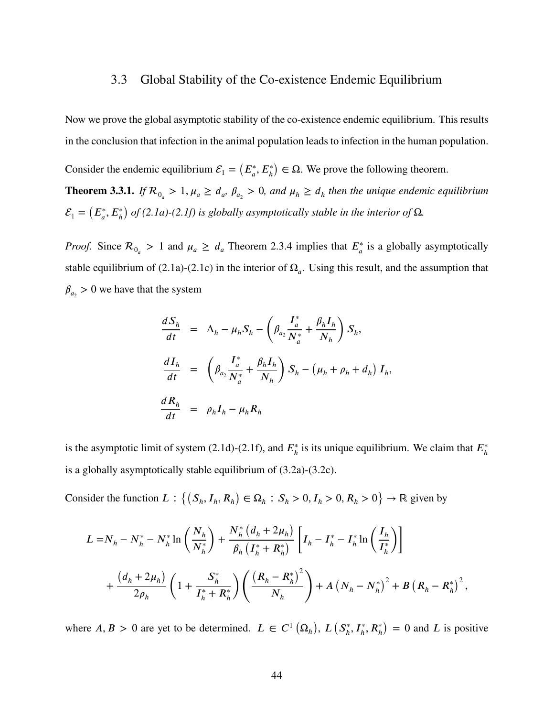#### 3.3 Global Stability of the Co-existence Endemic Equilibrium

Now we prove the global asymptotic stability of the co-existence endemic equilibrium. This results in the conclusion that infection in the animal population leads to infection in the human population.

Consider the endemic equilibrium  $\mathcal{E}_1 = (E_a^*, E_h^*)$  $\lambda$  $\in \Omega$ . We prove the following theorem.

<span id="page-53-0"></span>**Theorem 3.3.1.** *If*  $\mathcal{R}_{0_a} > 1$ ,  $\mu_a \geq d_a$ ,  $\beta_{a_2} > 0$ , and  $\mu_h \geq d_h$  then the unique endemic equilibrium  $\mathcal{E}_1 = \left( E_a^*, E_h^* \right)$  $\lambda$ *of [\(2.1a\)](#page-14-0)-[\(2.1f\)](#page-14-0) is globally asymptotically stable in the interior of* Ω*.*

*Proof.* Since  $\mathcal{R}_{0} > 1$  and  $\mu_a \geq d_a$  Theorem [2.3.4](#page-34-0) implies that  $E_a^*$  is a globally asymptotically stable equilibrium of [\(2.1a\)](#page-14-0)-[\(2.1c\)](#page-14-0) in the interior of  $\Omega_a$ . Using this result, and the assumption that  $\beta_{a_2} > 0$  we have that the system

$$
\frac{dS_h}{dt} = \Lambda_h - \mu_h S_h - \left(\beta_{a_2} \frac{I_a^*}{N_a^*} + \frac{\beta_h I_h}{N_h}\right) S_h,
$$
\n
$$
\frac{dI_h}{dt} = \left(\beta_{a_2} \frac{I_a^*}{N_a^*} + \frac{\beta_h I_h}{N_h}\right) S_h - \left(\mu_h + \rho_h + d_h\right) I_h,
$$
\n
$$
\frac{dR_h}{dt} = \rho_h I_h - \mu_h R_h
$$

is the asymptotic limit of system  $(2.1d)-(2.1f)$  $(2.1d)-(2.1f)$  $(2.1d)-(2.1f)$ , and  $E_h^*$  $\hat{h}$  is its unique equilibrium. We claim that  $E_h^*$ *ℎ* is a globally asymptotically stable equilibrium of [\(3.2a\)](#page-50-0)-[\(3.2c\)](#page-50-0).

Consider the function  $L: \{(S_h, I_h, R_h) \in \Omega_h : S_h > 0, I_h > 0, R_h > 0\}$  $\rightarrow \mathbb{R}$  given by

$$
L = N_h - N_h^* - N_h^* \ln\left(\frac{N_h}{N_h^*}\right) + \frac{N_h^* (d_h + 2\mu_h)}{\beta_h \left(I_h^* + R_h^*\right)} \left[I_h - I_h^* - I_h^* \ln\left(\frac{I_h}{I_h^*}\right)\right] + \frac{(d_h + 2\mu_h)}{2\rho_h} \left(1 + \frac{S_h^*}{I_h^* + R_h^*}\right) \left(\frac{\left(R_h - R_h^*\right)^2}{N_h}\right) + A\left(N_h - N_h^*\right)^2 + B\left(R_h - R_h^*\right)^2,
$$

where  $A, B > 0$  are yet to be determined.  $L \in C^1$  $\Omega_h^{\vphantom{\dagger}}$  $\big)$ ,  $L(S_h^*)$  $I_h^*, I_h^*, R_h^*$  $= 0$  and *L* is positive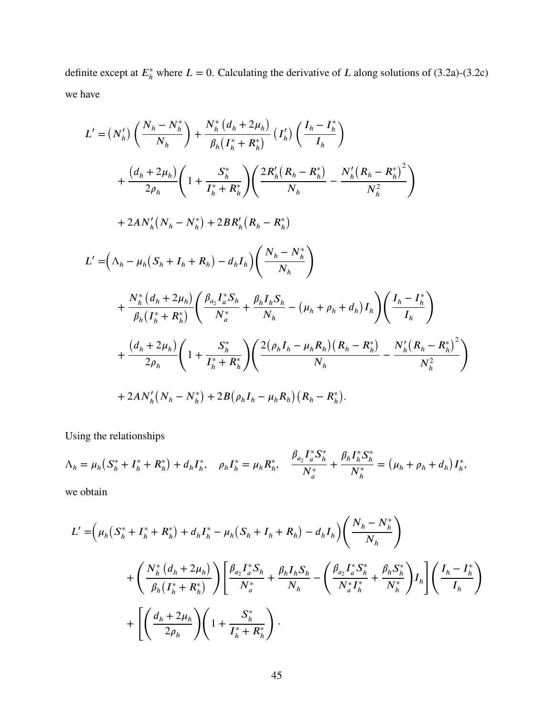definite except at  $E_h^*$  where  $L = 0$ . Calculating the derivative of *L* along solutions of [\(3.2a\)](#page-50-0)-[\(3.2c\)](#page-50-0) we have

$$
L' = (N'_{h}) \left( \frac{N_{h} - N_{h}^{*}}{N_{h}} \right) + \frac{N_{h}^{*} (d_{h} + 2\mu_{h})}{\beta_{h} (I_{h}^{*} + R_{h}^{*})} (I'_{h}) \left( \frac{I_{h} - I_{h}^{*}}{I_{h}} \right)
$$
  
+ 
$$
\frac{(d_{h} + 2\mu_{h})}{2\rho_{h}} \left( 1 + \frac{S_{h}^{*}}{I_{h}^{*} + R_{h}^{*}} \right) \left( \frac{2R'_{h} (R_{h} - R_{h}^{*})}{N_{h}} - \frac{N'_{h} (R_{h} - R_{h}^{*})^{2}}{N_{h}^{2}} \right)
$$
  
+ 
$$
2AN'_{h} (N_{h} - N_{h}^{*}) + 2BR'_{h} (R_{h} - R_{h}^{*})
$$
  

$$
L' = \left( \Lambda_{h} - \mu_{h} (S_{h} + I_{h} + R_{h}) - d_{h} I_{h} \right) \left( \frac{N_{h} - N_{h}^{*}}{N_{h}} \right)
$$
  
+ 
$$
\frac{N_{h}^{*} (d_{h} + 2\mu_{h})}{\beta_{h} (I_{h}^{*} + R_{h}^{*})} \left( \frac{\beta_{a_{2}} I_{a}^{*} S_{h}}{N_{a}^{*}} + \frac{\beta_{h} I_{h} S_{h}}{N_{h}} - (\mu_{h} + \rho_{h} + d_{h}) I_{h} \right) \left( \frac{I_{h} - I_{h}^{*}}{I_{h}} \right)
$$
  
+ 
$$
\frac{(d_{h} + 2\mu_{h})}{2\rho_{h}} \left( 1 + \frac{S_{h}^{*}}{I_{h}^{*} + R_{h}^{*}} \right) \left( \frac{2(\rho_{h} I_{h} - \mu_{h} R_{h}) (R_{h} - R_{h}^{*})}{N_{h}} - \frac{N'_{h} (R_{h} - R_{h}^{*})^{2}}{N_{h}^{2}} \right)
$$
  
+ 
$$
2AN'_{h} (N_{h} - N_{h}^{*}) + 2B(\rho_{h} I_{h} - \mu_{h} R_{h}) (R_{h} - R_{h}^{*}).
$$

Using the relationships

$$
\Lambda_h = \mu_h \big( S_h^* + I_h^* + R_h^* \big) + d_h I_h^*, \quad \rho_h I_h^* = \mu_h R_h^*, \quad \frac{\beta_{a_2} I_a^* S_h^*}{N_a^*} + \frac{\beta_h I_h^* S_h^*}{N_h^*} = \big( \mu_h + \rho_h + d_h \big) I_h^*,
$$

we obtain

$$
L' = \left(\mu_h \left(S_h^* + I_h^* + R_h^*\right) + d_h I_h^* - \mu_h \left(S_h + I_h + R_h\right) - d_h I_h\right) \left(\frac{N_h - N_h^*}{N_h}\right) + \left(\frac{N_h^* \left(d_h + 2\mu_h\right)}{\beta_h \left(I_h^* + R_h^*\right)}\right) \left[\frac{\beta_{a_2} I_a^* S_h}{N_a^*} + \frac{\beta_h I_h S_h}{N_h} - \left(\frac{\beta_{a_2} I_a^* S_h^*}{N_a^* I_h^*} + \frac{\beta_h S_h^*}{N_h^*}\right) I_h\right] \left(\frac{I_h - I_h^*}{I_h}\right) + \left[\left(\frac{d_h + 2\mu_h}{2\rho_h}\right) \left(1 + \frac{S_h^*}{I_h^* + R_h^*}\right).
$$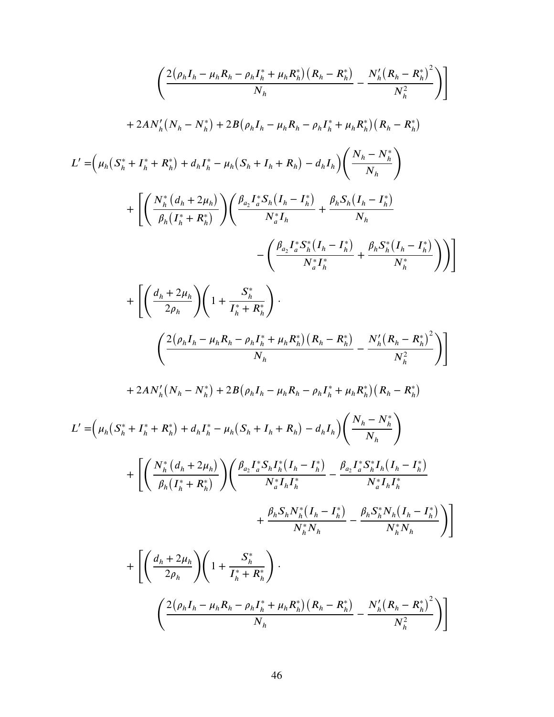$$
\left(\frac{2(\rho_{h}I_{h}-\mu_{h}R_{h}-\rho_{h}I_{h}^{*}+\mu_{h}R_{h}^{*})(R_{h}-R_{h}^{*})}{N_{h}}-\frac{N_{h}'(R_{h}-R_{h}^{*})^{2}}{N_{h}^{2}}\right)\right] +2AN_{h}'(N_{h}-N_{h}^{*})+2B(\rho_{h}I_{h}-\mu_{h}R_{h}-\rho_{h}I_{h}^{*}+\mu_{h}R_{h}^{*})(R_{h}-R_{h}^{*})
$$
  

$$
L'=\left(\mu_{h}(S_{h}^{*}+I_{h}^{*}+R_{h}^{*})+d_{h}I_{h}^{*}-\mu_{h}(S_{h}+I_{h}+R_{h})-d_{h}I_{h}\right)\left(\frac{N_{h}-N_{h}^{*}}{N_{h}}\right) +\left[\left(\frac{N_{h}^{*}(d_{h}+2\mu_{h})}{\rho_{h}(I_{h}^{*}+R_{h}^{*})}\right)\left(\frac{\rho_{a_{2}}I_{a}^{*}S_{h}(I_{h}-I_{h}^{*})}{N_{h}^{*}I_{h}}+\frac{\rho_{h}S_{h}(I_{h}-I_{h}^{*})}{N_{h}}\right)\\ &-\left(\frac{\rho_{a_{2}}I_{a}^{*}S_{h}^{*}(I_{h}-I_{h}^{*})}{N_{h}^{*}I_{h}}+\frac{\rho_{h}S_{h}^{*}(I_{h}-I_{h}^{*})}{N_{h}^{*}}\right)\right)\right] + \left[\left(\frac{d_{h}+2\mu_{h}}{2\rho_{h}}\right)\left(1+\frac{S_{h}^{*}}{I_{h}^{*}+R_{h}^{*}}\right)\cdot\right] +\left(\frac{2(\rho_{h}I_{h}-\mu_{h}R_{h}-\rho_{h}I_{h}^{*}+\mu_{h}R_{h}^{*})(R_{h}-R_{h}^{*})}{N_{h}^{*}}-\frac{N_{h}'(R_{h}-R_{h}^{*})^{2}}{N_{h}^{2}}\right)\right) +2AN_{h}'(N_{h}-N_{h}^{*})+2B(\rho_{h}I_{h}-\mu_{h}R_{h}-\rho_{h}I_{h}^{*}+\mu_{h}R_{h}^{*})(R_{h}-R_{h}^{*})
$$
  

$$
L'=\left
$$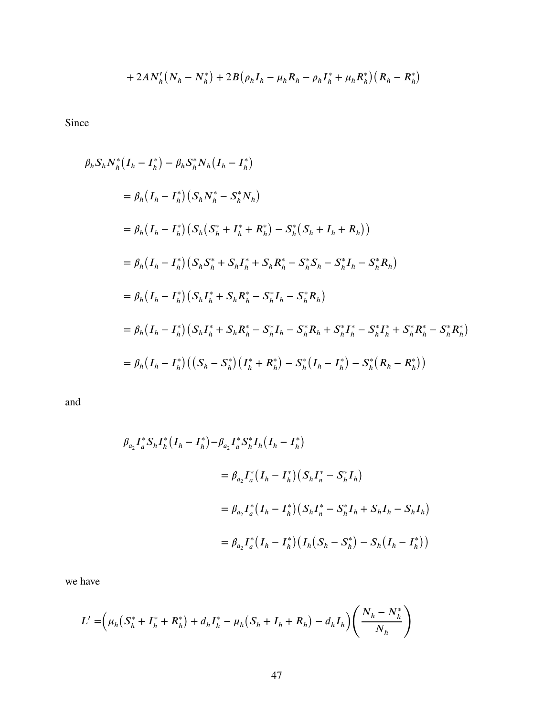+ 
$$
2AN'_h(N_h - N_h^*)
$$
 +  $2B(\rho_h I_h - \mu_h R_h - \rho_h I_h^* + \mu_h R_h^*)(R_h - R_h^*)$ 

Since

$$
\beta_h S_h N_h^* (I_h - I_h^*) - \beta_h S_h^* N_h (I_h - I_h^*)
$$
  
\n
$$
= \beta_h (I_h - I_h^*) (S_h N_h^* - S_h^* N_h)
$$
  
\n
$$
= \beta_h (I_h - I_h^*) (S_h (S_h^* + I_h^* + R_h^*) - S_h^* (S_h + I_h + R_h))
$$
  
\n
$$
= \beta_h (I_h - I_h^*) (S_h S_h^* + S_h I_h^* + S_h R_h^* - S_h^* S_h - S_h^* I_h - S_h^* R_h)
$$
  
\n
$$
= \beta_h (I_h - I_h^*) (S_h I_h^* + S_h R_h^* - S_h^* I_h - S_h^* R_h)
$$
  
\n
$$
= \beta_h (I_h - I_h^*) (S_h I_h^* + S_h R_h^* - S_h^* I_h - S_h^* R_h + S_h^* I_h^* - S_h^* I_h^* + S_h^* R_h^* - S_h^* R_h^*)
$$
  
\n
$$
= \beta_h (I_h - I_h^*) ((S_h - S_h^*) (I_h^* + R_h^*) - S_h^* (I_h - I_h^*) - S_h^* (R_h - R_h^*))
$$

and

$$
\begin{aligned}\n\beta_{a_2} I_a^* S_h I_h^* (I_h - I_h^*) - \beta_{a_2} I_a^* S_h^* I_h (I_h - I_h^*) \\
&= \beta_{a_2} I_a^* (I_h - I_h^*) (S_h I_h^* - S_h^* I_h) \\
&= \beta_{a_2} I_a^* (I_h - I_h^*) (S_h I_h^* - S_h^* I_h + S_h I_h - S_h I_h) \\
&= \beta_{a_2} I_a^* (I_h - I_h^*) (I_h (S_h - S_h^*) - S_h (I_h - I_h^*))\n\end{aligned}
$$

we have

$$
L' = \left(\mu_h \left(S_h^* + I_h^* + R_h^*\right) + d_h I_h^* - \mu_h \left(S_h + I_h + R_h\right) - d_h I_h\right) \left(\frac{N_h - N_h^*}{N_h}\right)
$$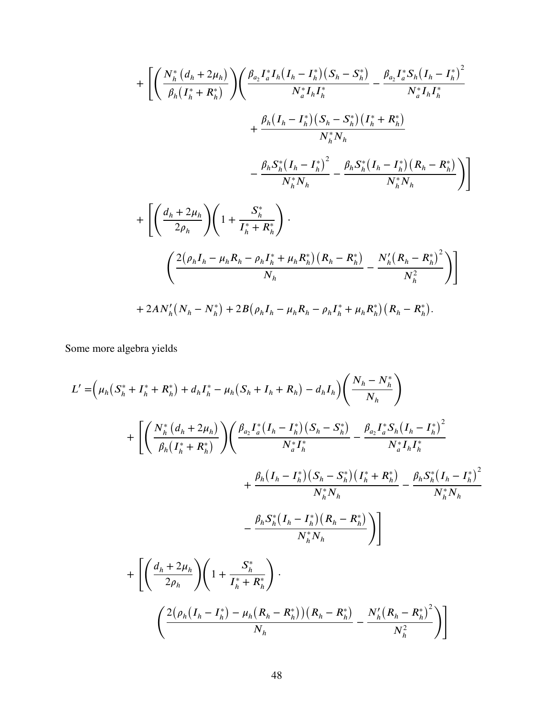$$
+ \left[ \left( \frac{N_h^* (d_h + 2\mu_h)}{\beta_h (I_h^* + R_h^*)} \right) \left( \frac{\beta_{a_2} I_a^* I_h (I_h - I_h^*) (S_h - S_h^*)}{N_a^* I_h I_h^*} - \frac{\beta_{a_2} I_a^* S_h (I_h - I_h^*)^2}{N_a^* I_h I_h^*} \right. \right. \\ \left. + \frac{\beta_h (I_h - I_h^*) (S_h - S_h^*) (I_h^* + R_h^*)}{N_h^* N_h} \right. \\ \left. - \frac{\beta_h S_h^* (I_h - I_h^*)^2}{N_h^* N_h} - \frac{\beta_h S_h^* (I_h - I_h^*) (R_h - R_h^*)}{N_h^* N_h} \right) \right] \\ + \left[ \left( \frac{d_h + 2\mu_h}{2\rho_h} \right) \left( 1 + \frac{S_h^*}{I_h^* + R_h^*} \right) \cdot \left. \left( \frac{2(\rho_h I_h - \mu_h R_h - \rho_h I_h^* + \mu_h R_h^*) (R_h - R_h^*)^2}{N_h} \right) \right] \right. \\ \left. + 2AN_h'(N_h - N_h^*) + 2B(\rho_h I_h - \mu_h R_h - \rho_h I_h^* + \mu_h R_h^*) (R_h - R_h^*) \right)
$$

Some more algebra yields

$$
L' = \left(\mu_h \left(S_h^* + I_h^* + R_h^*\right) + d_h I_h^* - \mu_h \left(S_h + I_h + R_h\right) - d_h I_h\right) \left(\frac{N_h - N_h^*}{N_h}\right)
$$
  
+ 
$$
\left[ \left(\frac{N_h^* \left(d_h + 2\mu_h\right)}{\beta_h \left(I_h^* + R_h^*\right)}\right) \left(\frac{\beta_{a_2} I_a^* \left(I_h - I_h^*\right) \left(S_h - S_h^*\right)}{N_a^* I_h^*} - \frac{\beta_{a_2} I_a^* S_h \left(I_h - I_h^*\right)^2}{N_a^* I_h I_h^*}\right) \right] + \frac{\beta_h \left(I_h - I_h^*\right) \left(S_h - S_h^*\right) \left(I_h^* + R_h^*\right)}{N_h^* N_h} - \frac{\beta_h S_h^* \left(I_h - I_h^*\right)^2}{N_h^* N_h} \left(\frac{\beta_h S_h^* \left(I_h - I_h^*\right) \left(R_h - R_h^*\right)}{N_h^* N_h}\right)}{\sum_h \left(\frac{2(\rho_h \left(I_h - I_h^*) - \mu_h \left(R_h - R_h^*\right)\right) \left(R_h - R_h^*\right)}{N_h}\right)} - \frac{N_h' \left(R_h - R_h^*\right)^2}{N_h^2}\right)
$$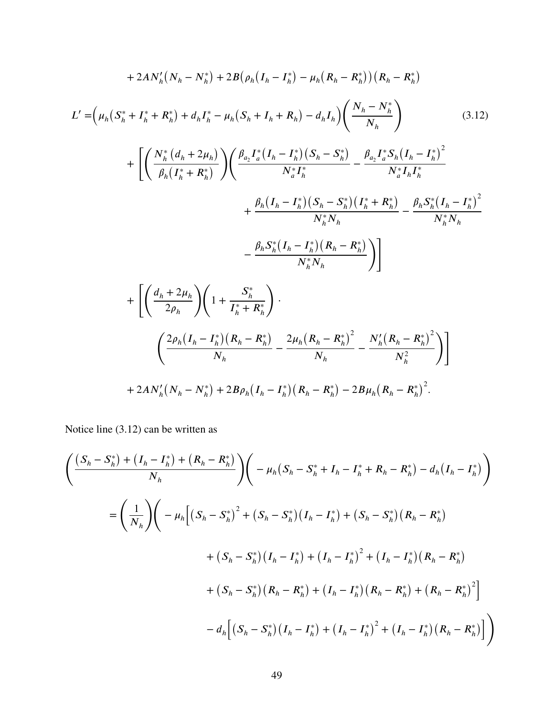<span id="page-58-0"></span>
$$
+2AN'_{h}(N_{h}-N_{h}^{*})+2B(\rho_{h}(I_{h}-I_{h}^{*})-\mu_{h}(R_{h}-R_{h}^{*}))(R_{h}-R_{h}^{*})
$$
\n
$$
L' = (\mu_{h}(S_{h}^{*}+I_{h}^{*}+R_{h}^{*})+d_{h}I_{h}^{*}-\mu_{h}(S_{h}+I_{h}+R_{h})-d_{h}I_{h})\left(\frac{N_{h}-N_{h}^{*}}{N_{h}}\right) \qquad (3.12)
$$
\n
$$
+ \left[\left(\frac{N_{h}^{*}(d_{h}+2\mu_{h})}{\beta_{h}(I_{h}^{*}+R_{h}^{*})}\right)\left(\frac{\beta_{a_{2}}I_{a}^{*}(I_{h}-I_{h}^{*})(S_{h}-S_{h}^{*})}{N_{a}^{*}I_{h}}-\frac{\beta_{a_{2}}I_{a}^{*}S_{h}(I_{h}-I_{h}^{*})^{2}}{N_{a}^{*}I_{h}I_{h}^{*}}\right)\right] + \frac{\beta_{h}(I_{h}-I_{h}^{*})(S_{h}-S_{h}^{*})}{N_{h}^{*}N_{h}} - \frac{\beta_{h}S_{h}^{*}(I_{h}-I_{h}^{*})^{2}}{N_{h}^{*}N_{h}}
$$
\n
$$
- \frac{\beta_{h}S_{h}^{*}(I_{h}-I_{h}^{*})(R_{h}-R_{h}^{*})}{N_{h}^{*}N_{h}}\right)\right]
$$
\n
$$
+ \left[\left(\frac{d_{h}+2\mu_{h}}{2\rho_{h}}\right)\left(1+\frac{S_{h}^{*}}{I_{h}^{*}+R_{h}^{*}}\right)\cdot\left(\frac{2\rho_{h}(I_{h}-I_{h}^{*})(R_{h}-R_{h}^{*})^{2}}{N_{h}}-\frac{N_{h}'(R_{h}-R_{h}^{*})^{2}}{N_{h}^{2}}\right)\right]
$$
\n
$$
+ 2AN'_{h}(N_{h}-N_{h}^{*})+2B\rho_{h}(I_{h}-I_{h}^{*})(R_{h}-R_{h}^{*})-2B\mu_{h}(R_{h}-R_{h}^{*})^{2}.
$$

Notice line [\(3.12\)](#page-58-0) can be written as

$$
\left(\frac{(S_h - S_h^*) + (I_h - I_h^*) + (R_h - R_h^*)}{N_h}\right) \left(-\mu_h(S_h - S_h^* + I_h - I_h^* + R_h - R_h^*) - d_h(I_h - I_h^*)\right)
$$
\n
$$
= \left(\frac{1}{N_h}\right) \left(-\mu_h\Big[ (S_h - S_h^*)^2 + (S_h - S_h^*) (I_h - I_h^*) + (S_h - S_h^*) (R_h - R_h^*)\Big] + (S_h - S_h^*) (I_h - I_h^*) + (I_h - I_h^*)^2 + (I_h - I_h^*) (R_h - R_h^*)\Big] + (S_h - S_h^*) (R_h - R_h^*) + (I_h - I_h^*) (R_h - R_h^*)^2\Big] - d_h\Big[ (S_h - S_h^*) (I_h - I_h^*) + (I_h - I_h^*)^2 + (I_h - I_h^*) (R_h - R_h^*)\Big]\Big)
$$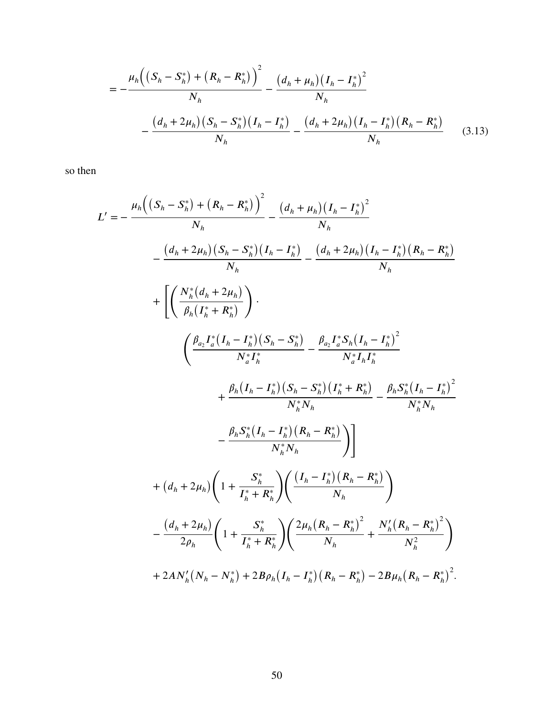<span id="page-59-0"></span>
$$
= -\frac{\mu_h \left( \left( S_h - S_h^* \right) + \left( R_h - R_h^* \right) \right)^2}{N_h} - \frac{\left( d_h + \mu_h \right) \left( I_h - I_h^* \right)^2}{N_h} - \frac{\left( d_h + 2\mu_h \right) \left( S_h - S_h^* \right) \left( I_h - I_h^* \right)}{N_h} - \frac{\left( d_h + 2\mu_h \right) \left( I_h - I_h^* \right) \left( R_h - R_h^* \right)}{N_h} \tag{3.13}
$$

so then

$$
L' = -\frac{\mu_h((S_h - S_h^*) + (R_h - R_h^*))^2}{N_h} - \frac{(d_h + \mu_h)(I_h - I_h^*)^2}{N_h}
$$
  

$$
- \frac{(d_h + 2\mu_h)(S_h - S_h^*)(I_h - I_h^*) - (d_h + 2\mu_h)(I_h - I_h^*)(R_h - R_h^*)}{N_h}
$$
  

$$
+ \left[ \left( \frac{N_h^*(d_h + 2\mu_h)}{\beta_h(I_h^* + R_h^*)} \right) \right].
$$
  

$$
\left( \frac{\beta_{a_2}I_a^*(I_h - I_h^*)(S_h - S_h^*)}{N_a^*I_h^*} - \frac{\beta_{a_2}I_a^*S_h(I_h - I_h^*)^2}{N_a^*I_hI_h^*} + \frac{\beta_h(I_h - I_h^*) (S_h - S_h^*)(I_h^* + R_h^*)}{N_h^*N_h} - \frac{\beta_hS_h^*(I_h - I_h^*)^2}{N_h^*N_h}
$$
  

$$
- \frac{\beta_hS_h^*(I_h - I_h^*)(R_h - R_h^*)}{N_h^*N_h} \right)] + (d_h + 2\mu_h) \left( 1 + \frac{S_h^*}{I_h^* + R_h^*} \right) \left( \frac{(I_h - I_h^*)(R_h - R_h^*)}{N_h} \right)
$$
  

$$
- \frac{(d_h + 2\mu_h)}{2\rho_h} \left( 1 + \frac{S_h^*}{I_h^* + R_h^*} \right) \left( \frac{2\mu_h(R_h - R_h^*)^2}{N_h} + \frac{N_h'(R_h - R_h^*)^2}{N_h^2} \right)
$$
  

$$
+ 2AN_h'(N_h - N_h^*) + 2B\rho_h(I_h - I_h^*)(R_h - R_h^*) - 2B\mu_h(R_h - R_h^*)^2.
$$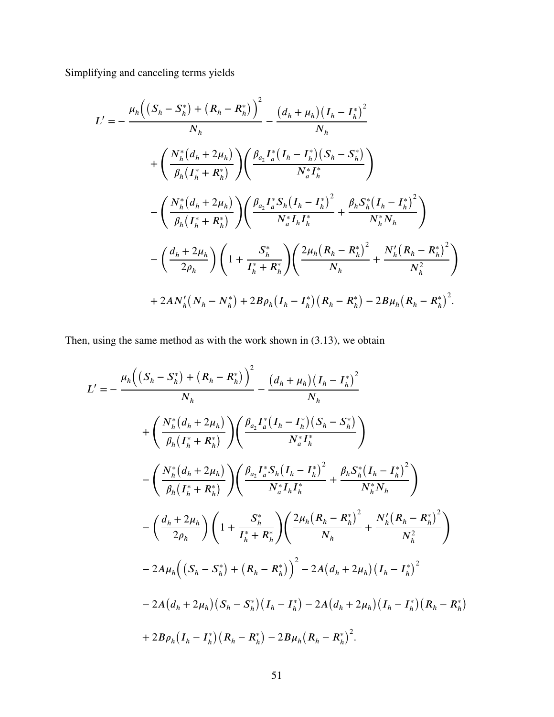Simplifying and canceling terms yields

$$
L' = -\frac{\mu_h \left( \left( S_h - S_h^* \right) + \left( R_h - R_h^* \right) \right)^2}{N_h} - \frac{\left( d_h + \mu_h \right) \left( I_h - I_h^* \right)^2}{N_h}
$$
  
+ 
$$
\left( \frac{N_h^* \left( d_h + 2\mu_h \right)}{\beta_h \left( I_h^* + R_h^* \right)} \right) \left( \frac{\beta_{a_2} I_a^* \left( I_h - I_h^* \right) \left( S_h - S_h^* \right)}{N_a^* I_h^*} \right)
$$
  
- 
$$
\left( \frac{N_h^* \left( d_h + 2\mu_h \right)}{\beta_h \left( I_h^* + R_h^* \right)} \right) \left( \frac{\beta_{a_2} I_a^* S_h \left( I_h - I_h^* \right)^2}{N_a^* I_h I_h^*} + \frac{\beta_h S_h^* \left( I_h - I_h^* \right)^2}{N_h^* N_h} \right)
$$
  
- 
$$
\left( \frac{d_h + 2\mu_h}{2\rho_h} \right) \left( 1 + \frac{S_h^*}{I_h^* + R_h^*} \right) \left( \frac{2\mu_h \left( R_h - R_h^* \right)^2}{N_h} + \frac{N_h' \left( R_h - R_h^* \right)^2}{N_h^2} \right)
$$
  
+ 
$$
2AN_h' \left( N_h - N_h^* \right) + 2B\rho_h \left( I_h - I_h^* \right) \left( R_h - R_h^* \right) - 2B\mu_h \left( R_h - R_h^* \right)^2.
$$

Then, using the same method as with the work shown in [\(3.13\)](#page-59-0), we obtain

$$
L' = -\frac{\mu_h \left( \left( S_h - S_h^* \right) + \left( R_h - R_h^* \right) \right)^2}{N_h} - \frac{\left( d_h + \mu_h \right) \left( I_h - I_h^* \right)^2}{N_h}
$$
  
+ 
$$
\left( \frac{N_h^* (d_h + 2\mu_h)}{\beta_h (I_h^* + R_h^*)} \right) \left( \frac{\beta_{a_2} I_a^* (I_h - I_h^*) (S_h - S_h^*)}{N_a^* I_h^*} \right)
$$
  
- 
$$
\left( \frac{N_h^* (d_h + 2\mu_h)}{\beta_h (I_h^* + R_h^*)} \right) \left( \frac{\beta_{a_2} I_a^* S_h (I_h - I_h^*)^2}{N_a^* I_h I_h^*} + \frac{\beta_h S_h^* (I_h - I_h^*)^2}{N_h^* N_h} \right)
$$
  
- 
$$
\left( \frac{d_h + 2\mu_h}{2\rho_h} \right) \left( 1 + \frac{S_h^*}{I_h^* + R_h^*} \right) \left( \frac{2\mu_h (R_h - R_h^*)^2}{N_h} + \frac{N_h' (R_h - R_h^*)^2}{N_h^2} \right)
$$
  
- 
$$
2A\mu_h \left( (S_h - S_h^*) + (R_h - R_h^*) \right)^2 - 2A(d_h + 2\mu_h) (I_h - I_h^*)^2
$$
  
- 
$$
2A(d_h + 2\mu_h) (S_h - S_h^*) (I_h - I_h^*) - 2A(d_h + 2\mu_h) (I_h - I_h^*) (R_h - R_h^*)
$$
  
+ 
$$
2B\rho_h (I_h - I_h^*) (R_h - R_h^*) - 2B\mu_h (R_h - R_h^*)^2.
$$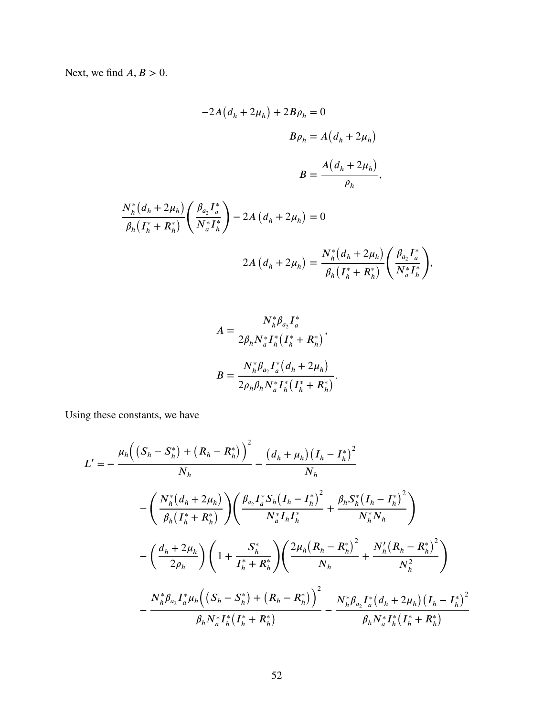Next, we find  $A, B > 0$ .

 $N_h^*$  $\overline{a}$ 

−2*𝐴* ( *𝑑<sup>ℎ</sup>* + 2*𝜇<sup>ℎ</sup>* ) + 2*𝐵𝜌<sup>ℎ</sup>* = 0 *𝐵𝜌<sup>ℎ</sup>* = *𝐴* ( *𝑑<sup>ℎ</sup>* + 2*𝜇<sup>ℎ</sup>* ) *𝐵* = *𝐴* ( *𝑑<sup>ℎ</sup>* + 2*𝜇<sup>ℎ</sup>* ) *𝜌ℎ , 𝑑<sup>ℎ</sup>* + 2*𝜇<sup>ℎ</sup>* ) *𝛽ℎ* ( *𝐼* ∗ *ℎ* + *𝑅*<sup>∗</sup> *ℎ* ) ( *𝛽𝑎*2 *𝐼* ∗ *𝑎 𝑁*<sup>∗</sup> *𝑎 𝐼* ∗ *ℎ* ) − 2*𝐴* ( *𝑑<sup>ℎ</sup>* + 2*𝜇<sup>ℎ</sup>* ) = 0 ( ) *𝑁*<sup>∗</sup> ( *𝑑<sup>ℎ</sup>* + 2*𝜇<sup>ℎ</sup>* ) ( *𝛽𝑎*2 *𝐼* ∗

$$
2A\left(d_{h}+2\mu_{h}\right)=\frac{N_{h}^{*}\left(d_{h}+2\mu_{h}\right)}{\beta_{h}\left(I_{h}^{*}+R_{h}^{*}\right)}\left(\frac{\beta_{a_{2}}I_{a}^{*}}{N_{a}^{*}I_{h}^{*}}\right),
$$

$$
A = \frac{N_h^* \beta_{a_2} I_a^*}{2\beta_h N_a^* I_h^* (I_h^* + R_h^*)},
$$
  

$$
B = \frac{N_h^* \beta_{a_2} I_a^* (d_h + 2\mu_h)}{2\rho_h \beta_h N_a^* I_h^* (I_h^* + R_h^*)}.
$$

Using these constants, we have

$$
L' = -\frac{\mu_h \left( (S_h - S_h^*) + (R_h - R_h^*) \right)^2}{N_h} - \frac{\left( d_h + \mu_h \right) \left( I_h - I_h^* \right)^2}{N_h}
$$

$$
- \left( \frac{N_h^* (d_h + 2\mu_h)}{\beta_h (I_h^* + R_h^*)} \right) \left( \frac{\beta_{a_2} I_a^* S_h (I_h - I_h^*)^2}{N_a^* I_h I_h^*} + \frac{\beta_h S_h^* (I_h - I_h^*)^2}{N_h^* N_h} \right)
$$

$$
- \left( \frac{d_h + 2\mu_h}{2\rho_h} \right) \left( 1 + \frac{S_h^*}{I_h^* + R_h^*} \right) \left( \frac{2\mu_h (R_h - R_h^*)^2}{N_h} + \frac{N_h' (R_h - R_h^*)^2}{N_h^2} \right)
$$

$$
- \frac{N_h^* \beta_{a_2} I_a^* \mu_h \left( (S_h - S_h^*) + (R_h - R_h^*) \right)^2}{\beta_h N_a^* I_h^* (I_h^* + R_h^*)} - \frac{N_h^* \beta_{a_2} I_a^* (d_h + 2\mu_h) (I_h - I_h^*)^2}{\beta_h N_a^* I_h^* (I_h^* + R_h^*)}
$$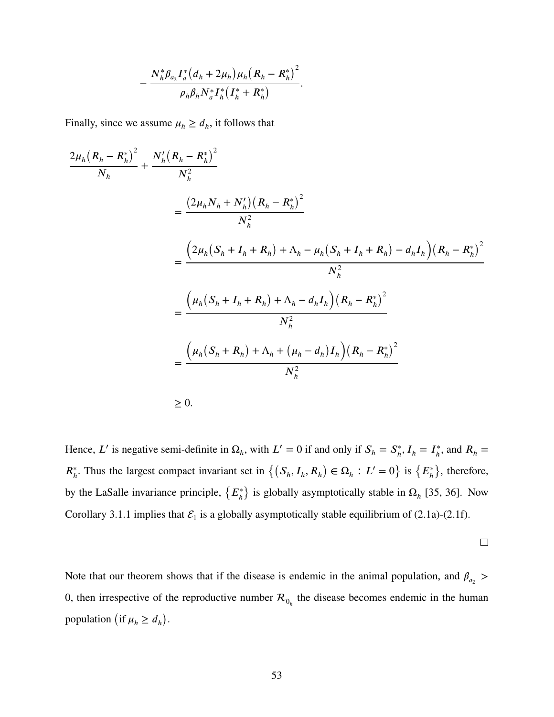$$
-\frac{N_h^*\beta_{a_2}I_a^*(d_h+2\mu_h)\mu_h(R_h-R_h^*)^2}{\rho_h\beta_hN_a^*I_h^*(I_h^*+R_h^*)}.
$$

Finally, since we assume  $\mu_h \ge d_h$ , it follows that

$$
\frac{2\mu_h (R_h - R_h^*)^2}{N_h} + \frac{N_h'(R_h - R_h^*)^2}{N_h^2}
$$
  
= 
$$
\frac{(2\mu_h N_h + N_h')(R_h - R_h^*)^2}{N_h^2}
$$
  
= 
$$
\frac{(2\mu_h (S_h + I_h + R_h) + \Lambda_h - \mu_h (S_h + I_h + R_h) - d_h I_h)(R_h - R_h^*)^2}{N_h^2}
$$
  
= 
$$
\frac{(\mu_h (S_h + I_h + R_h) + \Lambda_h - d_h I_h)(R_h - R_h^*)^2}{N_h^2}
$$
  
= 
$$
\frac{(\mu_h (S_h + R_h) + \Lambda_h + (\mu_h - d_h) I_h)(R_h - R_h^*)^2}{N_h^2}
$$
  

$$
\geq 0.
$$

Hence, *L'* is negative semi-definite in  $\Omega_h$ , with  $L' = 0$  if and only if  $S_h = S_h^*$  $I_h^*$ ,  $I_h = I_h^*$  $\hat{R}_h^*$ , and  $R_h =$  $R_h^*$ . Thus the largest compact invariant set in  $\{(S_h, I_h, R_h) \in \Omega_h : L' = 0\}$  is  $\{E_h^*\}$ *ℎ*  $\overline{ }$ , therefore, by the LaSalle invariance principle,  $\{E_h^*\}$ *ℎ*  $\overline{ }$ is globally asymptotically stable in  $\Omega_h$  [\[35,](#page-105-4) [36\]](#page-105-5). Now Corollary [3.1.1](#page-50-1) implies that  $\mathcal{E}_1$  is a globally asymptotically stable equilibrium of [\(2.1a\)](#page-14-0)-[\(2.1f\)](#page-14-0).

$$
\qquad \qquad \Box
$$

Note that our theorem shows that if the disease is endemic in the animal population, and  $\beta_{a_2}$ 0, then irrespective of the reproductive number  $\mathcal{R}_{0_h}$  the disease becomes endemic in the human population (if  $\mu_h \geq d_h$ ) .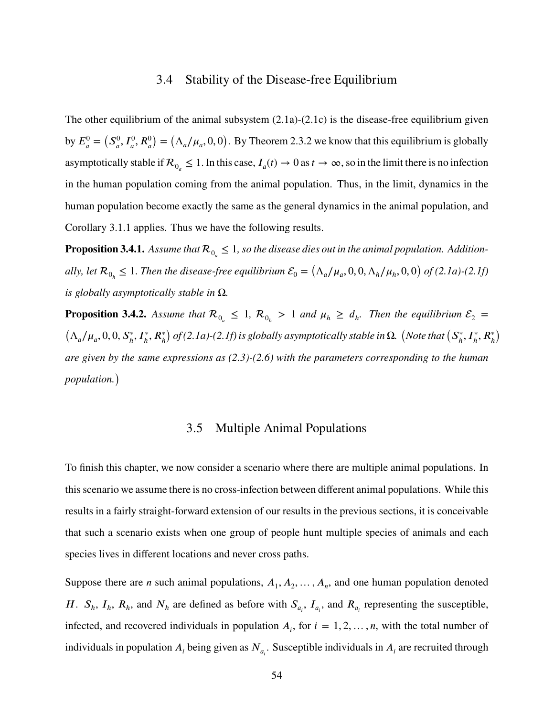## 3.4 Stability of the Disease-free Equilibrium

The other equilibrium of the animal subsystem [\(2.1a\)](#page-14-0)-[\(2.1c\)](#page-14-0) is the disease-free equilibrium given by  $E_a^0 =$  $(S_a^0)$  $J_a^0$ ,  $I_a^0$ ,  $R_a^0$  $\overline{ }$ =  $(\Lambda_a/\mu_a, 0, 0)$ . By Theorem [2.3.2](#page-23-0) we know that this equilibrium is globally asymptotically stable if  $\mathcal{R}_{0_a} \leq 1$ . In this case,  $I_a(t) \to 0$  as  $t \to \infty$ , so in the limit there is no infection in the human population coming from the animal population. Thus, in the limit, dynamics in the human population become exactly the same as the general dynamics in the animal population, and Corollary [3.1.1](#page-50-1) applies. Thus we have the following results.

**Proposition 3.4.1.** Assume that  $\mathcal{R}_{0_{a}} \leq 1$ , so the disease dies out in the animal population. Addition $ally, let R_{0_h} \leq 1$ . Then the disease-free equilibrium  $\mathcal{E}_0 = (\Lambda_a/\mu_a, 0, 0, \Lambda_h/\mu_h, 0, 0)$ *of [\(2.1a\)](#page-14-0)-[\(2.1f\)](#page-14-0) is globally asymptotically stable in* Ω*.*

**Proposition 3.4.2.** Assume that  $\mathcal{R}_{0_a} \leq 1$ ,  $\mathcal{R}_{0_b} > 1$  and  $\mu_h \geq d_h$ . Then the equilibrium  $\mathcal{E}_2 =$  $(\Lambda_a/\mu_a, 0, 0, S_h^*, I_h^*, R_h^*)$  $\lambda$ *of [\(2.1a\)](#page-14-0)-[\(2.1f\)](#page-14-0) is globally asymptotically stable in* Ω*.* (*Note that*  $(S_h^*)$  $I_h^*, I_h^*, R_h^*$  $\lambda$ *are given by the same expressions as [\(2.3\)](#page-18-0)-[\(2.6\)](#page-19-0) with the parameters corresponding to the human population.*)

## 3.5 Multiple Animal Populations

To finish this chapter, we now consider a scenario where there are multiple animal populations. In this scenario we assume there is no cross-infection between different animal populations. While this results in a fairly straight-forward extension of our results in the previous sections, it is conceivable that such a scenario exists when one group of people hunt multiple species of animals and each species lives in different locations and never cross paths.

Suppose there are *n* such animal populations,  $A_1, A_2, \ldots, A_n$ , and one human population denoted H.  $S_h$ ,  $I_h$ ,  $R_h$ , and  $N_h$  are defined as before with  $S_{a_i}$ ,  $I_{a_i}$ , and  $R_{a_i}$  representing the susceptible, infected, and recovered individuals in population  $A_i$ , for  $i = 1, 2, \ldots, n$ , with the total number of individuals in population  $A_i$  being given as  $N_{a_i}$ . Susceptible individuals in  $A_i$  are recruited through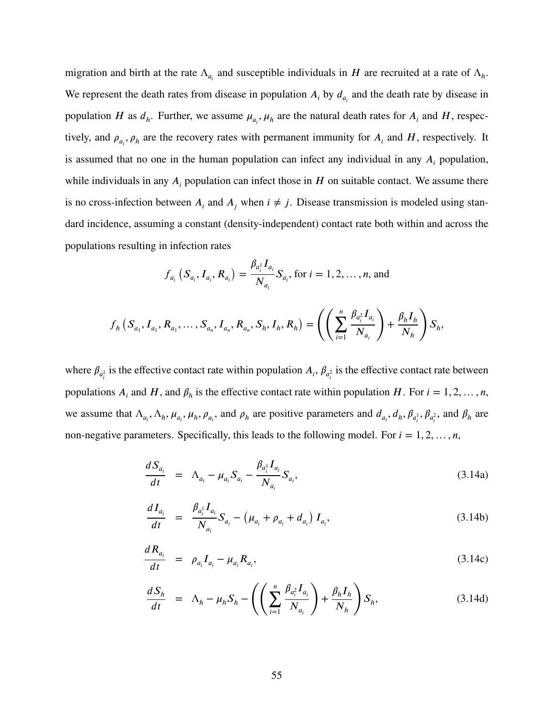migration and birth at the rate  $\Lambda_{a_i}$  and susceptible individuals in *H* are recruited at a rate of  $\Lambda_h$ . We represent the death rates from disease in population  $A_i$  by  $d_{a_i}$  and the death rate by disease in population *H* as  $d_h$ . Further, we assume  $\mu_{a_i}$ ,  $\mu_h$  are the natural death rates for  $A_i$  and  $H$ , respectively, and  $\rho_{a_i}$ ,  $\rho_h$  are the recovery rates with permanent immunity for  $A_i$  and  $H$ , respectively. It is assumed that no one in the human population can infect any individual in any  $A_i$  population, while individuals in any  $A_i$  population can infect those in  $H$  on suitable contact. We assume there is no cross-infection between  $A_i$  and  $A_j$  when  $i \neq j$ . Disease transmission is modeled using standard incidence, assuming a constant (density-independent) contact rate both within and across the populations resulting in infection rates

$$
f_{a_i}
$$
  $(S_{a_i}, I_{a_i}, R_{a_i}) = \frac{\beta_{a_i} I_{a_i}}{N_{a_i}} S_{a_i}$ , for  $i = 1, 2, ..., n$ , and

$$
f_h(S_{a_1}, I_{a_1}, R_{a_1}, \ldots, S_{a_n}, I_{a_n}, R_{a_n}, S_h, I_h, R_h) = \left( \left( \sum_{i=1}^n \frac{\beta_{a_i}^2 I_{a_i}}{N_{a_i}} \right) + \frac{\beta_h I_h}{N_h} \right) S_h,
$$

where  $\beta_{a_i^1}$  is the effective contact rate within population  $A_i$ ,  $\beta_{a_i^2}$  is the effective contact rate between populations  $A_i$  and  $H$ , and  $\beta_h$  is the effective contact rate within population  $H$ . For  $i = 1, 2, ..., n$ , we assume that  $\Lambda_{a_i}, \Lambda_h, \mu_{a_i}, \mu_h, \rho_{a_i}$ , and  $\rho_h$  are positive parameters and  $d_{a_i}, d_h, \beta_{a_i}, \beta_{a_i^2}$ , and  $\beta_h$  are non-negative parameters. Specifically, this leads to the following model. For  $i = 1, 2, ..., n$ ,

<span id="page-64-0"></span>
$$
\frac{dS_{a_i}}{dt} = \Lambda_{a_i} - \mu_{a_i} S_{a_i} - \frac{\beta_{a_i} I_{a_i}}{N_{a_i}} S_{a_i},
$$
\n(3.14a)

$$
\frac{dI_{a_i}}{dt} = \frac{\beta_{a_i} I_{a_i}}{N_{a_i}} S_{a_i} - (\mu_{a_i} + \rho_{a_i} + d_{a_i}) I_{a_i},
$$
\n(3.14b)

$$
\frac{dR_{a_i}}{dt} = \rho_{a_i} I_{a_i} - \mu_{a_i} R_{a_i},
$$
\n(3.14c)

$$
\frac{dS_h}{dt} = \Lambda_h - \mu_h S_h - \left( \left( \sum_{i=1}^n \frac{\beta_{a_i^2} I_{a_i}}{N_{a_i}} \right) + \frac{\beta_h I_h}{N_h} \right) S_h, \tag{3.14d}
$$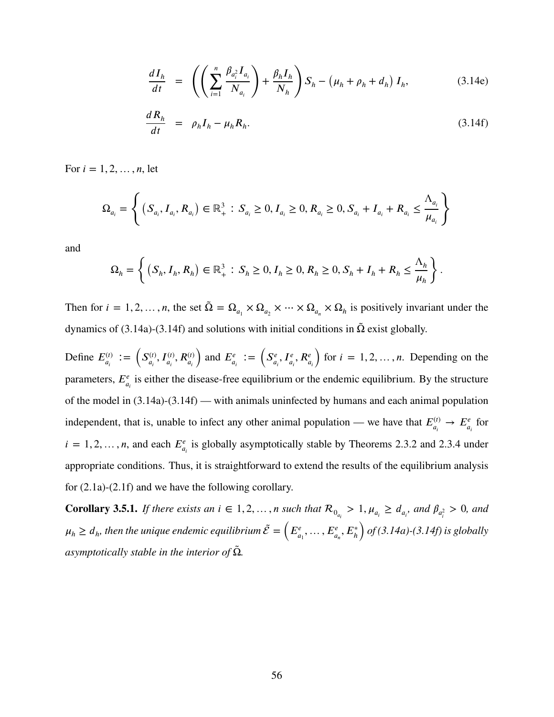$$
\frac{dI_h}{dt} = \left( \left( \sum_{i=1}^n \frac{\beta_{a_i^2} I_{a_i}}{N_{a_i}} \right) + \frac{\beta_h I_h}{N_h} \right) S_h - \left( \mu_h + \rho_h + d_h \right) I_h, \tag{3.14e}
$$

$$
\frac{dR_h}{dt} = \rho_h I_h - \mu_h R_h. \tag{3.14f}
$$

For  $i = 1, 2, ..., n$ , let

$$
\Omega_{a_i} = \left\{ (S_{a_i}, I_{a_i}, R_{a_i}) \in \mathbb{R}_+^3 : S_{a_i} \ge 0, I_{a_i} \ge 0, R_{a_i} \ge 0, S_{a_i} + I_{a_i} + R_{a_i} \le \frac{\Lambda_{a_i}}{\mu_{a_i}} \right\}
$$

and

$$
\Omega_h = \left\{ (S_h, I_h, R_h) \in \mathbb{R}_+^3 : S_h \ge 0, I_h \ge 0, R_h \ge 0, S_h + I_h + R_h \le \frac{\Lambda_h}{\mu_h} \right\}.
$$

Then for  $i = 1, 2, ..., n$ , the set  $\tilde{\Omega} = \Omega_{a_1} \times \Omega_{a_2} \times \cdots \times \Omega_{a_n} \times \Omega_h$  is positively invariant under the dynamics of [\(3.14a\)](#page-64-0)-[\(3.14f\)](#page-64-0) and solutions with initial conditions in Ω*̃* exist globally.

Define  $E_{a_i}^{(t)} := (S_{a_i}^{(t)})$  $I_{a_i}^{(t)}, I_{a_i}^{(t)}, R_{a_i}^{(t)}$  $\sqrt{ }$ and  $E_{a_i}^e := \left(S_{a_i}^e\right)$  $\mathcal{L}_{a_i}^e$ ,  $I_{a_i}^e$ ,  $R_{a_i}^e$  $\sqrt{ }$ for  $i = 1, 2, \ldots, n$ . Depending on the parameters,  $E_{a_i}^e$  is either the disease-free equilibrium or the endemic equilibrium. By the structure of the model in [\(3.14a\)](#page-64-0)-[\(3.14f\)](#page-64-0) — with animals uninfected by humans and each animal population independent, that is, unable to infect any other animal population — we have that  $E_{a_i}^{(t)} \to E_{a_i}^e$  for  $i = 1, 2, \ldots, n$ , and each  $E^e_{a_i}$  is globally asymptotically stable by Theorems [2.3.2](#page-23-0) and [2.3.4](#page-34-0) under appropriate conditions. Thus, it is straightforward to extend the results of the equilibrium analysis for [\(2.1a\)](#page-14-0)-[\(2.1f\)](#page-14-0) and we have the following corollary.

**Corollary 3.5.1.** If there exists an  $i \in 1, 2, ..., n$  such that  $\mathcal{R}_{0_{a_i}} > 1, \mu_{a_i} \ge d_{a_i}$ , and  $\beta_{a_i^2} > 0$ , and  $\mu_h \geq d_h$ , then the unique endemic equilibrium  $\tilde{\mathcal{E}}=0$  $\overline{a}$  $E_{a_1}^e, \ldots, E_{a_n}^e, E_h^*$  $\sqrt{ }$ *of [\(3.14a\)](#page-64-0)-[\(3.14f\)](#page-64-0) is globally asymptotically stable in the interior of*  $\tilde{\Omega}$ *.*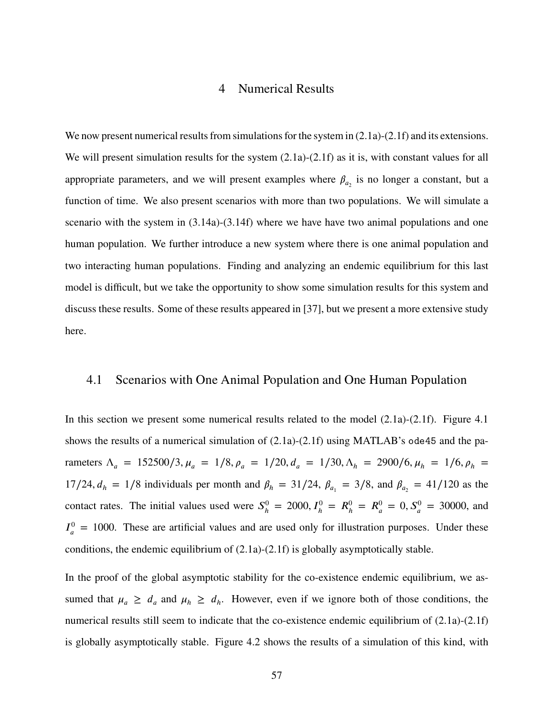#### 4 Numerical Results

We now present numerical results from simulations for the system in  $(2.1a)-(2.1f)$  $(2.1a)-(2.1f)$  $(2.1a)-(2.1f)$  and its extensions. We will present simulation results for the system  $(2.1a)-(2.1f)$  $(2.1a)-(2.1f)$  $(2.1a)-(2.1f)$  as it is, with constant values for all appropriate parameters, and we will present examples where  $\beta_{a_2}$  is no longer a constant, but a function of time. We also present scenarios with more than two populations. We will simulate a scenario with the system in [\(3.14a\)](#page-64-0)-[\(3.14f\)](#page-64-0) where we have have two animal populations and one human population. We further introduce a new system where there is one animal population and two interacting human populations. Finding and analyzing an endemic equilibrium for this last model is difficult, but we take the opportunity to show some simulation results for this system and discuss these results. Some of these results appeared in [\[37\]](#page-105-2), but we present a more extensive study here.

## 4.1 Scenarios with One Animal Population and One Human Population

In this section we present some numerical results related to the model [\(2.1a\)](#page-14-0)-[\(2.1f\)](#page-14-0). Figure [4.1](#page-68-0) shows the results of a numerical simulation of [\(2.1a\)](#page-14-0)-[\(2.1f\)](#page-14-0) using MATLAB's ode45 and the parameters  $\Lambda_a = 152500/3, \mu_a = 1/8, \rho_a = 1/20, d_a = 1/30, \Lambda_h = 2900/6, \mu_h = 1/6, \rho_h = 1/6$ 17/24,  $d_h = 1/8$  individuals per month and  $\beta_h = 31/24$ ,  $\beta_{a_1} = 3/8$ , and  $\beta_{a_2} = 41/120$  as the contact rates. The initial values used were  $S_h^0$  $h_h^0 = 2000, I_h^0 = R_h^0 = R_a^0 = 0, S_a^0 = 30000$ , and  $I_a^0$  $_{a}^{0}$  = 1000. These are artificial values and are used only for illustration purposes. Under these conditions, the endemic equilibrium of [\(2.1a\)](#page-14-0)-[\(2.1f\)](#page-14-0) is globally asymptotically stable.

In the proof of the global asymptotic stability for the co-existence endemic equilibrium, we assumed that  $\mu_a \geq d_a$  and  $\mu_h \geq d_h$ . However, even if we ignore both of those conditions, the numerical results still seem to indicate that the co-existence endemic equilibrium of  $(2.1a)-(2.1f)$  $(2.1a)-(2.1f)$  $(2.1a)-(2.1f)$ is globally asymptotically stable. Figure [4.2](#page-69-0) shows the results of a simulation of this kind, with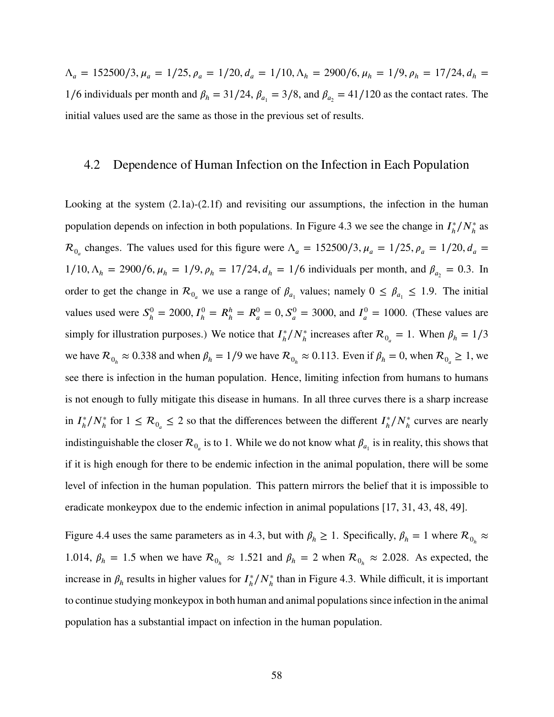$\Lambda_a = 152500/3, \mu_a = 1/25, \rho_a = 1/20, d_a = 1/10, \Lambda_h = 2900/6, \mu_h = 1/9, \rho_h = 17/24, d_h = 1/9$ 1/6 individuals per month and  $\beta_h = 31/24$ ,  $\beta_{a_1} = 3/8$ , and  $\beta_{a_2} = 41/120$  as the contact rates. The initial values used are the same as those in the previous set of results.

## 4.2 Dependence of Human Infection on the Infection in Each Population

Looking at the system [\(2.1a\)](#page-14-0)-[\(2.1f\)](#page-14-0) and revisiting our assumptions, the infection in the human population depends on infection in both populations. In Figure [4.3](#page-70-0) we see the change in  $I<sub>h</sub><sup>*</sup>$  $\frac{1}{h}/N_h^*$  as  $\mathcal{R}_{0}$  changes. The values used for this figure were  $\Lambda_a = 152500/3$ ,  $\mu_a = 1/25$ ,  $\rho_a = 1/20$ ,  $d_a =$  $1/10, \Lambda_h = 2900/6, \mu_h = 1/9, \rho_h = 17/24, d_h = 1/6$  individuals per month, and  $\beta_{a_2} = 0.3$ . In order to get the change in  $\mathcal{R}_{0}$  we use a range of  $\beta_{a_1}$  values; namely  $0 \leq \beta_{a_1} \leq 1.9$ . The initial values used were  $S_h^0$  $h_h^0 = 2000, I_h^0 = R_h^h = R_a^0 = 0, S_a^0 = 3000, \text{ and } I_a^0$  $_{a}^{0}$  = 1000. (These values are simply for illustration purposes.) We notice that  $I_h^*$  $\hbar/N_h^*$  increases after  $\mathcal{R}_{0_a} = 1$ . When  $\beta_h = 1/3$ we have  $\mathcal{R}_{0_h} \approx 0.338$  and when  $\beta_h = 1/9$  we have  $\mathcal{R}_{0_h} \approx 0.113$ . Even if  $\beta_h = 0$ , when  $\mathcal{R}_{0_a} \ge 1$ , we see there is infection in the human population. Hence, limiting infection from humans to humans is not enough to fully mitigate this disease in humans. In all three curves there is a sharp increase  $\sin I_h^*$  $\frac{f_h}{h}$  for  $1 \leq R_{0_a} \leq 2$  so that the differences between the different  $I_h^*$  $\frac{h}{h}/N_h^*$  curves are nearly indistinguishable the closer  $\mathcal{R}_{0_\alpha}$  is to 1. While we do not know what  $\beta_{a_1}$  is in reality, this shows that if it is high enough for there to be endemic infection in the animal population, there will be some level of infection in the human population. This pattern mirrors the belief that it is impossible to eradicate monkeypox due to the endemic infection in animal populations [\[17,](#page-104-0) [31,](#page-105-6) [43,](#page-105-7) [48,](#page-106-1) [49\]](#page-106-2).

Figure [4.4](#page-71-0) uses the same parameters as in [4.3,](#page-70-0) but with  $\beta_h \ge 1$ . Specifically,  $\beta_h = 1$  where  $\mathcal{R}_{0_h} \approx$ 1.014,  $\beta_h = 1.5$  when we have  $\mathcal{R}_{0_h} \approx 1.521$  and  $\beta_h = 2$  when  $\mathcal{R}_{0_h} \approx 2.028$ . As expected, the increase in  $\beta_h$  results in higher values for  $I_h^*$ *ℎ* ∕*𝑁*<sup>∗</sup> *ℎ* than in Figure [4.3.](#page-70-0) While difficult, it is important to continue studying monkeypox in both human and animal populations since infection in the animal population has a substantial impact on infection in the human population.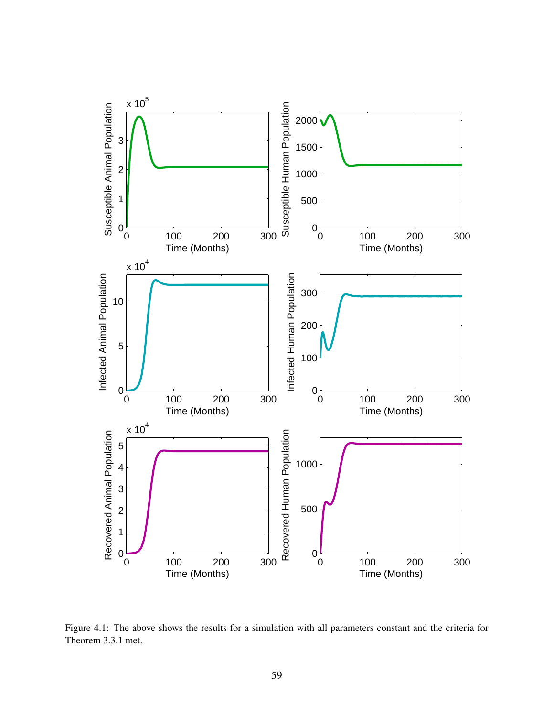<span id="page-68-0"></span>

Figure 4.1: The above shows the results for a simulation with all parameters constant and the criteria for Theorem [3.3.1](#page-53-0) met.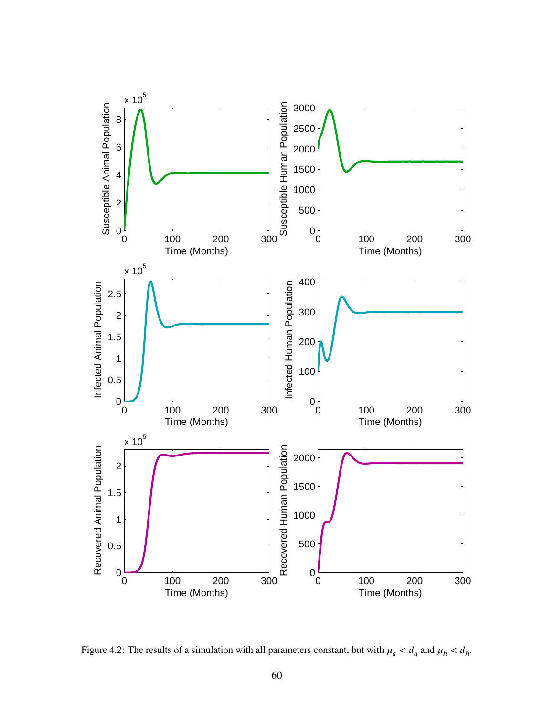<span id="page-69-0"></span>

Figure 4.2: The results of a simulation with all parameters constant, but with  $\mu_a < d_a$  and  $\mu_h < d_h$ .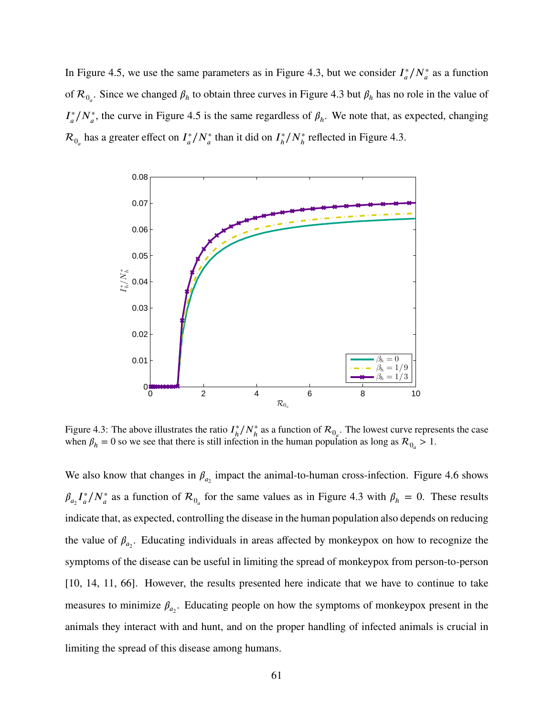In Figure [4.5,](#page-71-1) we use the same parameters as in Figure [4.3,](#page-70-0) but we consider  $I_a^*$  $\frac{1}{a}$ / $N_a^*$  as a function of  $\mathcal{R}_{0_a}$ . Since we changed  $\beta_h$  to obtain three curves in Figure [4.3](#page-70-0) but  $\beta_h$  has no role in the value of  $I^*_{\alpha}$  $^*_{a}/N^*_{a}$ , the curve in Figure [4.5](#page-71-1) is the same regardless of  $\beta_h$ . We note that, as expected, changing  $\mathcal{R}_{0_a}$  has a greater effect on  $I_a^*$  $\frac{f^*}{a}$ / $N_a^*$  than it did on  $I_h^*$  $h/h/N_h^*$  reflected in Figure [4.3.](#page-70-0)

<span id="page-70-0"></span>

Figure 4.3: The above illustrates the ratio  $I<sub>h</sub><sup>*</sup>$  $\hbar/N_h^*$  as a function of  $\mathcal{R}_{0_a}$ . The lowest curve represents the case when  $\beta_h = 0$  so we see that there is still infection in the human population as long as  $R_{0_a} > 1$ .

We also know that changes in  $\beta_{a_2}$  impact the animal-to-human cross-infection. Figure [4.6](#page-72-0) shows  $\beta_{a_2} I_a^*$  $\frac{f^*}{a}$  / $N_a^*$  as a function of  $\mathcal{R}_{0_a}$  for the same values as in Figure [4.3](#page-70-0) with  $\beta_h = 0$ . These results indicate that, as expected, controlling the disease in the human population also depends on reducing the value of  $\beta_{a_2}$ . Educating individuals in areas affected by monkeypox on how to recognize the symptoms of the disease can be useful in limiting the spread of monkeypox from person-to-person [\[10,](#page-103-3) [14,](#page-103-4) [11,](#page-103-5) [66\]](#page-107-0). However, the results presented here indicate that we have to continue to take measures to minimize  $\beta_{a_2}$ . Educating people on how the symptoms of monkeypox present in the animals they interact with and hunt, and on the proper handling of infected animals is crucial in limiting the spread of this disease among humans.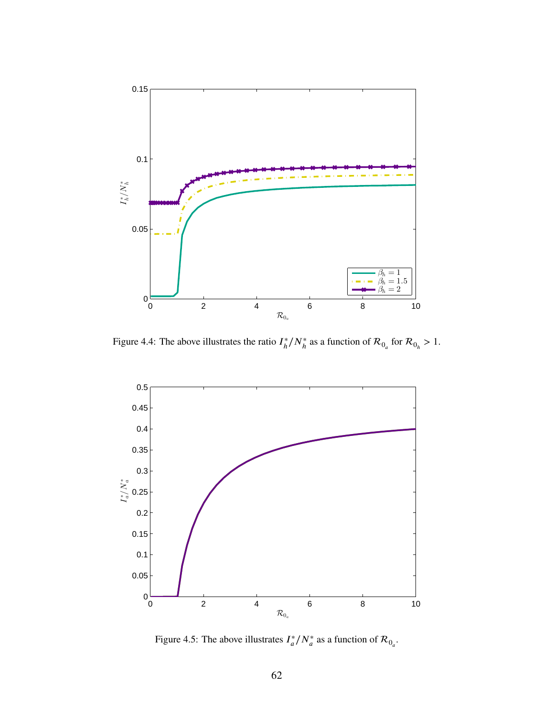<span id="page-71-0"></span>

Figure 4.4: The above illustrates the ratio  $I<sub>k</sub><sup>*</sup>$  $\hbar^*/N_h^*$  as a function of  $\mathcal{R}_{0_a}$  for  $\mathcal{R}_{0_h} > 1$ .

<span id="page-71-1"></span>

Figure 4.5: The above illustrates  $I_a^*/N_a^*$  as a function of  $\mathcal{R}_{0_a}$ .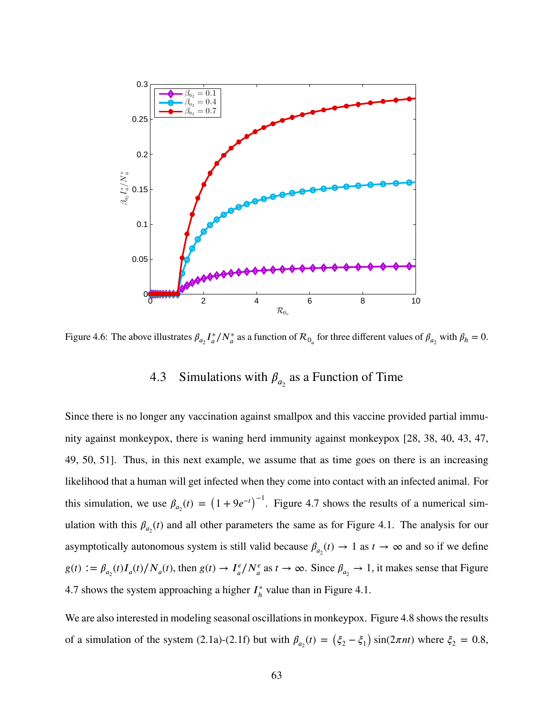

Figure 4.6: The above illustrates  $\beta_{a_2} I_a^* / N_a^*$  as a function of  $\mathcal{R}_{0_a}$  for three different values of  $\beta_{a_2}$  with  $\beta_h = 0$ .

# 4.3 Simulations with  $\beta_{a_2}$  as a Function of Time

Since there is no longer any vaccination against smallpox and this vaccine provided partial immunity against monkeypox, there is waning herd immunity against monkeypox [\[28,](#page-104-0) [38,](#page-105-0) [40,](#page-105-1) [43,](#page-105-2) [47,](#page-106-0) [49,](#page-106-1) [50,](#page-106-2) [51\]](#page-106-3). Thus, in this next example, we assume that as time goes on there is an increasing likelihood that a human will get infected when they come into contact with an infected animal. For this simulation, we use  $\beta_{a_2}(t) = (1 + 9e^{-t})^{-1}$ . Figure [4.7](#page-73-0) shows the results of a numerical simulation with this  $\beta_{a_2}(t)$  and all other parameters the same as for Figure [4.1.](#page-68-0) The analysis for our asymptotically autonomous system is still valid because  $\beta_{a_2}(t) \to 1$  as  $t \to \infty$  and so if we define  $g(t) := \beta_{a_2}(t)I_a(t)/N_a(t)$ , then  $g(t) \to I_a^e$  $\frac{f^e}{a}$ / $N^e_a$  as *t* → ∞. Since  $\beta_{a_2}$  → 1, it makes sense that Figure [4.7](#page-73-0) shows the system approaching a higher  $I<sub>b</sub><sup>*</sup>$  $\hat{h}$ <sup>\*</sup> value than in Figure [4.1.](#page-68-0)

We are also interested in modeling seasonal oscillations in monkeypox. Figure [4.8](#page-74-0) shows the results of a simulation of the system [\(2.1a\)](#page-14-0)-[\(2.1f\)](#page-14-0) but with  $\beta_{a_2}(t) = (\xi_2 - \xi_1) \sin(2\pi nt)$  where  $\xi_2 = 0.8$ ,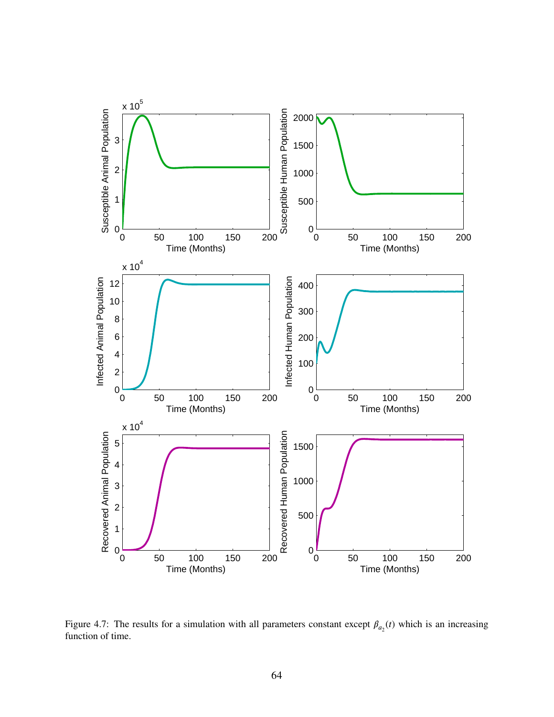<span id="page-73-0"></span>

Figure 4.7: The results for a simulation with all parameters constant except  $\beta_{a_2}(t)$  which is an increasing function of time.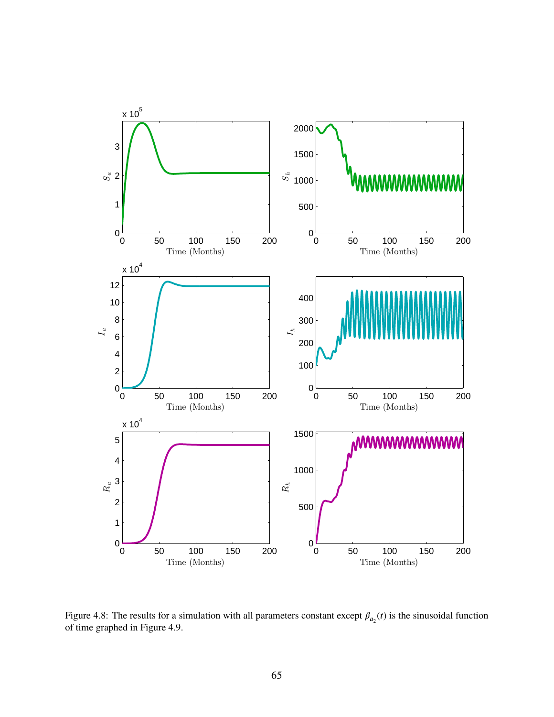<span id="page-74-0"></span>

Figure 4.8: The results for a simulation with all parameters constant except  $\beta_{a_2}(t)$  is the sinusoidal function of time graphed in Figure [4.9.](#page-75-0)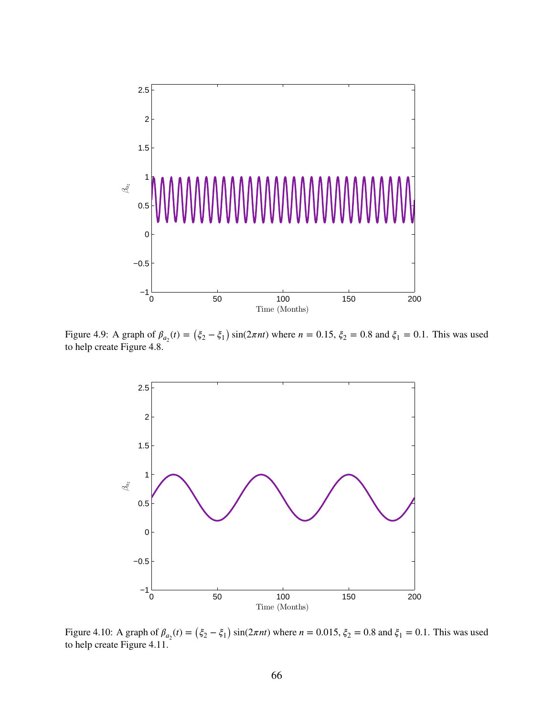<span id="page-75-0"></span>

<span id="page-75-1"></span>Figure 4.9: A graph of  $\beta_{a_2}(t) = (\xi_2 - \xi_1) \sin(2\pi nt)$  where  $n = 0.15$ ,  $\xi_2 = 0.8$  and  $\xi_1 = 0.1$ . This was used to help create Figure [4.8.](#page-74-0)



Figure 4.10: A graph of  $\beta_{a_2}(t) = (\xi_2 - \xi_1) \sin(2\pi nt)$  where  $n = 0.015$ ,  $\xi_2 = 0.8$  and  $\xi_1 = 0.1$ . This was used to help create Figure [4.11.](#page-76-0)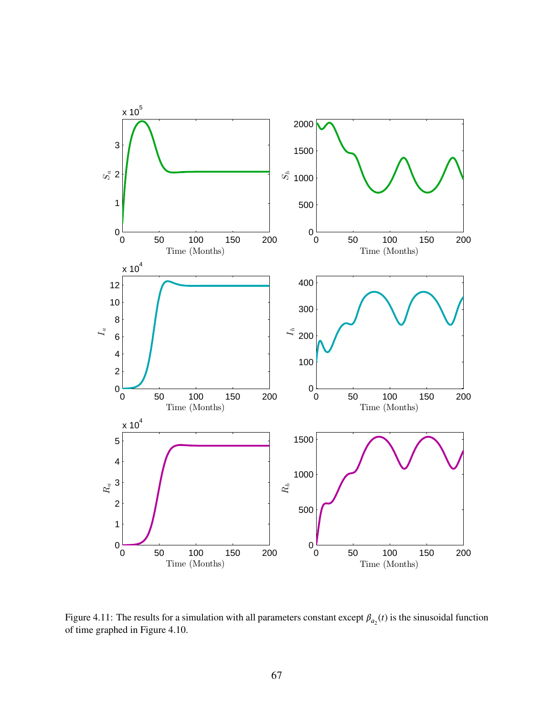<span id="page-76-0"></span>

Figure 4.11: The results for a simulation with all parameters constant except  $\beta_{a_2}(t)$  is the sinusoidal function of time graphed in Figure [4.10.](#page-75-1)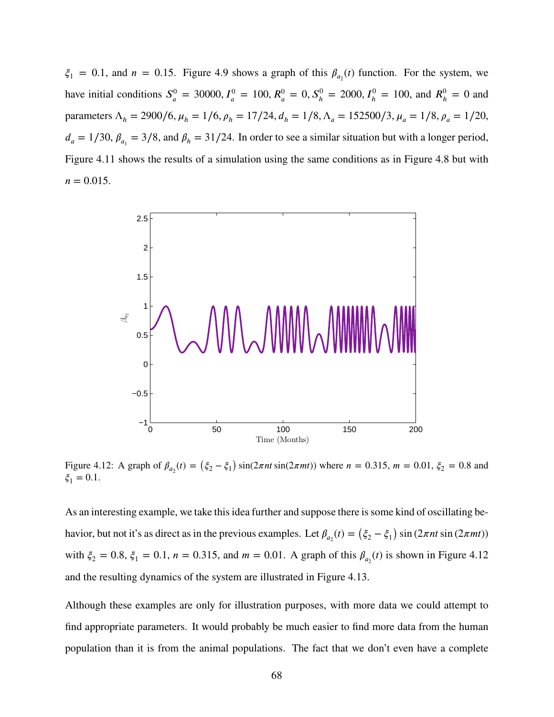$\xi_1 = 0.1$ , and  $n = 0.15$ . Figure [4.9](#page-75-0) shows a graph of this  $\beta_{a_2}(t)$  function. For the system, we have initial conditions  $S^0_a$  $J_a^0 = 30000, I_a^0 = 100, R_a^0 = 0, S_h^0 = 2000, I_h^0 = 100$ , and  $R_h^0 = 0$  and parameters  $\Lambda_h = 2900/6$ ,  $\mu_h = 1/6$ ,  $\rho_h = 17/24$ ,  $d_h = 1/8$ ,  $\Lambda_a = 152500/3$ ,  $\mu_a = 1/8$ ,  $\rho_a = 1/20$ ,  $d_a = 1/30$ ,  $\beta_{a_1} = 3/8$ , and  $\beta_h = 31/24$ . In order to see a similar situation but with a longer period, Figure [4.11](#page-76-0) shows the results of a simulation using the same conditions as in Figure [4.8](#page-74-0) but with  $n = 0.015$ .

<span id="page-77-0"></span>

Figure 4.12: A graph of  $\beta_{a_2}(t) = (\xi_2 - \xi_1) \sin(2\pi nt)$  where  $n = 0.315$ ,  $m = 0.01$ ,  $\xi_2 = 0.8$  and  $\xi_1 = 0.1$ .

As an interesting example, we take this idea further and suppose there is some kind of oscillating behavior, but not it's as direct as in the previous examples. Let  $\beta_{a_2}(t) = (\xi_2 - \xi_1) \sin(2\pi nt)$  sin  $(2\pi mt)$ ) with  $\xi_2 = 0.8$ ,  $\xi_1 = 0.1$ ,  $n = 0.315$ , and  $m = 0.01$ . A graph of this  $\beta_{a_2}(t)$  is shown in Figure [4.12](#page-77-0) and the resulting dynamics of the system are illustrated in Figure [4.13.](#page-78-0)

Although these examples are only for illustration purposes, with more data we could attempt to find appropriate parameters. It would probably be much easier to find more data from the human population than it is from the animal populations. The fact that we don't even have a complete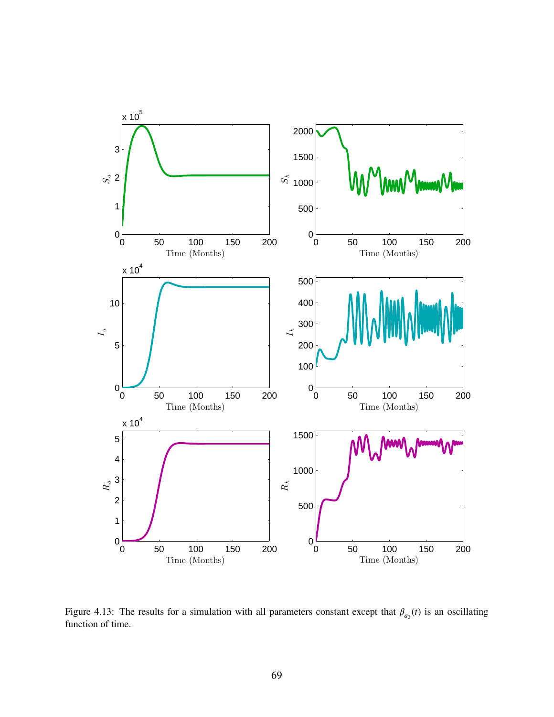<span id="page-78-0"></span>

Figure 4.13: The results for a simulation with all parameters constant except that  $\beta_{a_2}(t)$  is an oscillating function of time.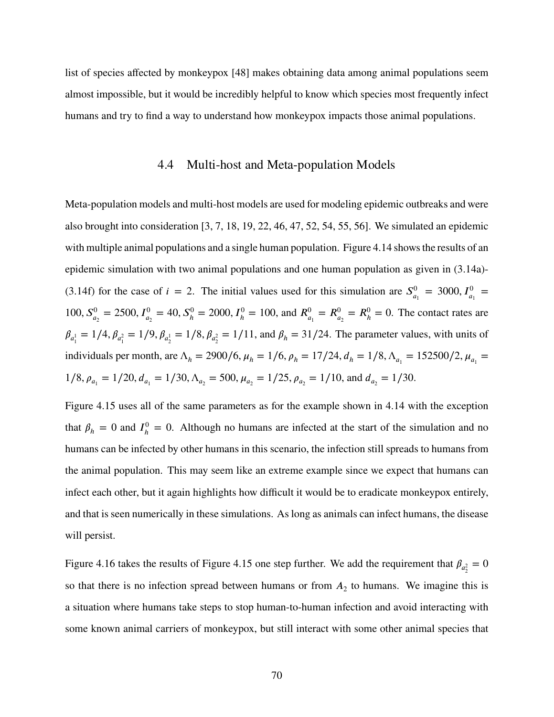list of species affected by monkeypox [\[48\]](#page-106-4) makes obtaining data among animal populations seem almost impossible, but it would be incredibly helpful to know which species most frequently infect humans and try to find a way to understand how monkeypox impacts those animal populations.

# 4.4 Multi-host and Meta-population Models

Meta-population models and multi-host models are used for modeling epidemic outbreaks and were also brought into consideration [\[3,](#page-103-0) [7,](#page-103-1) [18,](#page-104-1) [19,](#page-104-2) [22,](#page-104-3) [46,](#page-105-3) [47,](#page-106-0) [52,](#page-106-5) [54,](#page-106-6) [55,](#page-106-7) [56\]](#page-106-8). We simulated an epidemic with multiple animal populations and a single human population. Figure [4.14](#page-80-0) shows the results of an epidemic simulation with two animal populations and one human population as given in [\(3.14a\)](#page-64-0)- [\(3.14f\)](#page-64-0) for the case of  $i = 2$ . The initial values used for this simulation are  $S^0$  $J_{a_1}^0 = 3000, I_{a_1}^0 =$  $100, S_{a_2}^0 = 2500, I_{a_2}^0 = 40, S_h^0 = 2000, I_h^0 = 100$ , and  $R_{a_1}^0 = R_{a_2}^0 = R_h^0 = 0$ . The contact rates are  $\beta_{a_1^1} = 1/4$ ,  $\beta_{a_1^2} = 1/9$ ,  $\beta_{a_2^1} = 1/8$ ,  $\beta_{a_2^2} = 1/11$ , and  $\beta_h = 31/24$ . The parameter values, with units of individuals per month, are  $\Lambda_h = 2900/6$ ,  $\mu_h = 1/6$ ,  $\rho_h = 17/24$ ,  $d_h = 1/8$ ,  $\Lambda_{a_1} = 152500/2$ ,  $\mu_{a_1} =$  $1/8$ ,  $\rho_{a_1} = 1/20$ ,  $d_{a_1} = 1/30$ ,  $\Lambda_{a_2} = 500$ ,  $\mu_{a_2} = 1/25$ ,  $\rho_{a_2} = 1/10$ , and  $d_{a_2} = 1/30$ .

Figure [4.15](#page-81-0) uses all of the same parameters as for the example shown in [4.14](#page-80-0) with the exception that  $\beta_h = 0$  and  $I_h^0$  $h_h^0 = 0$ . Although no humans are infected at the start of the simulation and no humans can be infected by other humans in this scenario, the infection still spreads to humans from the animal population. This may seem like an extreme example since we expect that humans can infect each other, but it again highlights how difficult it would be to eradicate monkeypox entirely, and that is seen numerically in these simulations. As long as animals can infect humans, the disease will persist.

Figure [4.16](#page-82-0) takes the results of Figure [4.15](#page-81-0) one step further. We add the requirement that  $\beta_{a_2^2} = 0$ so that there is no infection spread between humans or from  $A_2$  to humans. We imagine this is a situation where humans take steps to stop human-to-human infection and avoid interacting with some known animal carriers of monkeypox, but still interact with some other animal species that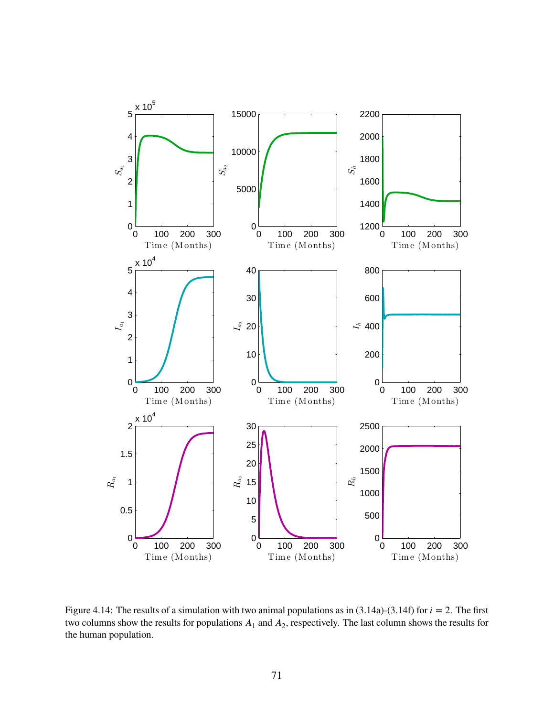<span id="page-80-0"></span>

Figure 4.14: The results of a simulation with two animal populations as in  $(3.14a)-(3.14f)$  $(3.14a)-(3.14f)$  $(3.14a)-(3.14f)$  for  $i = 2$ . The first two columns show the results for populations  $A_1$  and  $A_2$ , respectively. The last column shows the results for the human population.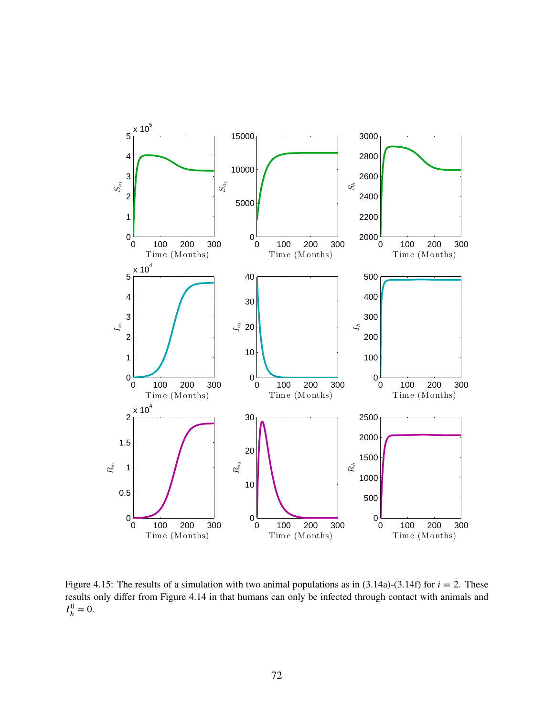<span id="page-81-0"></span>

Figure 4.15: The results of a simulation with two animal populations as in  $(3.14a)-(3.14f)$  $(3.14a)-(3.14f)$  $(3.14a)-(3.14f)$  for  $i = 2$ . These results only differ from Figure [4.14](#page-80-0) in that humans can only be infected through contact with animals and  $I_h^0$  $h^0_h = 0.$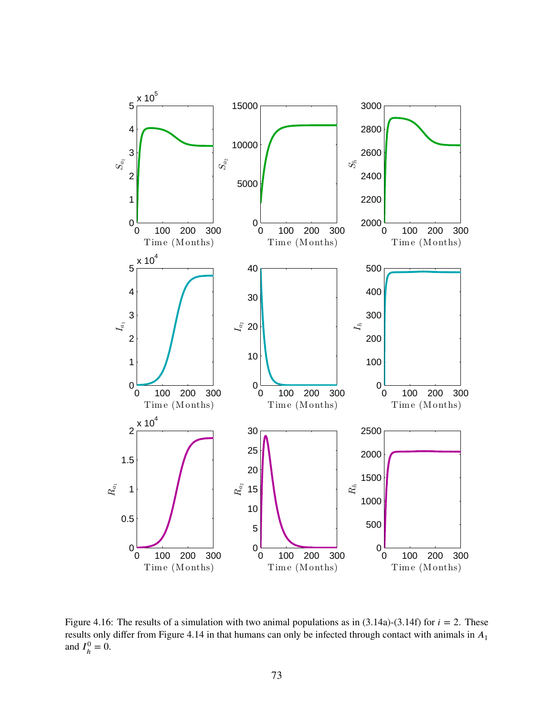<span id="page-82-0"></span>

Figure 4.16: The results of a simulation with two animal populations as in  $(3.14a)-(3.14f)$  $(3.14a)-(3.14f)$  $(3.14a)-(3.14f)$  for  $i = 2$ . These results only differ from Figure [4.14](#page-80-0) in that humans can only be infected through contact with animals in  $A_1$ and  $I_{\mu}^0$  $h^0_h = 0.$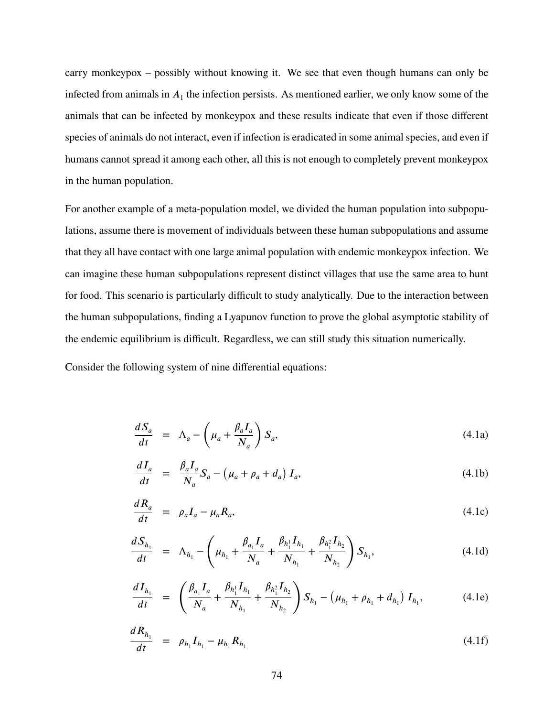carry monkeypox – possibly without knowing it. We see that even though humans can only be infected from animals in  $A_1$  the infection persists. As mentioned earlier, we only know some of the animals that can be infected by monkeypox and these results indicate that even if those different species of animals do not interact, even if infection is eradicated in some animal species, and even if humans cannot spread it among each other, all this is not enough to completely prevent monkeypox in the human population.

For another example of a meta-population model, we divided the human population into subpopulations, assume there is movement of individuals between these human subpopulations and assume that they all have contact with one large animal population with endemic monkeypox infection. We can imagine these human subpopulations represent distinct villages that use the same area to hunt for food. This scenario is particularly difficult to study analytically. Due to the interaction between the human subpopulations, finding a Lyapunov function to prove the global asymptotic stability of the endemic equilibrium is difficult. Regardless, we can still study this situation numerically.

Consider the following system of nine differential equations:

<span id="page-83-0"></span>
$$
\frac{dS_a}{dt} = \Lambda_a - \left(\mu_a + \frac{\beta_a I_a}{N_a}\right) S_a, \tag{4.1a}
$$

$$
\frac{dI_a}{dt} = \frac{\beta_a I_a}{N_a} S_a - \left(\mu_a + \rho_a + d_a\right) I_a,\tag{4.1b}
$$

$$
\frac{dR_a}{dt} = \rho_a I_a - \mu_a R_a, \tag{4.1c}
$$

$$
\frac{dS_{h_1}}{dt} = \Lambda_{h_1} - \left(\mu_{h_1} + \frac{\beta_{a_1}I_a}{N_a} + \frac{\beta_{h_1}I_{h_1}}{N_{h_1}} + \frac{\beta_{h_1}I_{h_2}}{N_{h_2}}\right)S_{h_1},
$$
\n(4.1d)

$$
\frac{dI_{h_1}}{dt} = \left(\frac{\beta_{a_1}I_a}{N_a} + \frac{\beta_{h_1}I_{h_1}}{N_{h_1}} + \frac{\beta_{h_1^2}I_{h_2}}{N_{h_2}}\right)S_{h_1} - \left(\mu_{h_1} + \rho_{h_1} + d_{h_1}\right)I_{h_1},\tag{4.1e}
$$

$$
\frac{dR_{h_1}}{dt} = \rho_{h_1} I_{h_1} - \mu_{h_1} R_{h_1}
$$
\n(4.1f)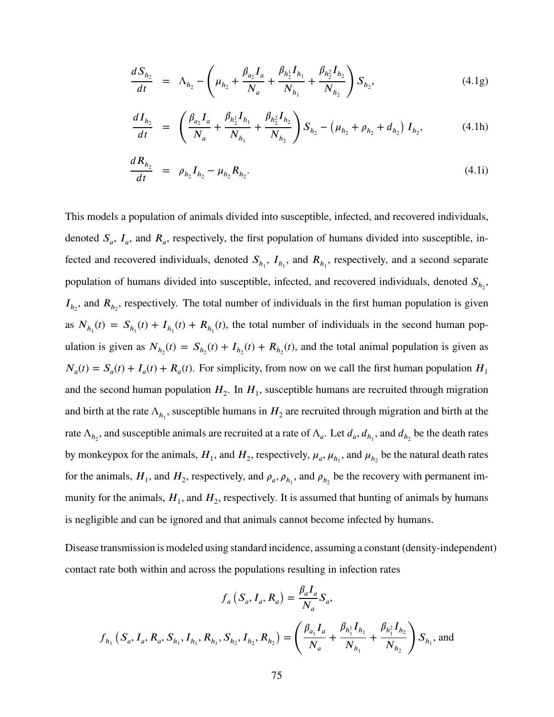$$
\frac{dS_{h_2}}{dt} = \Lambda_{h_2} - \left(\mu_{h_2} + \frac{\beta_{a_2}I_a}{N_a} + \frac{\beta_{h_2}I_{h_1}}{N_{h_1}} + \frac{\beta_{h_2}I_{h_2}}{N_{h_2}}\right)S_{h_2},
$$
\n(4.1g)

$$
\frac{dI_{h_2}}{dt} = \left(\frac{\beta_{a_2}I_a}{N_a} + \frac{\beta_{h_2}I_{h_1}}{N_{h_1}} + \frac{\beta_{h_2}I_{h_2}}{N_{h_2}}\right)S_{h_2} - \left(\mu_{h_2} + \rho_{h_2} + d_{h_2}\right)I_{h_2},\tag{4.1h}
$$

$$
\frac{dR_{h_2}}{dt} = \rho_{h_2} I_{h_2} - \mu_{h_2} R_{h_2}.
$$
\n(4.1)

This models a population of animals divided into susceptible, infected, and recovered individuals, denoted  $S_a$ ,  $I_a$ , and  $R_a$ , respectively, the first population of humans divided into susceptible, infected and recovered individuals, denoted  $S_{h_1}$ ,  $I_{h_1}$ , and  $R_{h_1}$ , respectively, and a second separate population of humans divided into susceptible, infected, and recovered individuals, denoted  $S_{h_2}$ ,  $I_{h_2}$ , and  $R_{h_2}$ , respectively. The total number of individuals in the first human population is given as  $N_{h_1}(t) = S_{h_1}(t) + I_{h_1}(t) + R_{h_1}(t)$ , the total number of individuals in the second human population is given as  $N_{h_2}(t) = S_{h_2}(t) + I_{h_2}(t) + R_{h_2}(t)$ , and the total animal population is given as  $N_a(t) = S_a(t) + I_a(t) + R_a(t)$ . For simplicity, from now on we call the first human population  $H_1$ and the second human population  $H_2$ . In  $H_1$ , susceptible humans are recruited through migration and birth at the rate  $\Lambda_{h_1}$ , susceptible humans in  $H_2$  are recruited through migration and birth at the rate  $\Lambda_{h_2}$ , and susceptible animals are recruited at a rate of  $\Lambda_a$ . Let  $d_a$ ,  $d_{h_1}$ , and  $d_{h_2}$  be the death rates by monkeypox for the animals,  $H_1$ , and  $H_2$ , respectively,  $\mu_a$ ,  $\mu_{h_1}$ , and  $\mu_{h_2}$  be the natural death rates for the animals,  $H_1$ , and  $H_2$ , respectively, and  $\rho_a$ ,  $\rho_{h_1}$ , and  $\rho_{h_2}$  be the recovery with permanent immunity for the animals,  $H_1$ , and  $H_2$ , respectively. It is assumed that hunting of animals by humans is negligible and can be ignored and that animals cannot become infected by humans.

Disease transmission is modeled using standard incidence, assuming a constant (density-independent) contact rate both within and across the populations resulting in infection rates

$$
f_a(S_a, I_a, R_a) = \frac{\beta_a I_a}{N_a} S_a,
$$
  

$$
f_{h_1}(S_a, I_a, R_a, S_{h_1}, I_{h_1}, R_{h_1}, S_{h_2}, I_{h_2}, R_{h_2}) = \left(\frac{\beta_{a_1} I_a}{N_a} + \frac{\beta_{h_1} I_{h_1}}{N_{h_1}} + \frac{\beta_{h_1} I_{h_2}}{N_{h_2}}\right) S_{h_1},
$$
 and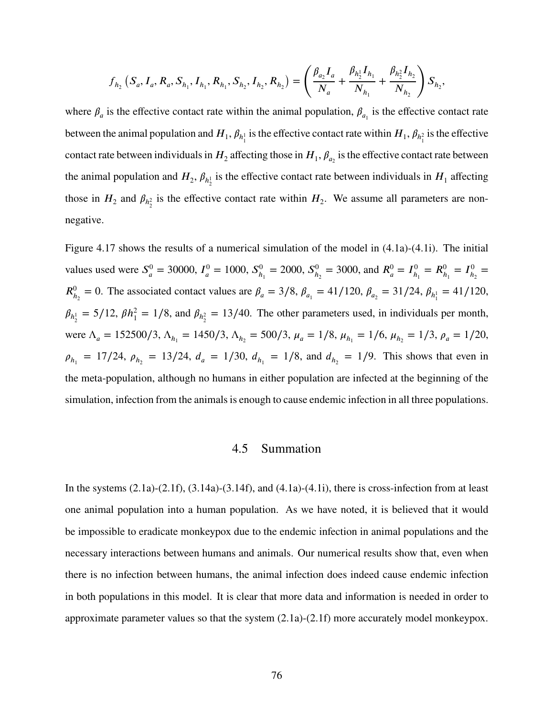$$
f_{h_2}\left(S_a, I_a, R_a, S_{h_1}, I_{h_1}, R_{h_1}, S_{h_2}, I_{h_2}, R_{h_2}\right) = \left(\frac{\beta_{a_2}I_a}{N_a} + \frac{\beta_{h_2}I_{h_1}}{N_{h_1}} + \frac{\beta_{h_2}I_{h_2}}{N_{h_2}}\right)S_{h_2},
$$

where  $\beta_a$  is the effective contact rate within the animal population,  $\beta_{a_1}$  is the effective contact rate between the animal population and  $H_1$ ,  $\beta_{h_1^1}$  is the effective contact rate within  $H_1$ ,  $\beta_{h_1^2}$  is the effective contact rate between individuals in  $H_2$  affecting those in  $H_1, \beta_{a_2}$  is the effective contact rate between the animal population and  $H_2$ ,  $\beta_{h_2}$  is the effective contact rate between individuals in  $H_1$  affecting those in  $H_2$  and  $\beta_{h_2^2}$  is the effective contact rate within  $H_2$ . We assume all parameters are nonnegative.

Figure [4.17](#page-86-0) shows the results of a numerical simulation of the model in [\(4.1a\)](#page-83-0)-[\(4.1i\)](#page-83-0). The initial values used were  $S^0_a$  $J_a^0$  = 30000,  $I_a^0$  $J_a^0 = 1000, S_h^0$  $b_{h_1}^0 = 2000, S_h^0$  $h_2^0 = 3000$ , and  $R_a^0 = I_h^0$  $\frac{1}{h_1}$  =  $R_{h_1}^0$  =  $I_{h_1}^0$  $\frac{0}{h_2}$  =  $R_{h_2}^0 = 0$ . The associated contact values are  $\beta_a = 3/8$ ,  $\beta_{a_1} = 41/120$ ,  $\beta_{a_2} = 31/24$ ,  $\beta_{h_1} = 41/120$ ,  $\beta_{h_2^1} = 5/12$ ,  $\beta h_1^2 = 1/8$ , and  $\beta_{h_2^2} = 13/40$ . The other parameters used, in individuals per month, were  $\Lambda_a = 152500/3$ ,  $\Lambda_{h_1} = 1450/3$ ,  $\Lambda_{h_2} = 500/3$ ,  $\mu_a = 1/8$ ,  $\mu_{h_1} = 1/6$ ,  $\mu_{h_2} = 1/3$ ,  $\rho_a = 1/20$ ,  $\rho_{h_1} = 17/24$ ,  $\rho_{h_2} = 13/24$ ,  $d_a = 1/30$ ,  $d_{h_1} = 1/8$ , and  $d_{h_2} = 1/9$ . This shows that even in the meta-population, although no humans in either population are infected at the beginning of the simulation, infection from the animals is enough to cause endemic infection in all three populations.

## 4.5 Summation

In the systems  $(2.1a)-(2.1f)$  $(2.1a)-(2.1f)$  $(2.1a)-(2.1f)$ ,  $(3.14a)-(3.14f)$  $(3.14a)-(3.14f)$  $(3.14a)-(3.14f)$ , and  $(4.1a)-(4.1i)$  $(4.1a)-(4.1i)$  $(4.1a)-(4.1i)$ , there is cross-infection from at least one animal population into a human population. As we have noted, it is believed that it would be impossible to eradicate monkeypox due to the endemic infection in animal populations and the necessary interactions between humans and animals. Our numerical results show that, even when there is no infection between humans, the animal infection does indeed cause endemic infection in both populations in this model. It is clear that more data and information is needed in order to approximate parameter values so that the system [\(2.1a\)](#page-14-0)-[\(2.1f\)](#page-14-0) more accurately model monkeypox.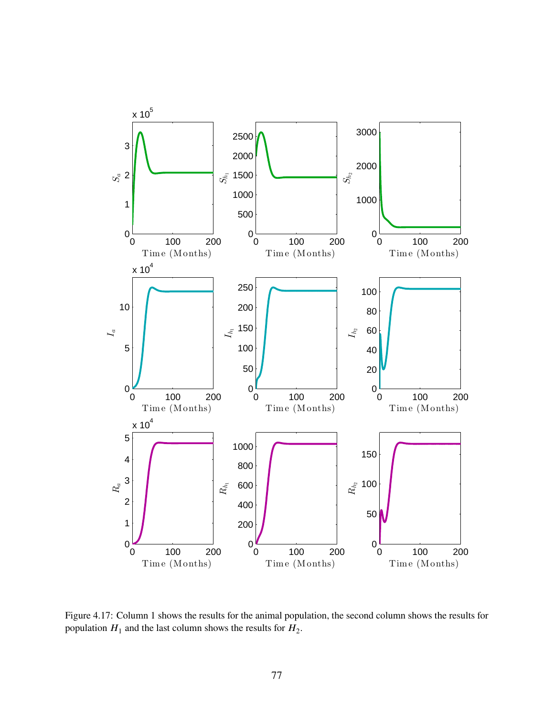<span id="page-86-0"></span>

Figure 4.17: Column 1 shows the results for the animal population, the second column shows the results for population  $H_1$  and the last column shows the results for  $H_2$ .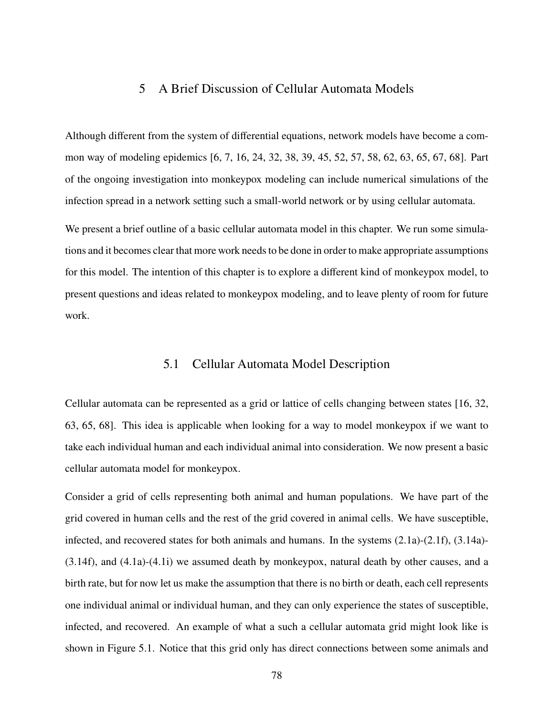## 5 A Brief Discussion of Cellular Automata Models

Although different from the system of differential equations, network models have become a common way of modeling epidemics [\[6,](#page-103-2) [7,](#page-103-1) [16,](#page-104-4) [24,](#page-104-5) [32,](#page-105-4) [38,](#page-105-0) [39,](#page-105-5) [45,](#page-105-6) [52,](#page-106-5) [57,](#page-106-9) [58,](#page-106-10) [62,](#page-107-0) [63,](#page-107-1) [65,](#page-107-2) [67,](#page-107-3) [68\]](#page-107-4). Part of the ongoing investigation into monkeypox modeling can include numerical simulations of the infection spread in a network setting such a small-world network or by using cellular automata.

We present a brief outline of a basic cellular automata model in this chapter. We run some simulations and it becomes clear that more work needs to be done in order to make appropriate assumptions for this model. The intention of this chapter is to explore a different kind of monkeypox model, to present questions and ideas related to monkeypox modeling, and to leave plenty of room for future work.

# 5.1 Cellular Automata Model Description

Cellular automata can be represented as a grid or lattice of cells changing between states [\[16,](#page-104-4) [32,](#page-105-4) [63,](#page-107-1) [65,](#page-107-2) [68\]](#page-107-4). This idea is applicable when looking for a way to model monkeypox if we want to take each individual human and each individual animal into consideration. We now present a basic cellular automata model for monkeypox.

Consider a grid of cells representing both animal and human populations. We have part of the grid covered in human cells and the rest of the grid covered in animal cells. We have susceptible, infected, and recovered states for both animals and humans. In the systems [\(2.1a\)](#page-14-0)-[\(2.1f\)](#page-14-0), [\(3.14a\)](#page-64-0)- [\(3.14f\)](#page-64-0), and [\(4.1a\)](#page-83-0)-[\(4.1i\)](#page-83-0) we assumed death by monkeypox, natural death by other causes, and a birth rate, but for now let us make the assumption that there is no birth or death, each cell represents one individual animal or individual human, and they can only experience the states of susceptible, infected, and recovered. An example of what a such a cellular automata grid might look like is shown in Figure [5.1.](#page-88-0) Notice that this grid only has direct connections between some animals and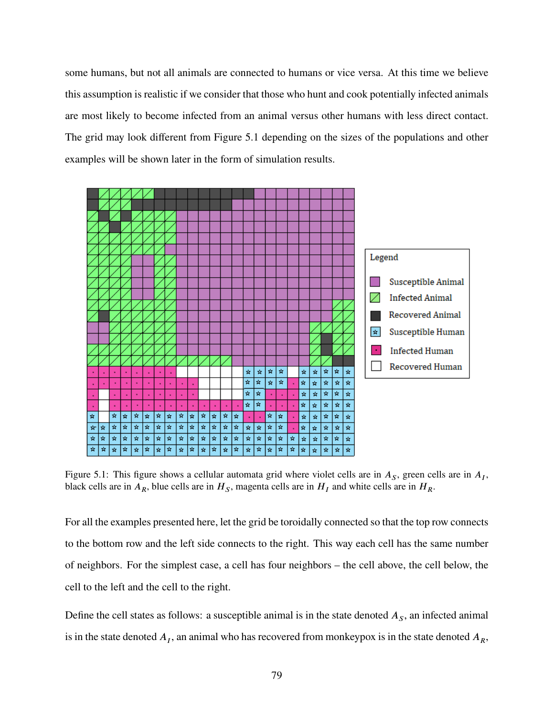some humans, but not all animals are connected to humans or vice versa. At this time we believe this assumption is realistic if we consider that those who hunt and cook potentially infected animals are most likely to become infected from an animal versus other humans with less direct contact. The grid may look different from Figure [5.1](#page-88-0) depending on the sizes of the populations and other examples will be shown later in the form of simulation results.

<span id="page-88-0"></span>

Figure 5.1: This figure shows a cellular automata grid where violet cells are in  $A<sub>S</sub>$ , green cells are in  $A<sub>I</sub>$ , black cells are in  $A_R$ , blue cells are in  $H_S$ , magenta cells are in  $H_I$  and white cells are in  $H_R$ .

For all the examples presented here, let the grid be toroidally connected so that the top row connects to the bottom row and the left side connects to the right. This way each cell has the same number of neighbors. For the simplest case, a cell has four neighbors – the cell above, the cell below, the cell to the left and the cell to the right.

Define the cell states as follows: a susceptible animal is in the state denoted  $A<sub>S</sub>$ , an infected animal is in the state denoted  $A_I$ , an animal who has recovered from monkeypox is in the state denoted  $A_R$ ,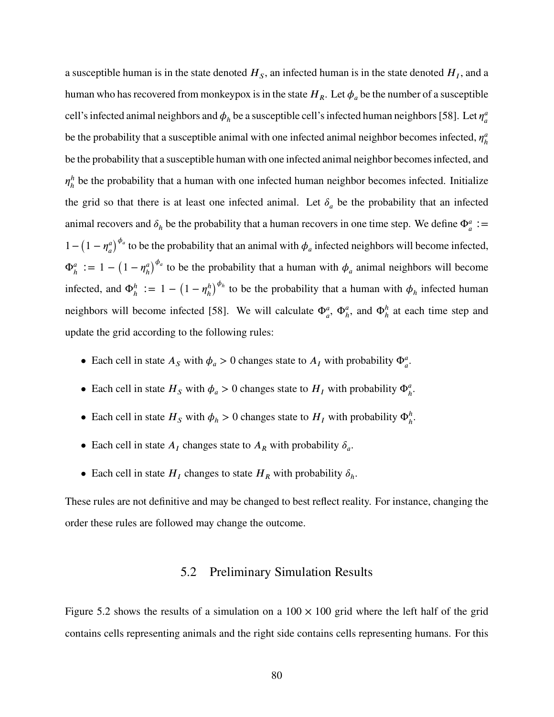a susceptible human is in the state denoted  $H_s$ , an infected human is in the state denoted  $H_I$ , and a human who has recovered from monkeypox is in the state  $H_R$ . Let  $\phi_a$  be the number of a susceptible cell's infected animal neighbors and  $\phi_h$  be a susceptible cell's infected human neighbors [\[58\]](#page-106-10). Let  $\eta_a^a$ *𝑎* be the probability that a susceptible animal with one infected animal neighbor becomes infected,  $\eta_h^a$ *ℎ* be the probability that a susceptible human with one infected animal neighbor becomes infected, and  $\eta^h_{\scriptscriptstyle h}$  $<sup>h</sup><sub>h</sub>$  be the probability that a human with one infected human neighbor becomes infected. Initialize</sup> the grid so that there is at least one infected animal. Let  $\delta_a$  be the probability that an infected animal recovers and  $\delta_h$  be the probability that a human recovers in one time step. We define  $\Phi_a^a :=$  $1 - (1 - \eta_a^a)$  $\overline{a}$  $\int^{\phi_a}$  to be the probability that an animal with  $\phi_a$  infected neighbors will become infected,  $\Phi_h^a := 1 - (1 - \eta_h^a)$ *ℎ*  $\int^{\phi_a}$  to be the probability that a human with  $\phi_a$  animal neighbors will become infected, and  $\Phi_h^h := 1 - (1 - \eta_h^h)$ *ℎ*  $\int^{\phi_h}$  to be the probability that a human with  $\phi_h$  infected human neighbors will become infected [\[58\]](#page-106-10). We will calculate  $\Phi_a^a$ ,  $\Phi_h^a$ , and  $\Phi_h^h$  at each time step and update the grid according to the following rules:

- Each cell in state  $A_s$  with  $\phi_a > 0$  changes state to  $A_t$  with probability  $\Phi_a^a$ .
- Each cell in state  $H_s$  with  $\phi_a > 0$  changes state to  $H_t$  with probability  $\Phi_a^a$ .
- Each cell in state  $H_s$  with  $\phi_h > 0$  changes state to  $H_t$  with probability  $\Phi_h^h$ .
- Each cell in state  $A_I$  changes state to  $A_R$  with probability  $\delta_a$ .
- Each cell in state  $H_I$  changes to state  $H_R$  with probability  $\delta_h$ .

These rules are not definitive and may be changed to best reflect reality. For instance, changing the order these rules are followed may change the outcome.

## 5.2 Preliminary Simulation Results

Figure [5.2](#page-90-0) shows the results of a simulation on a  $100 \times 100$  grid where the left half of the grid contains cells representing animals and the right side contains cells representing humans. For this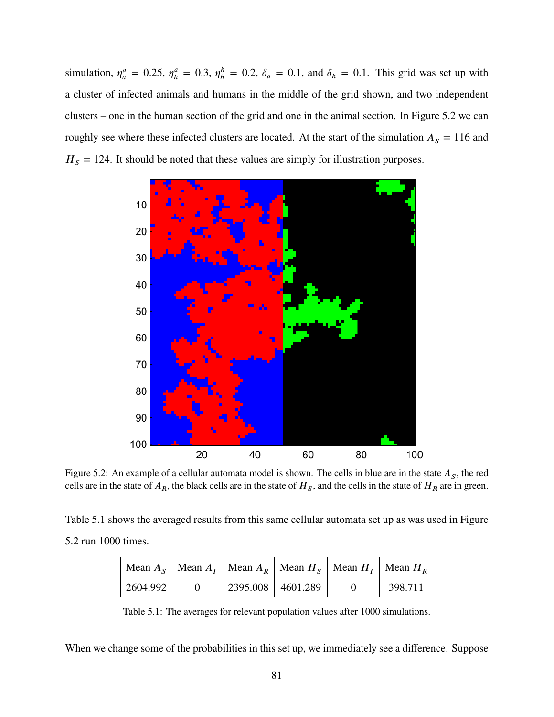simulation,  $\eta_a^a$  $_{a}^{a} = 0.25, \eta_{h}^{a}$  $\eta_h^a = 0.3, \eta_h^h$  $h_h^h = 0.2$ ,  $\delta_a = 0.1$ , and  $\delta_h = 0.1$ . This grid was set up with a cluster of infected animals and humans in the middle of the grid shown, and two independent clusters – one in the human section of the grid and one in the animal section. In Figure [5.2](#page-90-0) we can roughly see where these infected clusters are located. At the start of the simulation  $A<sub>S</sub> = 116$  and  $H<sub>S</sub> = 124$ . It should be noted that these values are simply for illustration purposes.

<span id="page-90-0"></span>

Figure 5.2: An example of a cellular automata model is shown. The cells in blue are in the state  $A<sub>S</sub>$ , the red cells are in the state of  $A_R$ , the black cells are in the state of  $H_S$ , and the cells in the state of  $H_R$  are in green.

<span id="page-90-1"></span>Table [5.1](#page-90-1) shows the averaged results from this same cellular automata set up as was used in Figure [5.2](#page-90-0) run 1000 times.

|          |                     | Mean $A_{S}$   Mean $A_{I}$   Mean $A_{R}$   Mean $H_{S}$   Mean $H_{I}$   Mean $H_{R}$ |         |
|----------|---------------------|-----------------------------------------------------------------------------------------|---------|
| 2604.992 | 2395.008   4601.289 |                                                                                         | 398.711 |

Table 5.1: The averages for relevant population values after 1000 simulations.

When we change some of the probabilities in this set up, we immediately see a difference. Suppose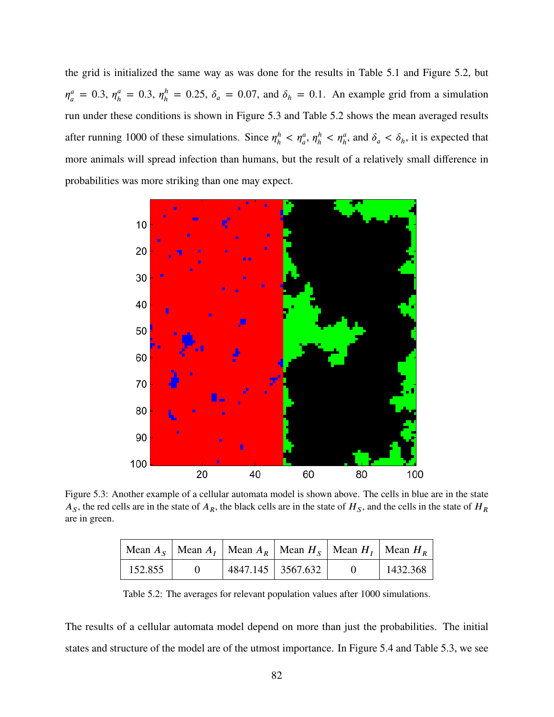the grid is initialized the same way as was done for the results in Table [5.1](#page-90-1) and Figure [5.2,](#page-90-0) but  $\eta^a_a$  $\eta_a^a = 0.3, \eta_h^a$  $\eta_h^a = 0.3, \eta_h^h$  $h_h^h = 0.25$ ,  $\delta_a = 0.07$ , and  $\delta_h = 0.1$ . An example grid from a simulation run under these conditions is shown in Figure [5.3](#page-91-0) and Table [5.2](#page-91-1) shows the mean averaged results after running 1000 of these simulations. Since  $\eta_h^h$  $\eta_h^h < \eta_a^a, \eta_h^h$  $h_h^h < \eta_h^a$ , and  $\delta_a < \delta_h$ , it is expected that more animals will spread infection than humans, but the result of a relatively small difference in probabilities was more striking than one may expect.

<span id="page-91-0"></span>

<span id="page-91-1"></span>Figure 5.3: Another example of a cellular automata model is shown above. The cells in blue are in the state  $A_S$ , the red cells are in the state of  $A_R$ , the black cells are in the state of  $H_S$ , and the cells in the state of  $H_R$ are in green.

|         |                   | Mean $A_S$   Mean $A_I$   Mean $A_R$   Mean $H_S$   Mean $H_I$   Mean $H_R$ |          |
|---------|-------------------|-----------------------------------------------------------------------------|----------|
| 152.855 | 4847.145 3567.632 |                                                                             | 1432.368 |

Table 5.2: The averages for relevant population values after 1000 simulations.

The results of a cellular automata model depend on more than just the probabilities. The initial states and structure of the model are of the utmost importance. In Figure [5.4](#page-92-0) and Table [5.3,](#page-92-1) we see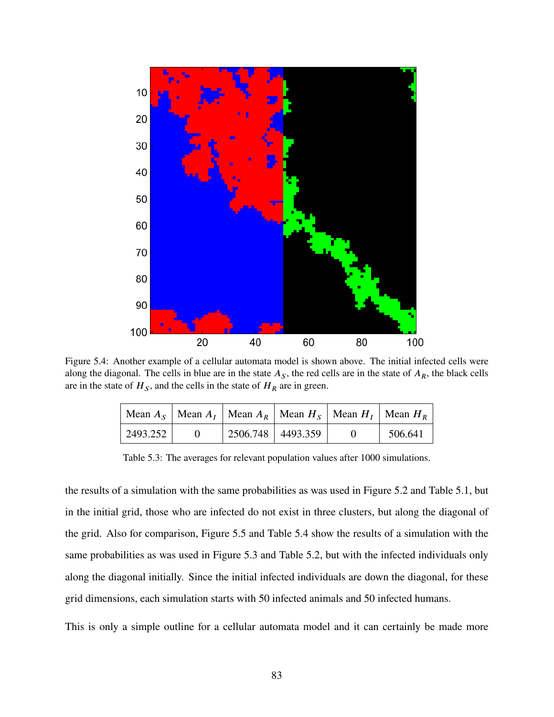<span id="page-92-0"></span>

<span id="page-92-1"></span>Figure 5.4: Another example of a cellular automata model is shown above. The initial infected cells were along the diagonal. The cells in blue are in the state  $A<sub>S</sub>$ , the red cells are in the state of  $A<sub>R</sub>$ , the black cells are in the state of  $H<sub>S</sub>$ , and the cells in the state of  $H<sub>R</sub>$  are in green.

|          |                     | Mean $A_S$   Mean $A_I$   Mean $A_R$   Mean $H_S$   Mean $H_I$   Mean $H_R$ |         |
|----------|---------------------|-----------------------------------------------------------------------------|---------|
| 2493.252 | $2506.748$ 4493.359 |                                                                             | 506.641 |

Table 5.3: The averages for relevant population values after 1000 simulations.

the results of a simulation with the same probabilities as was used in Figure [5.2](#page-90-0) and Table [5.1,](#page-90-1) but in the initial grid, those who are infected do not exist in three clusters, but along the diagonal of the grid. Also for comparison, Figure [5.5](#page-93-0) and Table [5.4](#page-93-1) show the results of a simulation with the same probabilities as was used in Figure [5.3](#page-91-0) and Table [5.2,](#page-91-1) but with the infected individuals only along the diagonal initially. Since the initial infected individuals are down the diagonal, for these grid dimensions, each simulation starts with 50 infected animals and 50 infected humans.

This is only a simple outline for a cellular automata model and it can certainly be made more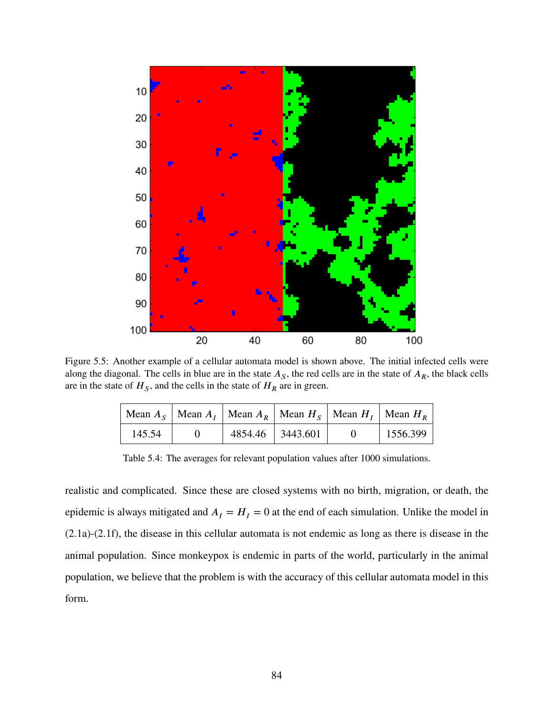<span id="page-93-0"></span>

<span id="page-93-1"></span>Figure 5.5: Another example of a cellular automata model is shown above. The initial infected cells were along the diagonal. The cells in blue are in the state  $A<sub>S</sub>$ , the red cells are in the state of  $A<sub>R</sub>$ , the black cells are in the state of  $H<sub>S</sub>$ , and the cells in the state of  $H<sub>R</sub>$  are in green.

|        |                  | Mean $A_S$   Mean $A_I$   Mean $A_R$   Mean $H_S$   Mean $H_I$   Mean $H_R$ |          |          |
|--------|------------------|-----------------------------------------------------------------------------|----------|----------|
| 145.54 | 4854.46 3443.601 |                                                                             | $\theta$ | 1556.399 |

Table 5.4: The averages for relevant population values after 1000 simulations.

realistic and complicated. Since these are closed systems with no birth, migration, or death, the epidemic is always mitigated and  $A<sub>I</sub> = H<sub>I</sub> = 0$  at the end of each simulation. Unlike the model in [\(2.1a\)](#page-14-0)-[\(2.1f\)](#page-14-0), the disease in this cellular automata is not endemic as long as there is disease in the animal population. Since monkeypox is endemic in parts of the world, particularly in the animal population, we believe that the problem is with the accuracy of this cellular automata model in this form.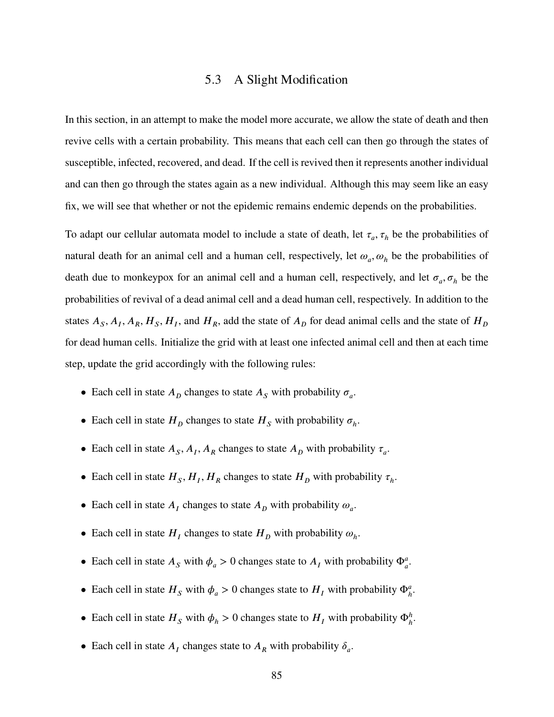# 5.3 A Slight Modification

In this section, in an attempt to make the model more accurate, we allow the state of death and then revive cells with a certain probability. This means that each cell can then go through the states of susceptible, infected, recovered, and dead. If the cell is revived then it represents another individual and can then go through the states again as a new individual. Although this may seem like an easy fix, we will see that whether or not the epidemic remains endemic depends on the probabilities.

To adapt our cellular automata model to include a state of death, let  $\tau_a$ ,  $\tau_h$  be the probabilities of natural death for an animal cell and a human cell, respectively, let  $\omega_a$ ,  $\omega_h$  be the probabilities of death due to monkeypox for an animal cell and a human cell, respectively, and let  $\sigma_a$ ,  $\sigma_h$  be the probabilities of revival of a dead animal cell and a dead human cell, respectively. In addition to the states  $A_s$ ,  $A_I$ ,  $A_R$ ,  $H_s$ ,  $H_I$ , and  $H_R$ , add the state of  $A_D$  for dead animal cells and the state of  $H_D$ for dead human cells. Initialize the grid with at least one infected animal cell and then at each time step, update the grid accordingly with the following rules:

- Each cell in state  $A<sub>D</sub>$  changes to state  $A<sub>S</sub>$  with probability  $\sigma<sub>a</sub>$ .
- Each cell in state  $H_D$  changes to state  $H_S$  with probability  $\sigma_h$ .
- Each cell in state  $A_s$ ,  $A_l$ ,  $A_R$  changes to state  $A_p$  with probability  $\tau_a$ .
- Each cell in state  $H_s$ ,  $H_l$ ,  $H_R$  changes to state  $H_p$  with probability  $\tau_h$ .
- Each cell in state  $A_I$  changes to state  $A_D$  with probability  $\omega_a$ .
- Each cell in state  $H_I$  changes to state  $H_D$  with probability  $\omega_h$ .
- Each cell in state  $A_s$  with  $\phi_a > 0$  changes state to  $A_t$  with probability  $\Phi_a^a$ .
- Each cell in state  $H_s$  with  $\phi_a > 0$  changes state to  $H_t$  with probability  $\Phi_a^a$ .
- Each cell in state  $H_s$  with  $\phi_h > 0$  changes state to  $H_t$  with probability  $\Phi_h^h$ .
- Each cell in state  $A_I$  changes state to  $A_R$  with probability  $\delta_a$ .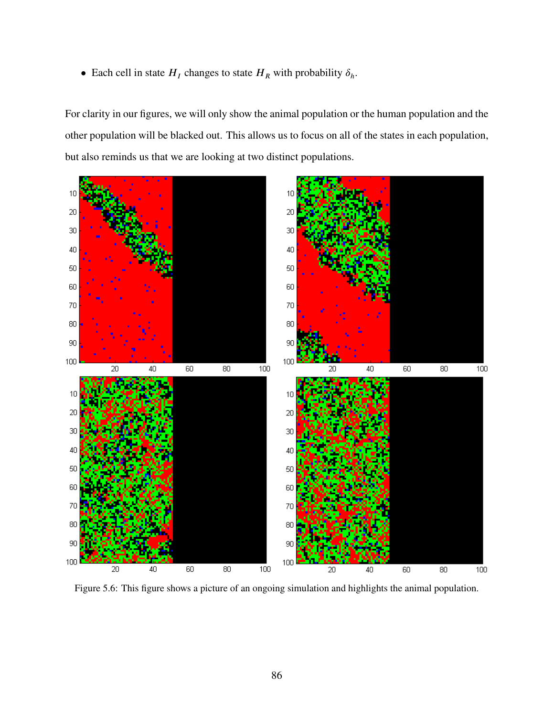• Each cell in state  $H_I$  changes to state  $H_R$  with probability  $\delta_h$ .

For clarity in our figures, we will only show the animal population or the human population and the other population will be blacked out. This allows us to focus on all of the states in each population, but also reminds us that we are looking at two distinct populations.

<span id="page-95-0"></span>

Figure 5.6: This figure shows a picture of an ongoing simulation and highlights the animal population.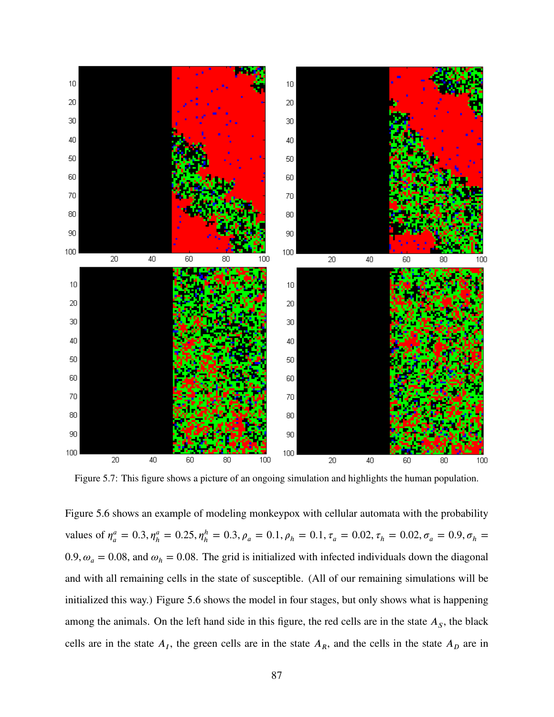<span id="page-96-0"></span>

Figure 5.7: This figure shows a picture of an ongoing simulation and highlights the human population.

Figure [5.6](#page-95-0) shows an example of modeling monkeypox with cellular automata with the probability values of  $\eta_a^a$  $\alpha_a^a = 0.3$ ,  $\eta_h^a = 0.25$ ,  $\eta_h^h = 0.3$ ,  $\rho_a = 0.1$ ,  $\rho_h = 0.1$ ,  $\tau_a = 0.02$ ,  $\tau_h = 0.02$ ,  $\sigma_a = 0.9$ ,  $\sigma_h = 0.02$ 0.9,  $\omega_a = 0.08$ , and  $\omega_h = 0.08$ . The grid is initialized with infected individuals down the diagonal and with all remaining cells in the state of susceptible. (All of our remaining simulations will be initialized this way.) Figure [5.6](#page-95-0) shows the model in four stages, but only shows what is happening among the animals. On the left hand side in this figure, the red cells are in the state  $A<sub>S</sub>$ , the black cells are in the state  $A<sub>I</sub>$ , the green cells are in the state  $A<sub>R</sub>$ , and the cells in the state  $A<sub>D</sub>$  are in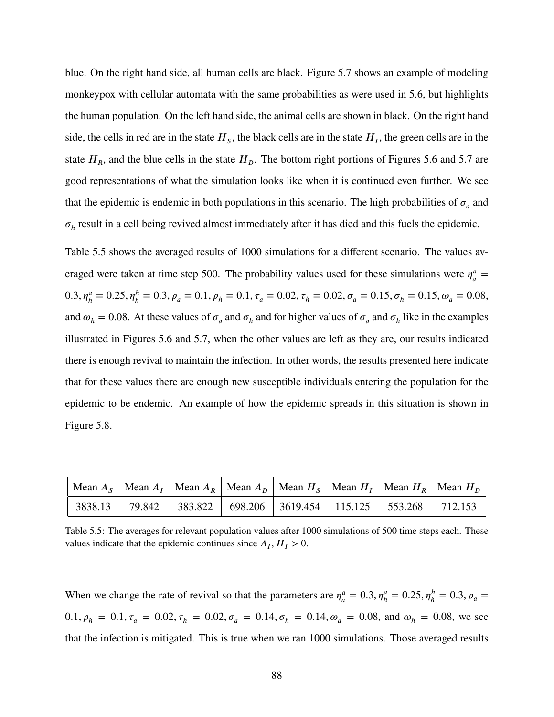blue. On the right hand side, all human cells are black. Figure [5.7](#page-96-0) shows an example of modeling monkeypox with cellular automata with the same probabilities as were used in [5.6,](#page-95-0) but highlights the human population. On the left hand side, the animal cells are shown in black. On the right hand side, the cells in red are in the state  $H_s$ , the black cells are in the state  $H_t$ , the green cells are in the state  $H_R$ , and the blue cells in the state  $H_D$ . The bottom right portions of Figures [5.6](#page-95-0) and [5.7](#page-96-0) are good representations of what the simulation looks like when it is continued even further. We see that the epidemic is endemic in both populations in this scenario. The high probabilities of  $\sigma_a$  and  $\sigma_h$  result in a cell being revived almost immediately after it has died and this fuels the epidemic.

Table [5.5](#page-97-0) shows the averaged results of 1000 simulations for a different scenario. The values averaged were taken at time step 500. The probability values used for these simulations were  $\eta_a^a$  $\frac{a}{a} =$ 0.3,  $\eta_h^a = 0.25$ ,  $\eta_h^h = 0.3$ ,  $\rho_a = 0.1$ ,  $\rho_h = 0.1$ ,  $\tau_a = 0.02$ ,  $\tau_h = 0.02$ ,  $\sigma_a = 0.15$ ,  $\sigma_h = 0.15$ ,  $\omega_a = 0.08$ , and  $\omega_h = 0.08$ . At these values of  $\sigma_a$  and  $\sigma_h$  and for higher values of  $\sigma_a$  and  $\sigma_h$  like in the examples illustrated in Figures [5.6](#page-95-0) and [5.7,](#page-96-0) when the other values are left as they are, our results indicated there is enough revival to maintain the infection. In other words, the results presented here indicate that for these values there are enough new susceptible individuals entering the population for the epidemic to be endemic. An example of how the epidemic spreads in this situation is shown in Figure [5.8.](#page-98-0)

<span id="page-97-0"></span>

|  |  |  |                                                                               | Mean $A_S$   Mean $A_I$   Mean $A_R$   Mean $A_D$   Mean $H_S$   Mean $H_I$   Mean $H_R$   Mean $H_D$ |
|--|--|--|-------------------------------------------------------------------------------|-------------------------------------------------------------------------------------------------------|
|  |  |  | 3838.13   79.842   383.822   698.206   3619.454   115.125   553.268   712.153 |                                                                                                       |

Table 5.5: The averages for relevant population values after 1000 simulations of 500 time steps each. These values indicate that the epidemic continues since  $A_I$ ,  $H_I > 0$ .

When we change the rate of revival so that the parameters are  $\eta_a^a$  $\alpha_a^a = 0.3, \eta_h^a = 0.25, \eta_h^h = 0.3, \rho_a =$  $0.1, \rho_h = 0.1, \tau_a = 0.02, \tau_h = 0.02, \sigma_a = 0.14, \sigma_h = 0.14, \omega_a = 0.08$ , and  $\omega_h = 0.08$ , we see that the infection is mitigated. This is true when we ran 1000 simulations. Those averaged results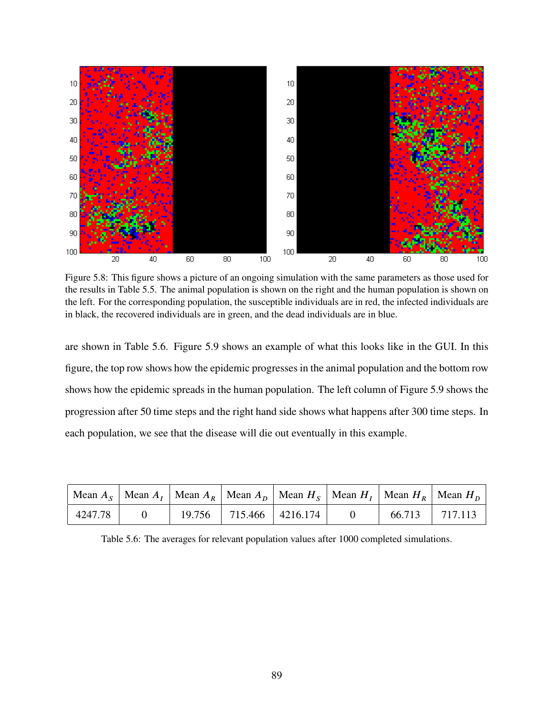<span id="page-98-0"></span>

Figure 5.8: This figure shows a picture of an ongoing simulation with the same parameters as those used for the results in Table [5.5.](#page-97-0) The animal population is shown on the right and the human population is shown on the left. For the corresponding population, the susceptible individuals are in red, the infected individuals are in black, the recovered individuals are in green, and the dead individuals are in blue.

are shown in Table [5.6.](#page-98-1) Figure [5.9](#page-99-0) shows an example of what this looks like in the GUI. In this figure, the top row shows how the epidemic progresses in the animal population and the bottom row shows how the epidemic spreads in the human population. The left column of Figure [5.9](#page-99-0) shows the progression after 50 time steps and the right hand side shows what happens after 300 time steps. In each population, we see that the disease will die out eventually in this example.

<span id="page-98-1"></span>

|         |  |                               |  | Mean $A_s$   Mean $A_t$   Mean $A_R$   Mean $A_p$   Mean $H_s$   Mean $H_t$   Mean $H_R$   Mean $H_p$ |
|---------|--|-------------------------------|--|-------------------------------------------------------------------------------------------------------|
| 4247.78 |  | $19.756$   715.466   4216.174 |  | 66.713   717.113                                                                                      |

Table 5.6: The averages for relevant population values after 1000 completed simulations.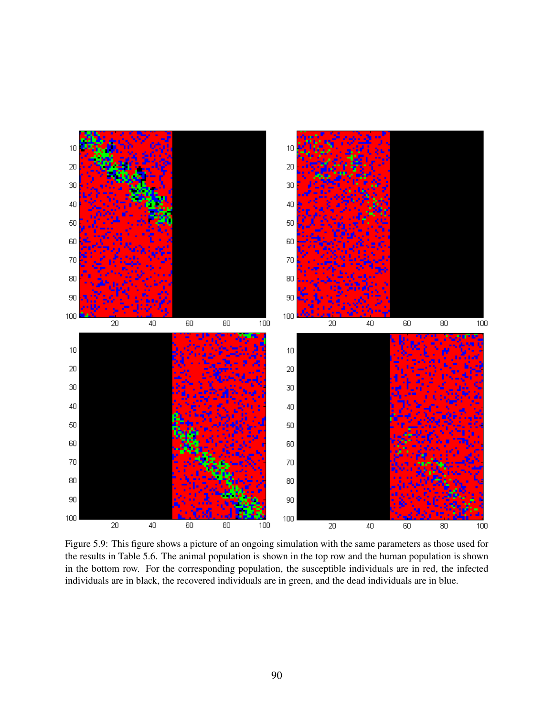<span id="page-99-0"></span>

Figure 5.9: This figure shows a picture of an ongoing simulation with the same parameters as those used for the results in Table [5.6.](#page-98-1) The animal population is shown in the top row and the human population is shown in the bottom row. For the corresponding population, the susceptible individuals are in red, the infected individuals are in black, the recovered individuals are in green, and the dead individuals are in blue.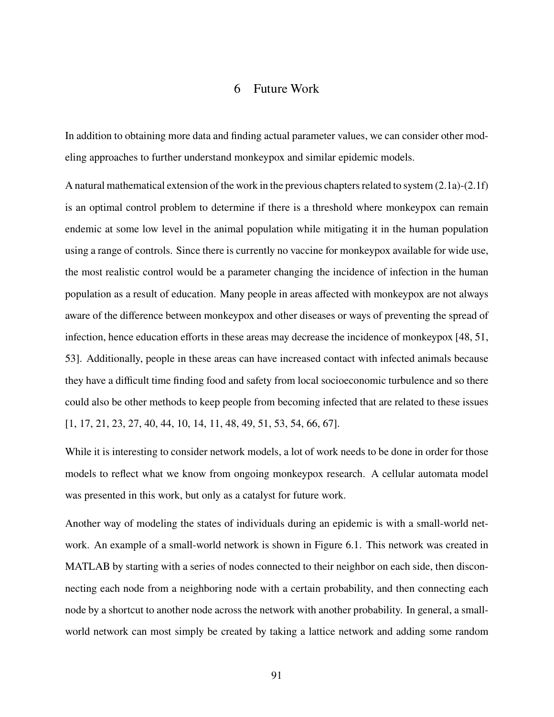## 6 Future Work

In addition to obtaining more data and finding actual parameter values, we can consider other modeling approaches to further understand monkeypox and similar epidemic models.

A natural mathematical extension of the work in the previous chapters related to system [\(2.1a\)](#page-14-0)-[\(2.1f\)](#page-14-0) is an optimal control problem to determine if there is a threshold where monkeypox can remain endemic at some low level in the animal population while mitigating it in the human population using a range of controls. Since there is currently no vaccine for monkeypox available for wide use, the most realistic control would be a parameter changing the incidence of infection in the human population as a result of education. Many people in areas affected with monkeypox are not always aware of the difference between monkeypox and other diseases or ways of preventing the spread of infection, hence education efforts in these areas may decrease the incidence of monkeypox [\[48,](#page-106-4) [51,](#page-106-3) [53\]](#page-106-11). Additionally, people in these areas can have increased contact with infected animals because they have a difficult time finding food and safety from local socioeconomic turbulence and so there could also be other methods to keep people from becoming infected that are related to these issues [\[1,](#page-103-3) [17,](#page-104-6) [21,](#page-104-7) [23,](#page-104-8) [27,](#page-104-9) [40,](#page-105-1) [44,](#page-105-7) [10,](#page-103-4) [14,](#page-103-5) [11,](#page-103-6) [48,](#page-106-4) [49,](#page-106-1) [51,](#page-106-3) [53,](#page-106-11) [54,](#page-106-6) [66,](#page-107-5) [67\]](#page-107-3).

While it is interesting to consider network models, a lot of work needs to be done in order for those models to reflect what we know from ongoing monkeypox research. A cellular automata model was presented in this work, but only as a catalyst for future work.

Another way of modeling the states of individuals during an epidemic is with a small-world network. An example of a small-world network is shown in Figure [6.1.](#page-101-0) This network was created in MATLAB by starting with a series of nodes connected to their neighbor on each side, then disconnecting each node from a neighboring node with a certain probability, and then connecting each node by a shortcut to another node across the network with another probability. In general, a smallworld network can most simply be created by taking a lattice network and adding some random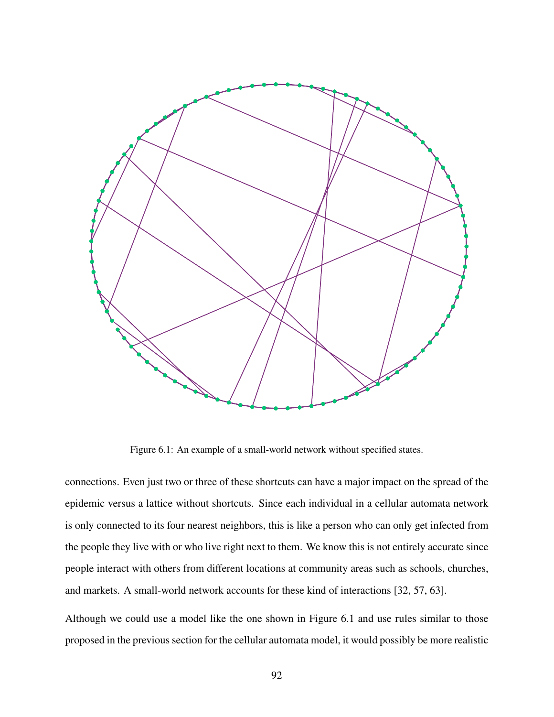<span id="page-101-0"></span>

Figure 6.1: An example of a small-world network without specified states.

connections. Even just two or three of these shortcuts can have a major impact on the spread of the epidemic versus a lattice without shortcuts. Since each individual in a cellular automata network is only connected to its four nearest neighbors, this is like a person who can only get infected from the people they live with or who live right next to them. We know this is not entirely accurate since people interact with others from different locations at community areas such as schools, churches, and markets. A small-world network accounts for these kind of interactions [\[32,](#page-105-4) [57,](#page-106-9) [63\]](#page-107-1).

Although we could use a model like the one shown in Figure [6.1](#page-101-0) and use rules similar to those proposed in the previous section for the cellular automata model, it would possibly be more realistic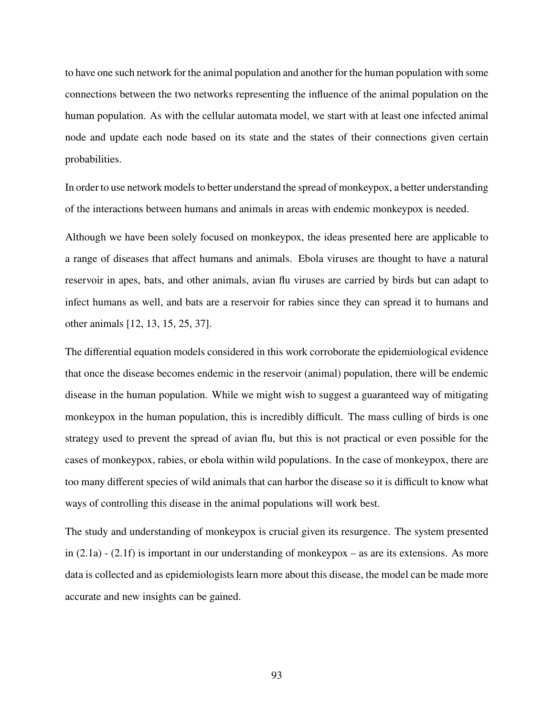to have one such network for the animal population and another for the human population with some connections between the two networks representing the influence of the animal population on the human population. As with the cellular automata model, we start with at least one infected animal node and update each node based on its state and the states of their connections given certain probabilities.

In order to use network models to better understand the spread of monkeypox, a better understanding of the interactions between humans and animals in areas with endemic monkeypox is needed.

Although we have been solely focused on monkeypox, the ideas presented here are applicable to a range of diseases that affect humans and animals. Ebola viruses are thought to have a natural reservoir in apes, bats, and other animals, avian flu viruses are carried by birds but can adapt to infect humans as well, and bats are a reservoir for rabies since they can spread it to humans and other animals [\[12,](#page-103-7) [13,](#page-103-8) [15,](#page-104-10) [25,](#page-104-11) [37\]](#page-105-8).

The differential equation models considered in this work corroborate the epidemiological evidence that once the disease becomes endemic in the reservoir (animal) population, there will be endemic disease in the human population. While we might wish to suggest a guaranteed way of mitigating monkeypox in the human population, this is incredibly difficult. The mass culling of birds is one strategy used to prevent the spread of avian flu, but this is not practical or even possible for the cases of monkeypox, rabies, or ebola within wild populations. In the case of monkeypox, there are too many different species of wild animals that can harbor the disease so it is difficult to know what ways of controlling this disease in the animal populations will work best.

The study and understanding of monkeypox is crucial given its resurgence. The system presented in [\(2.1a\)](#page-14-0) - [\(2.1f\)](#page-14-0) is important in our understanding of monkeypox – as are its extensions. As more data is collected and as epidemiologists learn more about this disease, the model can be made more accurate and new insights can be gained.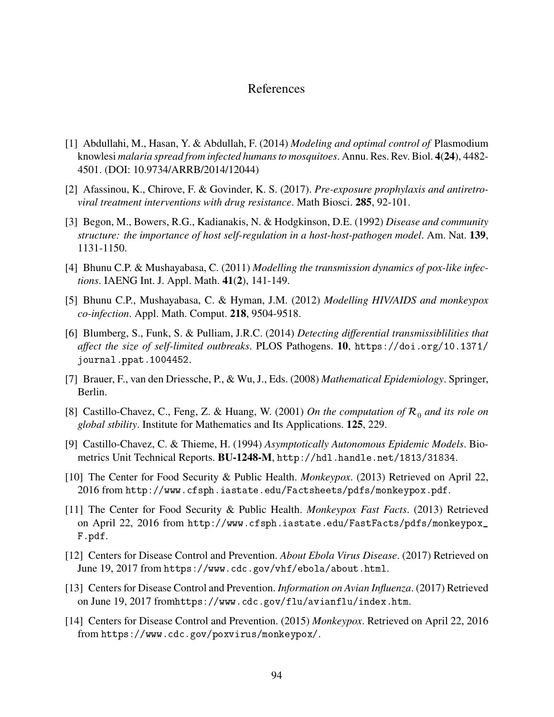## References

- <span id="page-103-3"></span>[1] Abdullahi, M., Hasan, Y. & Abdullah, F. (2014) *Modeling and optimal control of* Plasmodium knowlesi *malaria spread from infected humans to mosquitoes*. Annu. Res. Rev. Biol. 4(24), 4482-4501. (DOI: 10.9734/ARRB/2014/12044)
- [2] Afassinou, K., Chirove, F. & Govinder, K. S. (2017). *Pre-exposure prophylaxis and antiretroviral treatment interventions with drug resistance*. Math Biosci. **285**, 92-101.
- <span id="page-103-0"></span>[3] Begon, M., Bowers, R.G., Kadianakis, N. & Hodgkinson, D.E. (1992) *Disease and community structure: the importance of host self-regulation in a host-host-pathogen model*. Am. Nat. **139**, 1131-1150.
- [4] Bhunu C.P. & Mushayabasa, C. (2011) *Modelling the transmission dynamics of pox-like infections*. IAENG Int. J. Appl. Math. **41(2)**, 141-149.
- [5] Bhunu C.P., Mushayabasa, C. & Hyman, J.M. (2012) *Modelling HIV/AIDS and monkeypox co-infection.* Appl. Math. Comput. **218**, 9504-9518.
- <span id="page-103-2"></span>[6] Blumberg, S., Funk, S. & Pulliam, J.R.C. (2014) *Detecting differential transmissiblilities that affect the size of self-limited outbreaks.* PLOS Pathogens. **10**, [https://doi.org/10.1371/](https://doi.org/10.1371/journal.ppat.1004452) [journal.ppat.1004452](https://doi.org/10.1371/journal.ppat.1004452).
- <span id="page-103-1"></span>[7] Brauer, F., van den Driessche, P., & Wu, J., Eds. (2008) *Mathematical Epidemiology*. Springer, Berlin.
- [8] Castillo-Chavez, C., Feng, Z. & Huang, W. (2001) *On the computation of*  $\mathcal{R}_0$  *and its role on global stbility*. Institute for Mathematics and Its Applications. **125**, 229.
- [9] Castillo-Chavez, C. & Thieme, H. (1994) *Asymptotically Autonomous Epidemic Models*. Biometrics Unit Technical Reports. **BU-1248-M**, <http://hdl.handle.net/1813/31834>.
- <span id="page-103-4"></span>[10] The Center for Food Security & Public Health. *Monkeypox*. (2013) Retrieved on April 22, 2016 from <http://www.cfsph.iastate.edu/Factsheets/pdfs/monkeypox.pdf>.
- <span id="page-103-6"></span>[11] The Center for Food Security & Public Health. *Monkeypox Fast Facts*. (2013) Retrieved on April 22, 2016 from [http://www.cfsph.iastate.edu/FastFacts/pdfs/monkeypox\\_](http://www.cfsph.iastate.edu/FastFacts/pdfs/monkeypox_F.pdf) [F.pdf](http://www.cfsph.iastate.edu/FastFacts/pdfs/monkeypox_F.pdf).
- <span id="page-103-7"></span>[12] Centers for Disease Control and Prevention. *About Ebola Virus Disease*. (2017) Retrieved on June 19, 2017 from <https://www.cdc.gov/vhf/ebola/about.html>.
- <span id="page-103-8"></span>[13] Centers for Disease Control and Prevention. *Information on Avian Influenza*. (2017) Retrieved on June 19, 2017 from<https://www.cdc.gov/flu/avianflu/index.htm>.
- <span id="page-103-5"></span>[14] Centers for Disease Control and Prevention. (2015) *Monkeypox*. Retrieved on April 22, 2016 from <https://www.cdc.gov/poxvirus/monkeypox/>.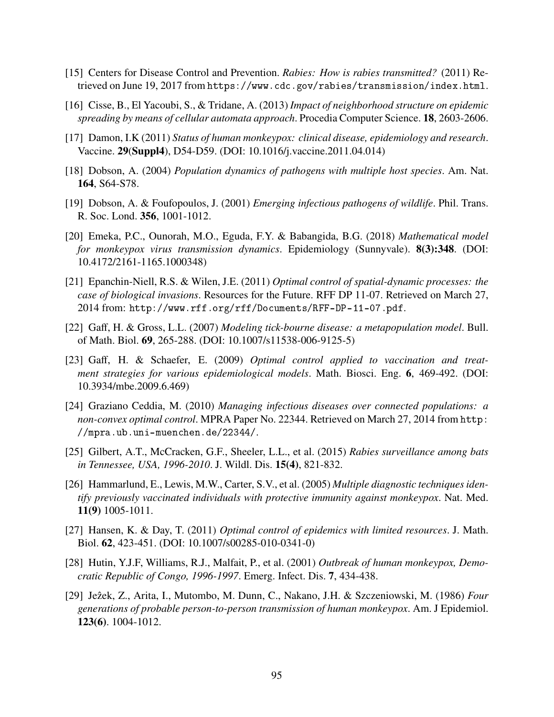- <span id="page-104-10"></span>[15] Centers for Disease Control and Prevention. *Rabies: How is rabies transmitted?* (2011) Retrieved on June 19, 2017 from <https://www.cdc.gov/rabies/transmission/index.html>.
- <span id="page-104-4"></span>[16] Cisse, B., El Yacoubi, S., & Tridane, A. (2013) *Impact of neighborhood structure on epidemic spreading by means of cellular automata approach.* Procedia Computer Science. **18**, 2603-2606.
- <span id="page-104-6"></span>[17] Damon, I.K (2011) *Status of human monkeypox: clinical disease, epidemiology and research*. Vaccine. **29(Suppl4)**, D54-D59. (DOI: 10.1016/j.vaccine.2011.04.014)
- <span id="page-104-1"></span>[18] Dobson, A. (2004) *Population dynamics of pathogens with multiple host species*. Am. Nat. **164**, S64-S78.
- <span id="page-104-2"></span>[19] Dobson, A. & Foufopoulos, J. (2001) *Emerging infectious pathogens of wildlife*. Phil. Trans. R. Soc. Lond. **356**, 1001-1012.
- [20] Emeka, P.C., Ounorah, M.O., Eguda, F.Y. & Babangida, B.G. (2018) *Mathematical model for monkeypox virus transmission dynamics*. Epidemiology (Sunnyvale). **8(3):348**. (DOI: 10.4172/2161-1165.1000348)
- <span id="page-104-7"></span>[21] Epanchin-Niell, R.S. & Wilen, J.E. (2011) *Optimal control of spatial-dynamic processes: the case of biological invasions*. Resources for the Future. RFF DP 11-07. Retrieved on March 27, 2014 from: <http://www.rff.org/rff/Documents/RFF-DP-11-07.pdf>.
- <span id="page-104-3"></span>[22] Gaff, H. & Gross, L.L. (2007) *Modeling tick-bourne disease: a metapopulation model*. Bull. of Math. Biol. **69**, 265-288. (DOI: 10.1007/s11538-006-9125-5)
- <span id="page-104-8"></span>[23] Gaff, H. & Schaefer, E. (2009) *Optimal control applied to vaccination and treatment strategies for various epidemiological models. Math. Biosci. Eng. 6, 469-492. (DOI:* 10.3934/mbe.2009.6.469)
- <span id="page-104-5"></span>[24] Graziano Ceddia, M. (2010) *Managing infectious diseases over connected populations: a non-convex optimal control*. MPRA Paper No. 22344. Retrieved on March 27, 2014 from [http:](http://mpra.ub.uni-muenchen.de/22344/) [//mpra.ub.uni-muenchen.de/22344/](http://mpra.ub.uni-muenchen.de/22344/).
- <span id="page-104-11"></span>[25] Gilbert, A.T., McCracken, G.F., Sheeler, L.L., et al. (2015) *Rabies surveillance among bats in Tennessee, USA, 1996-2010*. J. Wildl. Dis. **15(4)**, 821-832.
- [26] Hammarlund, E., Lewis, M.W., Carter, S.V., et al. (2005) *Multiple diagnostic techniques identify previously vaccinated individuals with protective immunity against monkeypox*. Nat. Med. **11(9)** 1005-1011.
- <span id="page-104-9"></span>[27] Hansen, K. & Day, T. (2011) *Optimal control of epidemics with limited resources*. J. Math. Biol. **𝟔𝟐**, 423-451. (DOI: 10.1007/s00285-010-0341-0)
- <span id="page-104-0"></span>[28] Hutin, Y.J.F, Williams, R.J., Malfait, P., et al. (2001) *Outbreak of human monkeypox, Democratic Republic of Congo, 1996-1997*. Emerg. Infect. Dis. **7**, 434-438.
- [29] Jezek, Z., Arita, I., Mutombo, M. Dunn, C., Nakano, J.H. & Szczeniowski, M. (1986) ˆ *Four generations of probable person-to-person transmission of human monkeypox*. Am. J Epidemiol. **123(6)**. 1004-1012.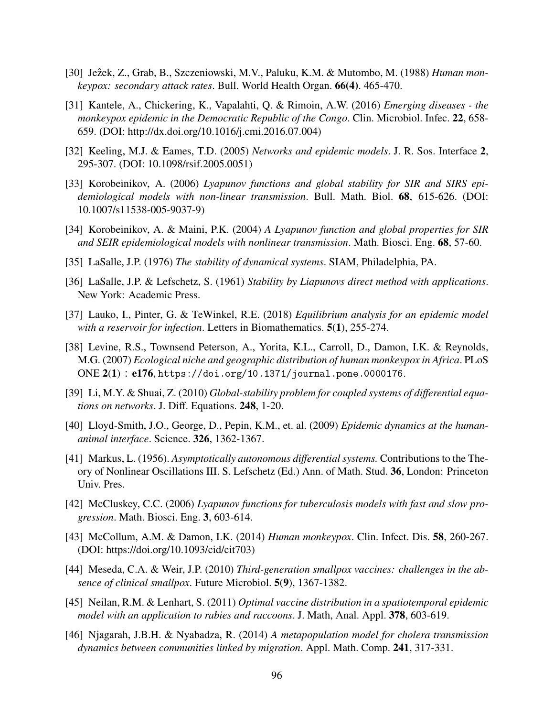- [30] Jezek, Z., Grab, B., Szczeniowski, M.V., Paluku, K.M. & Mutombo, M. (1988) *Human monkeypox: secondary attack rates*. Bull. World Health Organ. **66(4)**. 465-470.
- [31] Kantele, A., Chickering, K., Vapalahti, Q. & Rimoin, A.W. (2016) *Emerging diseases the monkeypox epidemic in the Democratic Republic of the Congo*. Clin. Microbiol. Infec. **22**, 658- 659. (DOI: http://dx.doi.org/10.1016/j.cmi.2016.07.004)
- <span id="page-105-4"></span>[32] Keeling, M.J. & Eames, T.D. (2005) *Networks and epidemic models*. J. R. Sos. Interface 2, 295-307. (DOI: 10.1098/rsif.2005.0051)
- [33] Korobeinikov, A. (2006) *Lyapunov functions and global stability for SIR and SIRS epidemiological models with non-linear transmission*. Bull. Math. Biol. **𝟔𝟖**, 615-626. (DOI: 10.1007/s11538-005-9037-9)
- [34] Korobeinikov, A. & Maini, P.K. (2004) *A Lyapunov function and global properties for SIR and SEIR epidemiological models with nonlinear transmission*. Math. Biosci. Eng. **𝟔𝟖**, 57-60.
- [35] LaSalle, J.P. (1976) *The stability of dynamical systems*. SIAM, Philadelphia, PA.
- [36] LaSalle, J.P. & Lefschetz, S. (1961) *Stability by Liapunovs direct method with applications*. New York: Academic Press.
- <span id="page-105-8"></span>[37] Lauko, I., Pinter, G. & TeWinkel, R.E. (2018) *Equilibrium analysis for an epidemic model with a reservoir for infection*. Letters in Biomathematics. **5(1)**, 255-274.
- <span id="page-105-0"></span>[38] Levine, R.S., Townsend Peterson, A., Yorita, K.L., Carroll, D., Damon, I.K. & Reynolds, M.G. (2007) *Ecological niche and geographic distribution of human monkeypox in Africa*. PLoS ONE **𝟐**(**𝟏**) ∶ **𝐞𝟏𝟕𝟔**, <https://doi.org/10.1371/journal.pone.0000176>.
- <span id="page-105-5"></span>[39] Li, M.Y. & Shuai, Z. (2010) *Global-stability problem for coupled systems of differential equations on networks*. J. Diff. Equations. **248**, 1-20.
- <span id="page-105-1"></span>[40] Lloyd-Smith, J.O., George, D., Pepin, K.M., et. al. (2009) *Epidemic dynamics at the humananimal interface*. Science. **𝟑𝟐𝟔**, 1362-1367.
- [41] Markus, L. (1956). *Asymptotically autonomous differential systems.* Contributions to the Theory of Nonlinear Oscillations III. S. Lefschetz (Ed.) Ann. of Math. Stud. **36**, London: Princeton Univ. Pres.
- [42] McCluskey, C.C. (2006) *Lyapunov functions for tuberculosis models with fast and slow progression*. Math. Biosci. Eng. **𝟑**, 603-614.
- <span id="page-105-2"></span>[43] McCollum, A.M. & Damon, I.K. (2014) *Human monkeypox*. Clin. Infect. Dis. **58**, 260-267. (DOI: https://doi.org/10.1093/cid/cit703)
- <span id="page-105-7"></span>[44] Meseda, C.A. & Weir, J.P. (2010) *Third-generation smallpox vaccines: challenges in the absence of clinical smallpox.* Future Microbiol. **5(9)**, 1367-1382.
- <span id="page-105-6"></span>[45] Neilan, R.M. & Lenhart, S. (2011) *Optimal vaccine distribution in a spatiotemporal epidemic model with an application to rabies and raccoons. J. Math, Anal. Appl.* **378**, 603-619.
- <span id="page-105-3"></span>[46] Njagarah, J.B.H. & Nyabadza, R. (2014) *A metapopulation model for cholera transmission dynamics between communities linked by migration.* Appl. Math. Comp. 241, 317-331.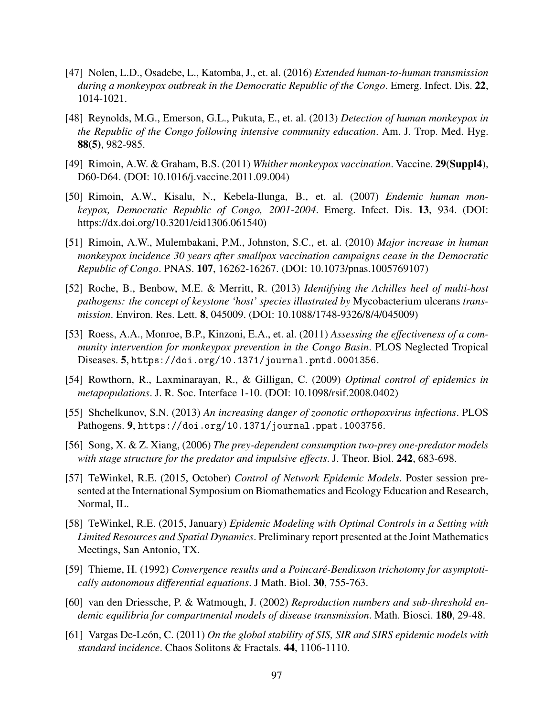- <span id="page-106-0"></span>[47] Nolen, L.D., Osadebe, L., Katomba, J., et. al. (2016) *Extended human-to-human transmission during a monkeypox outbreak in the Democratic Republic of the Congo.* Emerg. Infect. Dis. 22, 1014-1021.
- <span id="page-106-4"></span>[48] Reynolds, M.G., Emerson, G.L., Pukuta, E., et. al. (2013) *Detection of human monkeypox in the Republic of the Congo following intensive community education*. Am. J. Trop. Med. Hyg. **88(5)**, 982-985.
- <span id="page-106-1"></span>[49] Rimoin, A.W. & Graham, B.S. (2011) *Whither monkeypox vaccination*. Vaccine. **29(Suppl4)**, D60-D64. (DOI: 10.1016/j.vaccine.2011.09.004)
- <span id="page-106-2"></span>[50] Rimoin, A.W., Kisalu, N., Kebela-Ilunga, B., et. al. (2007) *Endemic human monkeypox, Democratic Republic of Congo, 2001-2004. Emerg. Infect. Dis. 13, 934. (DOI:* https://dx.doi.org/10.3201/eid1306.061540)
- <span id="page-106-3"></span>[51] Rimoin, A.W., Mulembakani, P.M., Johnston, S.C., et. al. (2010) *Major increase in human monkeypox incidence 30 years after smallpox vaccination campaigns cease in the Democratic Republic of Congo*. PNAS. **107**, 16262-16267. (DOI: 10.1073/pnas.1005769107)
- <span id="page-106-5"></span>[52] Roche, B., Benbow, M.E. & Merritt, R. (2013) *Identifying the Achilles heel of multi-host pathogens: the concept of keystone 'host' species illustrated by* Mycobacterium ulcerans *transmission*. Environ. Res. Lett. **8**, 045009. (DOI: 10.1088/1748-9326/8/4/045009)
- <span id="page-106-11"></span>[53] Roess, A.A., Monroe, B.P., Kinzoni, E.A., et. al. (2011) *Assessing the effectiveness of a community intervention for monkeypox prevention in the Congo Basin*. PLOS Neglected Tropical Diseases. **5**, <https://doi.org/10.1371/journal.pntd.0001356>.
- <span id="page-106-6"></span>[54] Rowthorn, R., Laxminarayan, R., & Gilligan, C. (2009) *Optimal control of epidemics in metapopulations*. J. R. Soc. Interface 1-10. (DOI: 10.1098/rsif.2008.0402)
- <span id="page-106-7"></span>[55] Shchelkunov, S.N. (2013) *An increasing danger of zoonotic orthopoxvirus infections*. PLOS Pathogens. **9**, <https://doi.org/10.1371/journal.ppat.1003756>.
- <span id="page-106-8"></span>[56] Song, X. & Z. Xiang, (2006) *The prey-dependent consumption two-prey one-predator models with stage structure for the predator and impulsive effects*. J. Theor. Biol. **242**, 683-698.
- <span id="page-106-9"></span>[57] TeWinkel, R.E. (2015, October) *Control of Network Epidemic Models*. Poster session presented at the International Symposium on Biomathematics and Ecology Education and Research, Normal, IL.
- <span id="page-106-10"></span>[58] TeWinkel, R.E. (2015, January) *Epidemic Modeling with Optimal Controls in a Setting with Limited Resources and Spatial Dynamics*. Preliminary report presented at the Joint Mathematics Meetings, San Antonio, TX.
- [59] Thieme, H. (1992) *Convergence results and a Poincaré-Bendixson trichotomy for asymptotically autonomous differential equations*. J Math. Biol. **30**, 755-763.
- [60] van den Driessche, P. & Watmough, J. (2002) *Reproduction numbers and sub-threshold endemic equilibria for compartmental models of disease transmission.* Math. Biosci. **180**, 29-48.
- [61] Vargas De-León, C. (2011) *On the global stability of SIS, SIR and SIRS epidemic models with standard incidence*. Chaos Solitons & Fractals. 44, 1106-1110.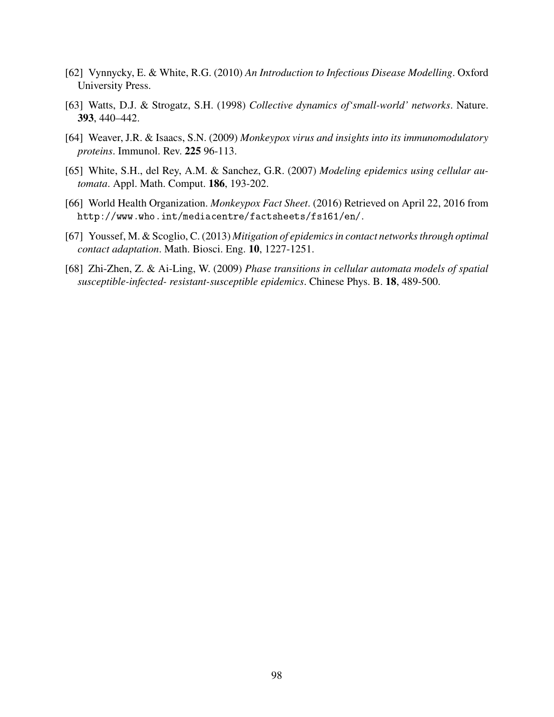- <span id="page-107-0"></span>[62] Vynnycky, E. & White, R.G. (2010) *An Introduction to Infectious Disease Modelling*. Oxford University Press.
- <span id="page-107-1"></span>[63] Watts, D.J. & Strogatz, S.H. (1998) *Collective dynamics of'small-world' networks*. Nature. **393**, 440–442.
- [64] Weaver, J.R. & Isaacs, S.N. (2009) *Monkeypox virus and insights into its immunomodulatory proteins*. Immunol. Rev. **225** 96-113.
- <span id="page-107-2"></span>[65] White, S.H., del Rey, A.M. & Sanchez, G.R. (2007) *Modeling epidemics using cellular automata*. Appl. Math. Comput. **186**, 193-202.
- <span id="page-107-5"></span>[66] World Health Organization. *Monkeypox Fact Sheet*. (2016) Retrieved on April 22, 2016 from <http://www.who.int/mediacentre/factsheets/fs161/en/>.
- <span id="page-107-3"></span>[67] Youssef, M. & Scoglio, C. (2013) *Mitigation of epidemics in contact networks through optimal contact adaptation.* Math. Biosci. Eng. 10, 1227-1251.
- <span id="page-107-4"></span>[68] Zhi-Zhen, Z. & Ai-Ling, W. (2009) *Phase transitions in cellular automata models of spatial susceptible-infected- resistant-susceptible epidemics. Chinese Phys. B.* **18**, 489-500.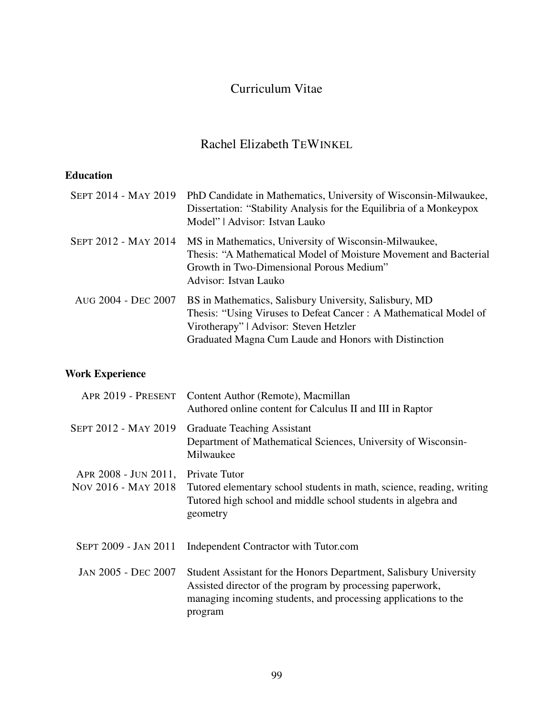## Curriculum Vitae

### Rachel Elizabeth TEWINKEL

### **Education**

|                     | SEPT 2014 - MAY 2019 PhD Candidate in Mathematics, University of Wisconsin-Milwaukee,<br>Dissertation: "Stability Analysis for the Equilibria of a Monkeypox<br>Model"   Advisor: Istvan Lauko                                |
|---------------------|-------------------------------------------------------------------------------------------------------------------------------------------------------------------------------------------------------------------------------|
|                     | SEPT 2012 - MAY 2014 MS in Mathematics, University of Wisconsin-Milwaukee,<br>Thesis: "A Mathematical Model of Moisture Movement and Bacterial<br>Growth in Two-Dimensional Porous Medium"<br>Advisor: Istvan Lauko           |
| AUG 2004 - DEC 2007 | BS in Mathematics, Salisbury University, Salisbury, MD<br>Thesis: "Using Viruses to Defeat Cancer: A Mathematical Model of<br>Virotherapy"   Advisor: Steven Hetzler<br>Graduated Magna Cum Laude and Honors with Distinction |

### **Work Experience**

|                                             | APR 2019 - PRESENT Content Author (Remote), Macmillan<br>Authored online content for Calculus II and III in Raptor                                                                                          |
|---------------------------------------------|-------------------------------------------------------------------------------------------------------------------------------------------------------------------------------------------------------------|
| SEPT 2012 - MAY 2019                        | Graduate Teaching Assistant<br>Department of Mathematical Sciences, University of Wisconsin-<br>Milwaukee                                                                                                   |
| APR 2008 - JUN 2011,<br>Nov 2016 - MAY 2018 | Private Tutor<br>Tutored elementary school students in math, science, reading, writing<br>Tutored high school and middle school students in algebra and<br>geometry                                         |
| SEPT 2009 - JAN 2011                        | Independent Contractor with Tutor.com                                                                                                                                                                       |
| JAN 2005 - DEC 2007                         | Student Assistant for the Honors Department, Salisbury University<br>Assisted director of the program by processing paperwork,<br>managing incoming students, and processing applications to the<br>program |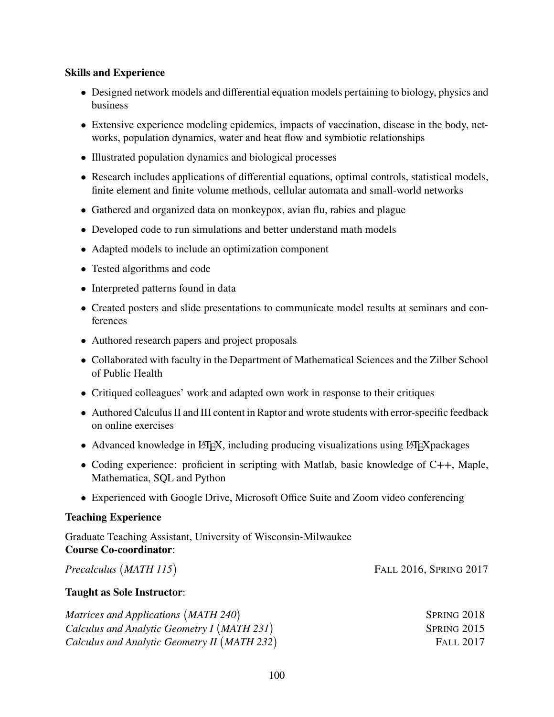#### **Skills and Experience**

- Designed network models and differential equation models pertaining to biology, physics and business
- Extensive experience modeling epidemics, impacts of vaccination, disease in the body, networks, population dynamics, water and heat flow and symbiotic relationships
- Illustrated population dynamics and biological processes
- Research includes applications of differential equations, optimal controls, statistical models, finite element and finite volume methods, cellular automata and small-world networks
- Gathered and organized data on monkeypox, avian flu, rabies and plague
- Developed code to run simulations and better understand math models
- Adapted models to include an optimization component
- Tested algorithms and code
- Interpreted patterns found in data
- Created posters and slide presentations to communicate model results at seminars and conferences
- Authored research papers and project proposals
- Collaborated with faculty in the Department of Mathematical Sciences and the Zilber School of Public Health
- Critiqued colleagues' work and adapted own work in response to their critiques
- Authored Calculus II and III content in Raptor and wrote students with error-specific feedback on online exercises
- Advanced knowledge in LATEX, including producing visualizations using LATEX packages
- Coding experience: proficient in scripting with Matlab, basic knowledge of C++, Maple, Mathematica, SQL and Python

FALL 2016, SPRING 2017

• Experienced with Google Drive, Microsoft Office Suite and Zoom video conferencing

#### **Teaching Experience**

Graduate Teaching Assistant, University of Wisconsin-Milwaukee **Course Co-coordinator**:

*Precalculus* ( *MATH 115*)

**Taught as Sole Instructor**:

| Matrices and Applications (MATH 240)         | SPRING 2018      |
|----------------------------------------------|------------------|
| Calculus and Analytic Geometry I (MATH 231)  | SPRING 2015      |
| Calculus and Analytic Geometry II (MATH 232) | <b>FALL 2017</b> |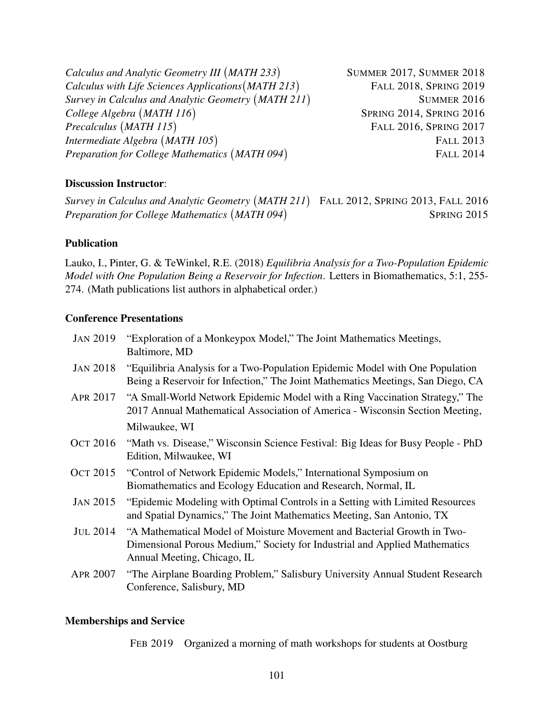*Calculus and Analytic Geometry III* ( *MATH 233*) SUMMER 2017, SUMMER 2018 *Calculus with Life Sciences Applications*( *MATH 213*) FALL 2018, SPRING 2019 *Survey in Calculus and Analytic Geometry* ( *MATH 211*) SUMMER 2016 *College Algebra* ( *MATH 116*) SPRING 2014, SPRING 2016 *Precalculus* ( *MATH 115*) FALL 2016, SPRING 2017 *Intermediate Algebra* ( *MATH 105*) FALL 2013 *Preparation for College Mathematics* ( *MATH 094*) FALL 2014

#### **Discussion Instructor**:

*Survey in Calculus and Analytic Geometry* ( *MATH 211*) FALL 2012, SPRING 2013, FALL 2016 *Preparation for College Mathematics* ( *MATH 094*) SPRING 2015

#### **Publication**

Lauko, I., Pinter, G. & TeWinkel, R.E. (2018) *Equilibria Analysis for a Two-Population Epidemic Model with One Population Being a Reservoir for Infection*. Letters in Biomathematics, 5:1, 255- 274. (Math publications list authors in alphabetical order.)

#### **Conference Presentations**

| <b>JAN 2019</b> | "Exploration of a Monkeypox Model," The Joint Mathematics Meetings,<br>Baltimore, MD                                                                                                 |
|-----------------|--------------------------------------------------------------------------------------------------------------------------------------------------------------------------------------|
| <b>JAN 2018</b> | "Equilibria Analysis for a Two-Population Epidemic Model with One Population<br>Being a Reservoir for Infection," The Joint Mathematics Meetings, San Diego, CA                      |
| APR 2017        | "A Small-World Network Epidemic Model with a Ring Vaccination Strategy," The<br>2017 Annual Mathematical Association of America - Wisconsin Section Meeting,                         |
|                 | Milwaukee, WI                                                                                                                                                                        |
| Ост 2016        | "Math vs. Disease," Wisconsin Science Festival: Big Ideas for Busy People - PhD<br>Edition, Milwaukee, WI                                                                            |
| Ост 2015        | "Control of Network Epidemic Models," International Symposium on<br>Biomathematics and Ecology Education and Research, Normal, IL                                                    |
| <b>JAN 2015</b> | "Epidemic Modeling with Optimal Controls in a Setting with Limited Resources<br>and Spatial Dynamics," The Joint Mathematics Meeting, San Antonio, TX                                |
| <b>JUL 2014</b> | "A Mathematical Model of Moisture Movement and Bacterial Growth in Two-<br>Dimensional Porous Medium," Society for Industrial and Applied Mathematics<br>Annual Meeting, Chicago, IL |
| <b>APR 2007</b> | "The Airplane Boarding Problem," Salisbury University Annual Student Research<br>Conference, Salisbury, MD                                                                           |

#### **Memberships and Service**

FEB 2019 Organized a morning of math workshops for students at Oostburg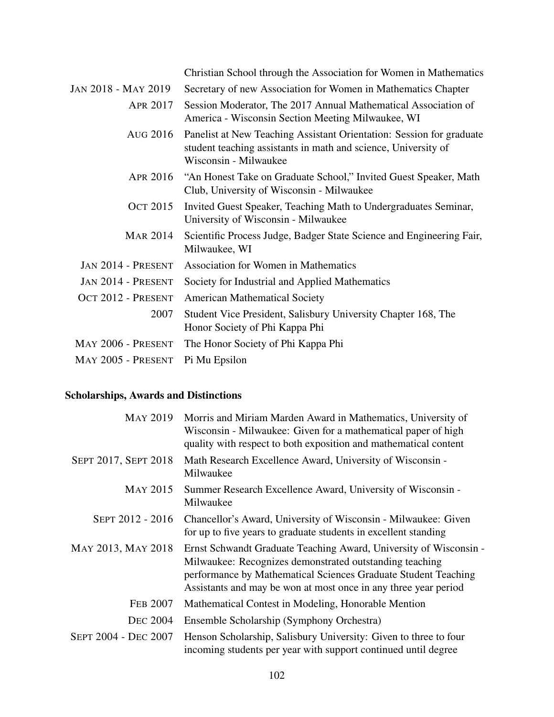|                           | Christian School through the Association for Women in Mathematics                                                                                               |
|---------------------------|-----------------------------------------------------------------------------------------------------------------------------------------------------------------|
| JAN 2018 - MAY 2019       | Secretary of new Association for Women in Mathematics Chapter                                                                                                   |
| APR 2017                  | Session Moderator, The 2017 Annual Mathematical Association of<br>America - Wisconsin Section Meeting Milwaukee, WI                                             |
| AUG 2016                  | Panelist at New Teaching Assistant Orientation: Session for graduate<br>student teaching assistants in math and science, University of<br>Wisconsin - Milwaukee |
| APR 2016                  | "An Honest Take on Graduate School," Invited Guest Speaker, Math<br>Club, University of Wisconsin - Milwaukee                                                   |
| <b>OCT 2015</b>           | Invited Guest Speaker, Teaching Math to Undergraduates Seminar,<br>University of Wisconsin - Milwaukee                                                          |
| <b>MAR 2014</b>           | Scientific Process Judge, Badger State Science and Engineering Fair,<br>Milwaukee, WI                                                                           |
| <b>JAN 2014 - PRESENT</b> | <b>Association for Women in Mathematics</b>                                                                                                                     |
| <b>JAN 2014 - PRESENT</b> | Society for Industrial and Applied Mathematics                                                                                                                  |
| OCT 2012 - PRESENT        | <b>American Mathematical Society</b>                                                                                                                            |
| 2007                      | Student Vice President, Salisbury University Chapter 168, The<br>Honor Society of Phi Kappa Phi                                                                 |
| MAY 2006 - PRESENT        | The Honor Society of Phi Kappa Phi                                                                                                                              |
| MAY 2005 - PRESENT        | Pi Mu Epsilon                                                                                                                                                   |

### **Scholarships, Awards and Distinctions**

| <b>MAY 2019</b>      | Morris and Miriam Marden Award in Mathematics, University of<br>Wisconsin - Milwaukee: Given for a mathematical paper of high<br>quality with respect to both exposition and mathematical content                                                                 |
|----------------------|-------------------------------------------------------------------------------------------------------------------------------------------------------------------------------------------------------------------------------------------------------------------|
| SEPT 2017, SEPT 2018 | Math Research Excellence Award, University of Wisconsin -<br>Milwaukee                                                                                                                                                                                            |
| MAY 2015             | Summer Research Excellence Award, University of Wisconsin -<br>Milwaukee                                                                                                                                                                                          |
| SEPT 2012 - 2016     | Chancellor's Award, University of Wisconsin - Milwaukee: Given<br>for up to five years to graduate students in excellent standing                                                                                                                                 |
| MAY 2013, MAY 2018   | Ernst Schwandt Graduate Teaching Award, University of Wisconsin -<br>Milwaukee: Recognizes demonstrated outstanding teaching<br>performance by Mathematical Sciences Graduate Student Teaching<br>Assistants and may be won at most once in any three year period |
| <b>FEB 2007</b>      | Mathematical Contest in Modeling, Honorable Mention                                                                                                                                                                                                               |
| <b>DEC 2004</b>      | Ensemble Scholarship (Symphony Orchestra)                                                                                                                                                                                                                         |
| SEPT 2004 - DEC 2007 | Henson Scholarship, Salisbury University: Given to three to four<br>incoming students per year with support continued until degree                                                                                                                                |